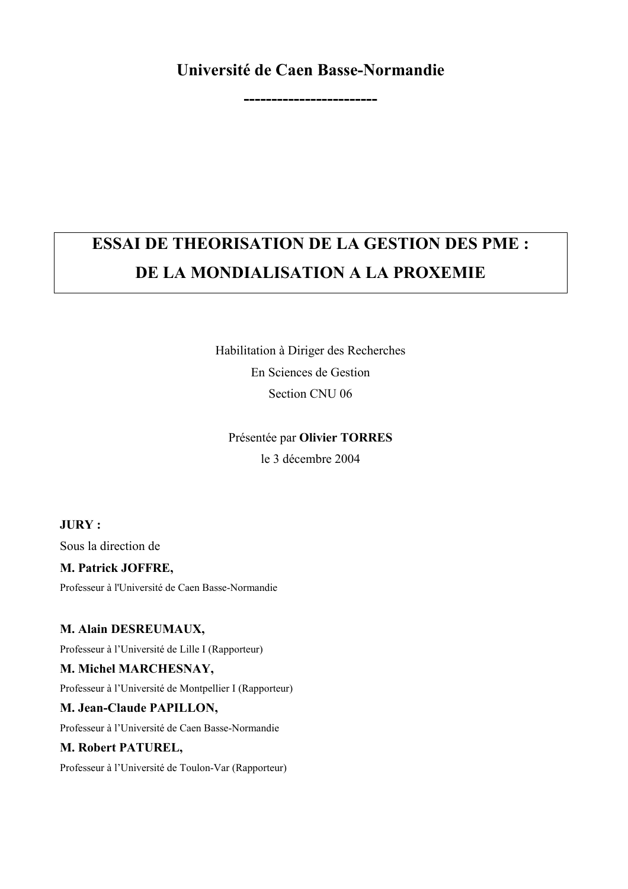### Université de Caen Basse-Normandie

## **ESSAI DE THEORISATION DE LA GESTION DES PME :** DE LA MONDIALISATION A LA PROXEMIE

Habilitation à Diriger des Recherches En Sciences de Gestion Section CNU 06

Présentée par Olivier TORRES

le 3 décembre 2004

#### $JURY:$

Sous la direction de

#### M. Patrick JOFFRE,

Professeur à l'Université de Caen Basse-Normandie

#### M. Alain DESREUMAUX,

Professeur à l'Université de Lille I (Rapporteur)

#### M. Michel MARCHESNAY,

Professeur à l'Université de Montpellier I (Rapporteur)

#### M. Jean-Claude PAPILLON,

Professeur à l'Université de Caen Basse-Normandie

#### M. Robert PATUREL,

Professeur à l'Université de Toulon-Var (Rapporteur)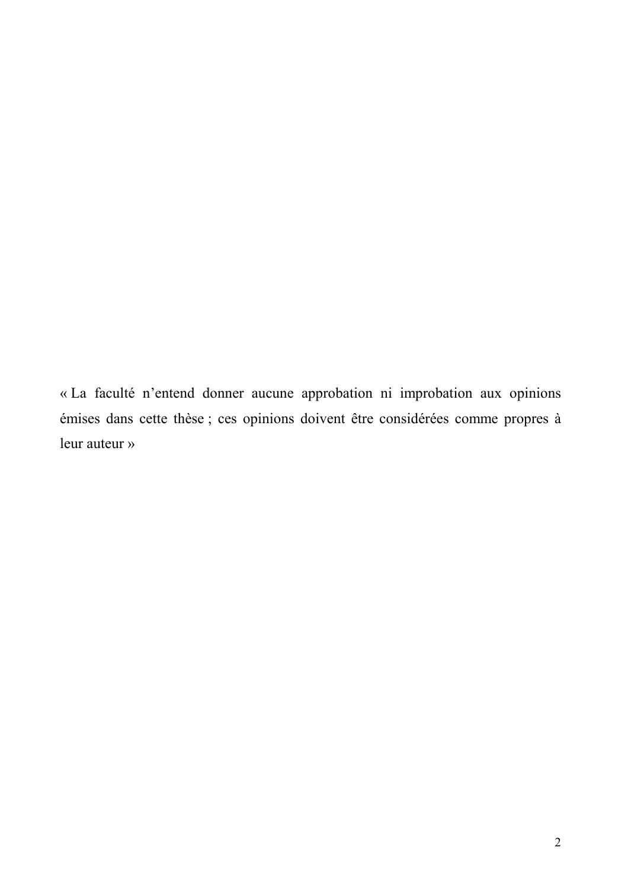« La faculté n'entend donner aucune approbation ni improbation aux opinions émises dans cette thèse ; ces opinions doivent être considérées comme propres à leur auteur »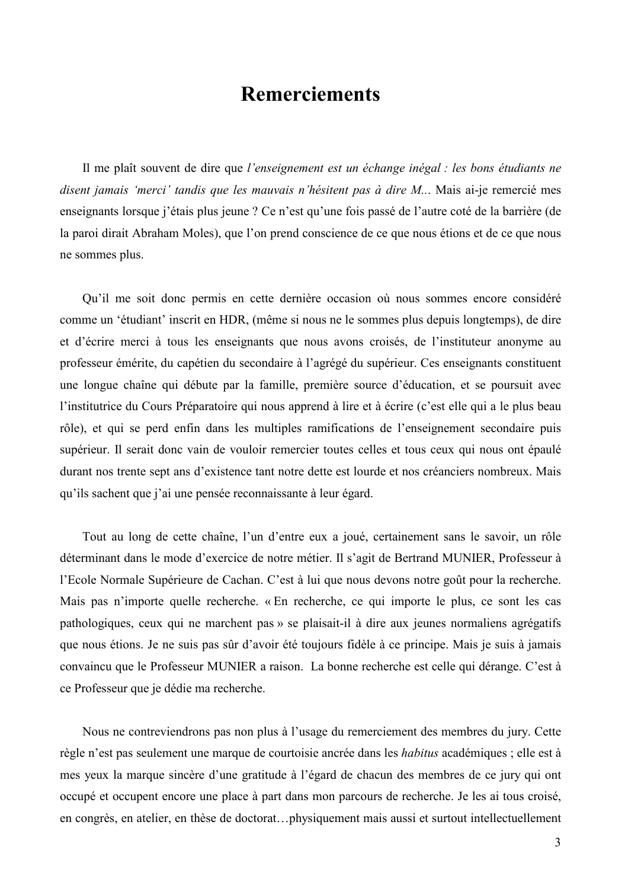### **Remerciements**

Il me plaît souvent de dire que l'enseignement est un échange inégal : les bons étudiants ne disent jamais 'merci' tandis que les mauvais n'hésitent pas à dire M... Mais ai-je remercié mes enseignants lorsque j'étais plus jeune ? Ce n'est qu'une fois passé de l'autre coté de la barrière (de la paroi dirait Abraham Moles), que l'on prend conscience de ce que nous étions et de ce que nous ne sommes plus.

Ou'il me soit donc permis en cette dernière occasion où nous sommes encore considéré comme un 'étudiant' inscrit en HDR, (même si nous ne le sommes plus depuis longtemps), de dire et d'écrire merci à tous les enseignants que nous avons croisés, de l'instituteur anonyme au professeur émérite, du capétien du secondaire à l'agrégé du supérieur. Ces enseignants constituent une longue chaîne qui débute par la famille, première source d'éducation, et se poursuit avec l'institutrice du Cours Préparatoire qui nous apprend à lire et à écrire (c'est elle qui a le plus beau rôle), et qui se perd enfin dans les multiples ramifications de l'enseignement secondaire puis supérieur. Il serait donc vain de vouloir remercier toutes celles et tous ceux qui nous ont épaulé durant nos trente sept ans d'existence tant notre dette est lourde et nos créanciers nombreux. Mais qu'ils sachent que j'ai une pensée reconnaissante à leur égard.

Tout au long de cette chaîne, l'un d'entre eux a joué, certainement sans le savoir, un rôle déterminant dans le mode d'exercice de notre métier. Il s'agit de Bertrand MUNIER, Professeur à l'Ecole Normale Supérieure de Cachan. C'est à lui que nous devons notre goût pour la recherche. Mais pas n'importe quelle recherche. « En recherche, ce qui importe le plus, ce sont les cas pathologiques, ceux qui ne marchent pas » se plaisait-il à dire aux jeunes normaliens agrégatifs que nous étions. Je ne suis pas sûr d'avoir été toujours fidèle à ce principe. Mais je suis à jamais convaincu que le Professeur MUNIER a raison. La bonne recherche est celle qui dérange. C'est à ce Professeur que je dédie ma recherche.

Nous ne contreviendrons pas non plus à l'usage du remerciement des membres du jury. Cette règle n'est pas seulement une marque de courtoisie ancrée dans les *habitus* académiques ; elle est à mes yeux la marque sincère d'une gratitude à l'égard de chacun des membres de ce jury qui ont occupé et occupent encore une place à part dans mon parcours de recherche. Je les ai tous croisé, en congrès, en atelier, en thèse de doctorat...physiquement mais aussi et surtout intellectuellement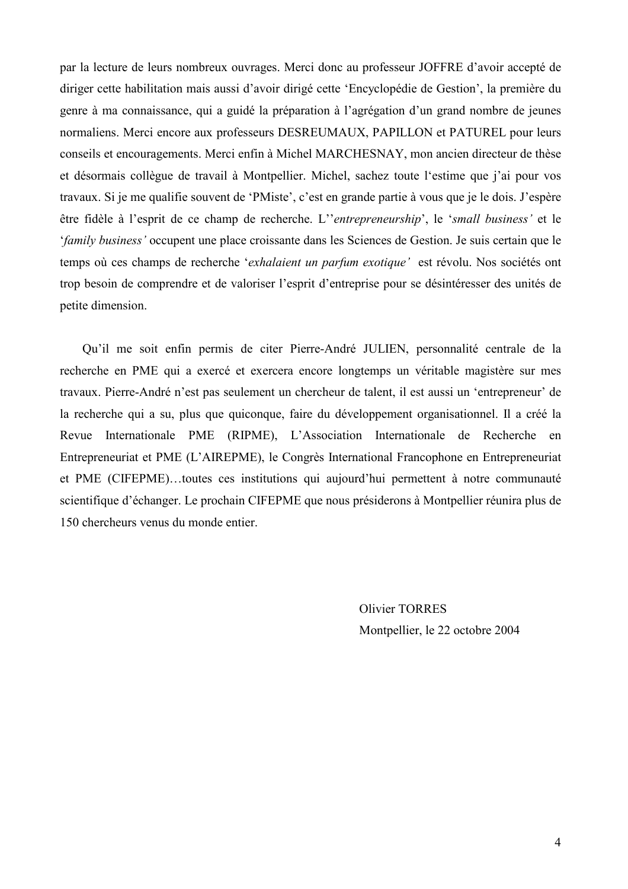par la lecture de leurs nombreux ouvrages. Merci donc au professeur JOFFRE d'avoir accepté de diriger cette habilitation mais aussi d'avoir dirigé cette 'Encyclopédie de Gestion', la première du genre à ma connaissance, qui a guidé la préparation à l'agrégation d'un grand nombre de jeunes normaliens. Merci encore aux professeurs DESREUMAUX, PAPILLON et PATUREL pour leurs conseils et encouragements. Merci enfin à Michel MARCHESNAY, mon ancien directeur de thèse et désormais collègue de travail à Montpellier. Michel, sachez toute l'estime que j'ai pour vos travaux. Si je me qualifie souvent de 'PMiste', c'est en grande partie à vous que je le dois. J'espère être fidèle à l'esprit de ce champ de recherche. L''entrepreneurship', le 'small business' et le *family business'* occupent une place croissante dans les Sciences de Gestion. Je suis certain que le temps où ces champs de recherche 'exhalaient un parfum exotique' est révolu. Nos sociétés ont trop besoin de comprendre et de valoriser l'esprit d'entreprise pour se désintéresser des unités de petite dimension.

Qu'il me soit enfin permis de citer Pierre-André JULIEN, personnalité centrale de la recherche en PME qui a exercé et exercera encore longtemps un véritable magistère sur mes travaux. Pierre-André n'est pas seulement un chercheur de talent, il est aussi un 'entrepreneur' de la recherche qui a su, plus que quiconque, faire du développement organisationnel. Il a créé la Revue Internationale PME (RIPME), L'Association Internationale de Recherche en Entrepreneuriat et PME (L'AIREPME), le Congrès International Francophone en Entrepreneuriat et PME (CIFEPME)...toutes ces institutions qui aujourd'hui permettent à notre communauté scientifique d'échanger. Le prochain CIFEPME que nous présiderons à Montpellier réunira plus de 150 chercheurs venus du monde entier.

> **Olivier TORRES** Montpellier, le 22 octobre 2004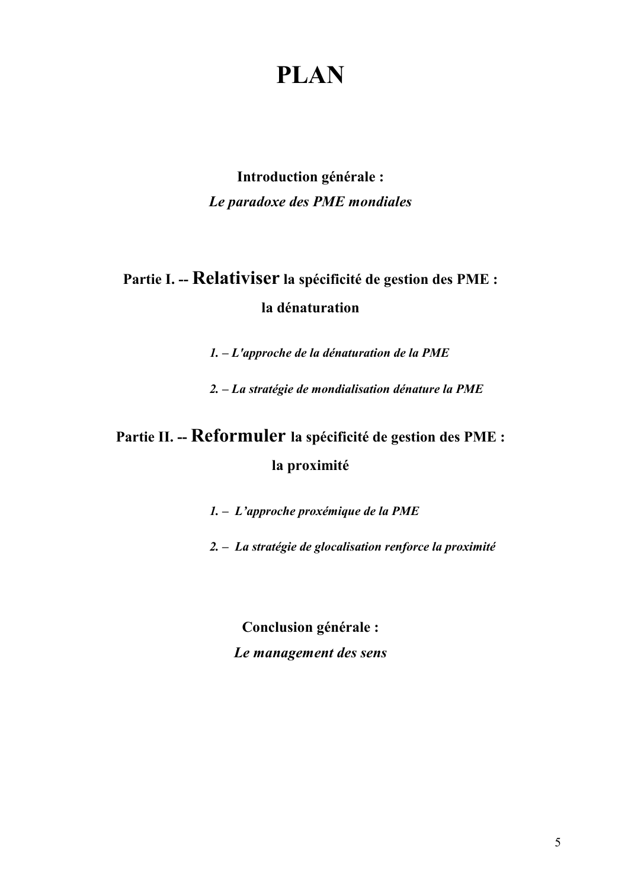# **PLAN**

Introduction générale : Le paradoxe des PME mondiales

# Partie I. -- Relativiser la spécificité de gestion des PME : la dénaturation

 $1. - L'approche de la dénaturalion de la PME$ 

2. – La stratégie de mondialisation dénature la PME

# Partie II. -- Reformuler la spécificité de gestion des PME : la proximité

1. - L'approche proxémique de la PME

2. - La stratégie de glocalisation renforce la proximité

Conclusion générale : Le management des sens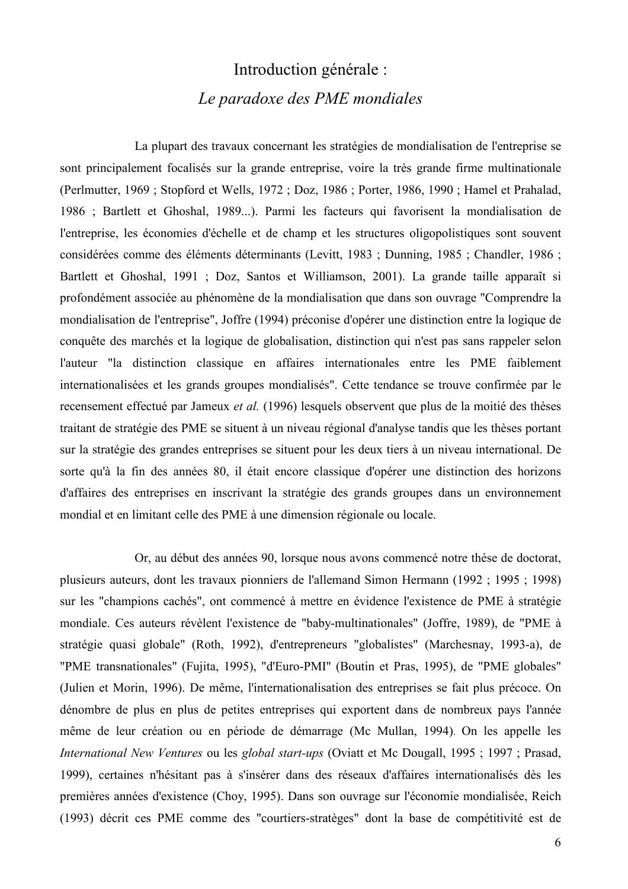### Introduction générale : Le paradoxe des PME mondiales

La plupart des travaux concernant les stratégies de mondialisation de l'entreprise se sont principalement focalisés sur la grande entreprise, voire la très grande firme multinationale (Perlmutter, 1969; Stopford et Wells, 1972; Doz, 1986; Porter, 1986, 1990; Hamel et Prahalad, 1986 ; Bartlett et Ghoshal, 1989...). Parmi les facteurs qui favorisent la mondialisation de l'entreprise, les économies d'échelle et de champ et les structures oligopolistiques sont souvent considérées comme des éléments déterminants (Levitt, 1983 ; Dunning, 1985 ; Chandler, 1986 ; Bartlett et Ghoshal, 1991 ; Doz, Santos et Williamson, 2001). La grande taille apparaît si profondément associée au phénomène de la mondialisation que dans son ouvrage "Comprendre la mondialisation de l'entreprise", Joffre (1994) préconise d'opérer une distinction entre la logique de conquête des marchés et la logique de globalisation, distinction qui n'est pas sans rappeler selon l'auteur "la distinction classique en affaires internationales entre les PME faiblement internationalisées et les grands groupes mondialisés". Cette tendance se trouve confirmée par le recensement effectué par Jameux et al. (1996) lesquels observent que plus de la moitié des thèses traitant de stratégie des PME se situent à un niveau régional d'analyse tandis que les thèses portant sur la stratégie des grandes entreprises se situent pour les deux tiers à un niveau international. De sorte qu'à la fin des années 80, il était encore classique d'opérer une distinction des horizons d'affaires des entreprises en inscrivant la stratégie des grands groupes dans un environnement mondial et en limitant celle des PME à une dimension régionale ou locale.

Or, au début des années 90, lorsque nous avons commencé notre thèse de doctorat, plusieurs auteurs, dont les travaux pionniers de l'allemand Simon Hermann (1992 ; 1995 ; 1998) sur les "champions cachés", ont commencé à mettre en évidence l'existence de PME à stratégie mondiale. Ces auteurs révèlent l'existence de "baby-multinationales" (Joffre, 1989), de "PME à stratégie quasi globale" (Roth, 1992), d'entrepreneurs "globalistes" (Marchesnay, 1993-a), de "PME transnationales" (Fujita, 1995), "d'Euro-PMI" (Boutin et Pras, 1995), de "PME globales" (Julien et Morin, 1996). De même, l'internationalisation des entreprises se fait plus précoce. On dénombre de plus en plus de petites entreprises qui exportent dans de nombreux pays l'année même de leur création ou en période de démarrage (Mc Mullan, 1994). On les appelle les International New Ventures ou les global start-ups (Oviatt et Mc Dougall, 1995; 1997; Prasad, 1999), certaines n'hésitant pas à s'insérer dans des réseaux d'affaires internationalisés dès les premières années d'existence (Choy, 1995). Dans son ouvrage sur l'économie mondialisée, Reich (1993) décrit ces PME comme des "courtiers-stratèges" dont la base de compétitivité est de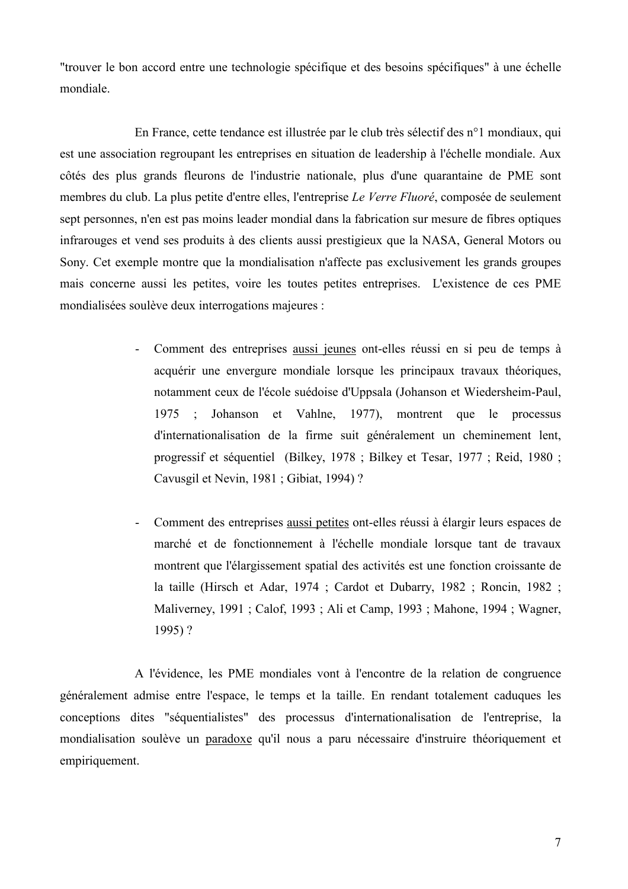"trouver le bon accord entre une technologie spécifique et des besoins spécifiques" à une échelle mondiale

En France, cette tendance est illustrée par le club très sélectif des n°1 mondiaux, qui est une association regroupant les entreprises en situation de leadership à l'échelle mondiale. Aux côtés des plus grands fleurons de l'industrie nationale, plus d'une quarantaine de PME sont membres du club. La plus petite d'entre elles, l'entreprise Le Verre Fluoré, composée de seulement sept personnes, n'en est pas moins leader mondial dans la fabrication sur mesure de fibres optiques infrarouges et vend ses produits à des clients aussi prestigieux que la NASA, General Motors ou Sony. Cet exemple montre que la mondialisation n'affecte pas exclusivement les grands groupes mais concerne aussi les petites, voire les toutes petites entreprises. L'existence de ces PME mondialisées soulève deux interrogations majeures :

- Comment des entreprises aussi jeunes ont-elles réussi en si peu de temps à  $\omega_{\rm{max}}$ acquérir une envergure mondiale lorsque les principaux travaux théoriques, notamment ceux de l'école suédoise d'Uppsala (Johanson et Wiedersheim-Paul, 1975 : Johanson et Vahlne, 1977), montrent que le processus d'internationalisation de la firme suit généralement un cheminement lent, progressif et séquentiel (Bilkey, 1978; Bilkey et Tesar, 1977; Reid, 1980; Cavusgil et Nevin, 1981; Gibiat, 1994)?
- Comment des entreprises aussi petites ont-elles réussi à élargir leurs espaces de marché et de fonctionnement à l'échelle mondiale lorsque tant de travaux montrent que l'élargissement spatial des activités est une fonction croissante de la taille (Hirsch et Adar, 1974; Cardot et Dubarry, 1982; Roncin, 1982; Maliverney, 1991; Calof, 1993; Ali et Camp, 1993; Mahone, 1994; Wagner, 1995)?

A l'évidence, les PME mondiales vont à l'encontre de la relation de congruence généralement admise entre l'espace, le temps et la taille. En rendant totalement caduques les conceptions dites "séquentialistes" des processus d'internationalisation de l'entreprise, la mondialisation soulève un paradoxe qu'il nous a paru nécessaire d'instruire théoriquement et empiriquement.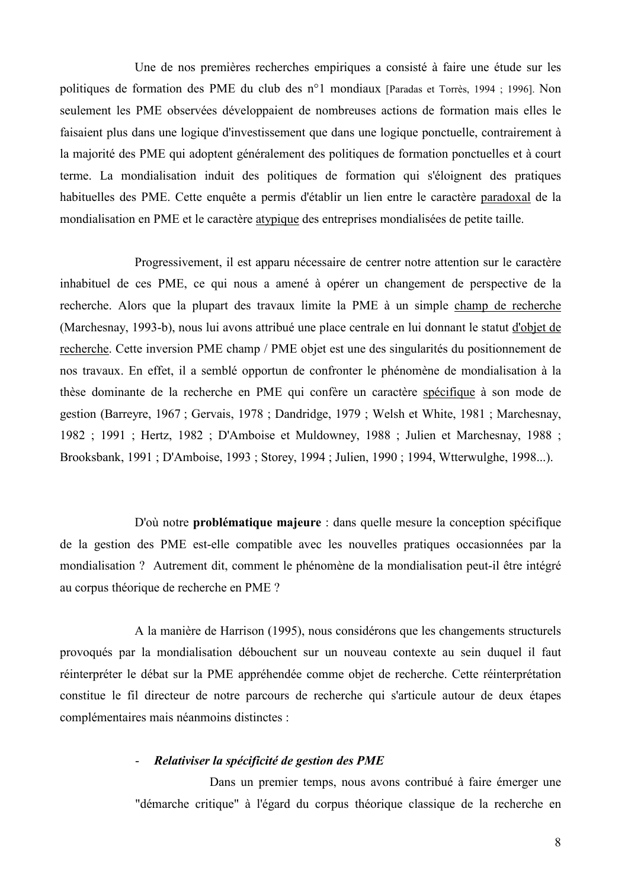Une de nos premières recherches empiriques a consisté à faire une étude sur les politiques de formation des PME du club des n°1 mondiaux (Paradas et Torrès, 1994 ; 1996). Non seulement les PME observées développaient de nombreuses actions de formation mais elles le faisaient plus dans une logique d'investissement que dans une logique ponctuelle, contrairement à la majorité des PME qui adoptent généralement des politiques de formation ponctuelles et à court terme. La mondialisation induit des politiques de formation qui s'éloignent des pratiques habituelles des PME. Cette enquête a permis d'établir un lien entre le caractère paradoxal de la mondialisation en PME et le caractère atypique des entreprises mondialisées de petite taille.

Progressivement, il est apparu nécessaire de centrer notre attention sur le caractère inhabituel de ces PME, ce qui nous a amené à opérer un changement de perspective de la recherche. Alors que la plupart des travaux limite la PME à un simple champ de recherche (Marchesnay, 1993-b), nous lui avons attribué une place centrale en lui donnant le statut d'objet de recherche. Cette inversion PME champ / PME objet est une des singularités du positionnement de nos travaux. En effet, il a semblé opportun de confronter le phénomène de mondialisation à la thèse dominante de la recherche en PME qui confère un caractère spécifique à son mode de gestion (Barreyre, 1967; Gervais, 1978; Dandridge, 1979; Welsh et White, 1981; Marchesnay, 1982; 1991; Hertz, 1982; D'Amboise et Muldowney, 1988; Julien et Marchesnay, 1988; Brooksbank, 1991; D'Amboise, 1993; Storey, 1994; Julien, 1990; 1994, Wtterwulghe, 1998...).

D'où notre **problématique majeure** : dans quelle mesure la conception spécifique de la gestion des PME est-elle compatible avec les nouvelles pratiques occasionnées par la mondialisation? Autrement dit, comment le phénomène de la mondialisation peut-il être intégré au corpus théorique de recherche en PME ?

A la manière de Harrison (1995), nous considérons que les changements structurels provoqués par la mondialisation débouchent sur un nouveau contexte au sein duquel il faut réinterpréter le débat sur la PME appréhendée comme objet de recherche. Cette réinterprétation constitue le fil directeur de notre parcours de recherche qui s'articule autour de deux étapes complémentaires mais néanmoins distinctes :

#### Relativiser la spécificité de gestion des PME

Dans un premier temps, nous avons contribué à faire émerger une "démarche critique" à l'égard du corpus théorique classique de la recherche en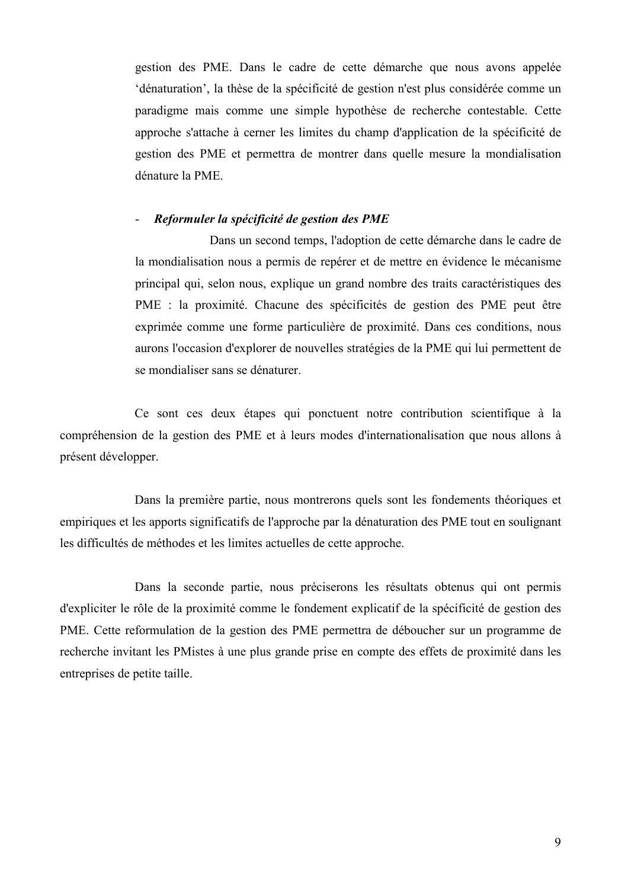gestion des PME. Dans le cadre de cette démarche que nous avons appelée 'dénaturation', la thèse de la spécificité de gestion n'est plus considérée comme un paradigme mais comme une simple hypothèse de recherche contestable. Cette approche s'attache à cerner les limites du champ d'application de la spécificité de gestion des PME et permettra de montrer dans quelle mesure la mondialisation dénature la PME.

#### Reformuler la spécificité de gestion des PME

Dans un second temps, l'adoption de cette démarche dans le cadre de la mondialisation nous a permis de repérer et de mettre en évidence le mécanisme principal qui, selon nous, explique un grand nombre des traits caractéristiques des PME : la proximité. Chacune des spécificités de gestion des PME peut être exprimée comme une forme particulière de proximité. Dans ces conditions, nous aurons l'occasion d'explorer de nouvelles stratégies de la PME qui lui permettent de se mondialiser sans se dénaturer.

Ce sont ces deux étapes qui ponctuent notre contribution scientifique à la compréhension de la gestion des PME et à leurs modes d'internationalisation que nous allons à présent développer.

Dans la première partie, nous montrerons quels sont les fondements théoriques et empiriques et les apports significatifs de l'approche par la dénaturation des PME tout en soulignant les difficultés de méthodes et les limites actuelles de cette approche.

Dans la seconde partie, nous préciserons les résultats obtenus qui ont permis d'expliciter le rôle de la proximité comme le fondement explicatif de la spécificité de gestion des PME. Cette reformulation de la gestion des PME permettra de déboucher sur un programme de recherche invitant les PMistes à une plus grande prise en compte des effets de proximité dans les entreprises de petite taille.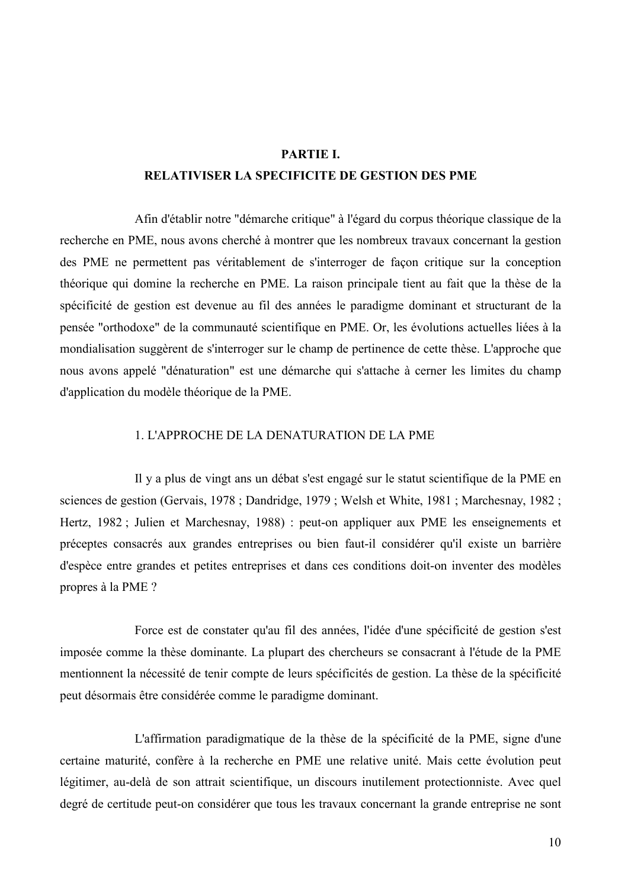#### PARTIE I.

#### **RELATIVISER LA SPECIFICITE DE GESTION DES PME**

Afin d'établir notre "démarche critique" à l'égard du corpus théorique classique de la recherche en PME, nous avons cherché à montrer que les nombreux travaux concernant la gestion des PME ne permettent pas véritablement de s'interroger de façon critique sur la conception théorique qui domine la recherche en PME. La raison principale tient au fait que la thèse de la spécificité de gestion est devenue au fil des années le paradigme dominant et structurant de la pensée "orthodoxe" de la communauté scientifique en PME. Or, les évolutions actuelles liées à la mondialisation suggèrent de s'interroger sur le champ de pertinence de cette thèse. L'approche que nous avons appelé "dénaturation" est une démarche qui s'attache à cerner les limites du champ d'application du modèle théorique de la PME.

#### 1 L'APPROCHE DE LA DENATURATION DE LA PME

Il y a plus de vingt ans un débat s'est engagé sur le statut scientifique de la PME en sciences de gestion (Gervais, 1978; Dandridge, 1979; Welsh et White, 1981; Marchesnay, 1982; Hertz, 1982; Julien et Marchesnay, 1988) : peut-on appliquer aux PME les enseignements et préceptes consacrés aux grandes entreprises ou bien faut-il considérer qu'il existe un barrière d'espèce entre grandes et petites entreprises et dans ces conditions doit-on inventer des modèles propres à la PME ?

Force est de constater qu'au fil des années, l'idée d'une spécificité de gestion s'est imposée comme la thèse dominante. La plupart des chercheurs se consacrant à l'étude de la PME mentionnent la nécessité de tenir compte de leurs spécificités de gestion. La thèse de la spécificité peut désormais être considérée comme le paradigme dominant.

L'affirmation paradigmatique de la thèse de la spécificité de la PME, signe d'une certaine maturité, confère à la recherche en PME une relative unité. Mais cette évolution peut légitimer, au-delà de son attrait scientifique, un discours inutilement protectionniste. Avec quel degré de certitude peut-on considérer que tous les travaux concernant la grande entreprise ne sont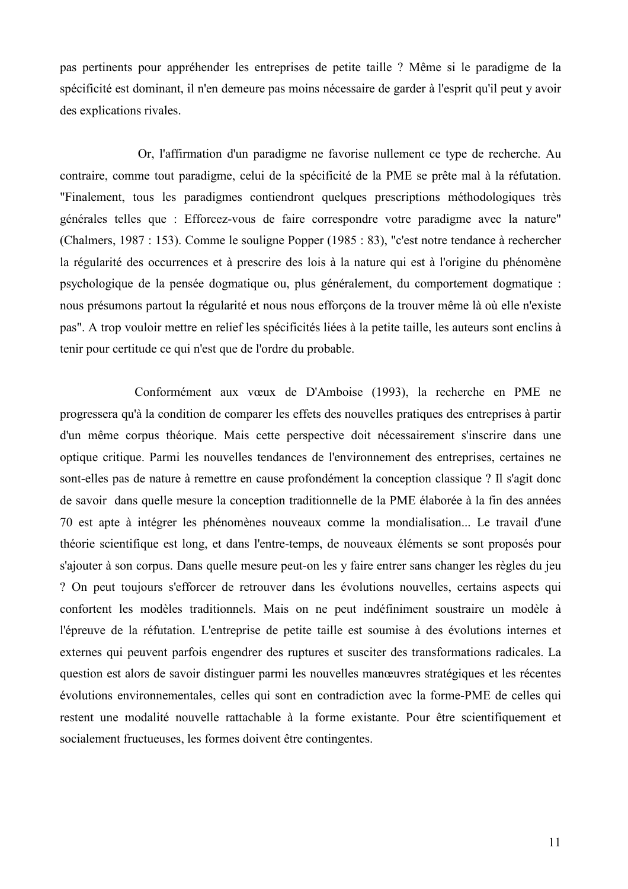pas pertinents pour appréhender les entreprises de petite taille ? Même si le paradigme de la spécificité est dominant, il n'en demeure pas moins nécessaire de garder à l'esprit qu'il peut y avoir des explications rivales.

Or, l'affirmation d'un paradigme ne favorise nullement ce type de recherche. Au contraire, comme tout paradigme, celui de la spécificité de la PME se prête mal à la réfutation. "Finalement, tous les paradigmes contiendront quelques prescriptions méthodologiques très générales telles que : Efforcez-vous de faire correspondre votre paradigme avec la nature" (Chalmers, 1987 : 153). Comme le souligne Popper (1985 : 83), "c'est notre tendance à rechercher la régularité des occurrences et à prescrire des lois à la nature qui est à l'origine du phénomène psychologique de la pensée dogmatique ou, plus généralement, du comportement dogmatique : nous présumons partout la régularité et nous nous efforçons de la trouver même là où elle n'existe pas". A trop vouloir mettre en relief les spécificités liées à la petite taille, les auteurs sont enclins à tenir pour certitude ce qui n'est que de l'ordre du probable.

Conformément aux vœux de D'Amboise (1993), la recherche en PME ne progressera qu'à la condition de comparer les effets des nouvelles pratiques des entreprises à partir d'un même corpus théorique. Mais cette perspective doit nécessairement s'inscrire dans une optique critique. Parmi les nouvelles tendances de l'environnement des entreprises, certaines ne sont-elles pas de nature à remettre en cause profondément la conception classique ? Il s'agit donc de savoir dans quelle mesure la conception traditionnelle de la PME élaborée à la fin des années 70 est apte à intégrer les phénomènes nouveaux comme la mondialisation... Le travail d'une théorie scientifique est long, et dans l'entre-temps, de nouveaux éléments se sont proposés pour s'ajouter à son corpus. Dans quelle mesure peut-on les y faire entrer sans changer les règles du jeu ? On peut toujours s'efforcer de retrouver dans les évolutions nouvelles, certains aspects qui confortent les modèles traditionnels. Mais on ne peut indéfiniment soustraire un modèle à l'épreuve de la réfutation. L'entreprise de petite taille est soumise à des évolutions internes et externes qui peuvent parfois engendrer des ruptures et susciter des transformations radicales. La question est alors de savoir distinguer parmi les nouvelles manœuvres stratégiques et les récentes évolutions environnementales, celles qui sont en contradiction avec la forme-PME de celles qui restent une modalité nouvelle rattachable à la forme existante. Pour être scientifiquement et socialement fructueuses, les formes doivent être contingentes.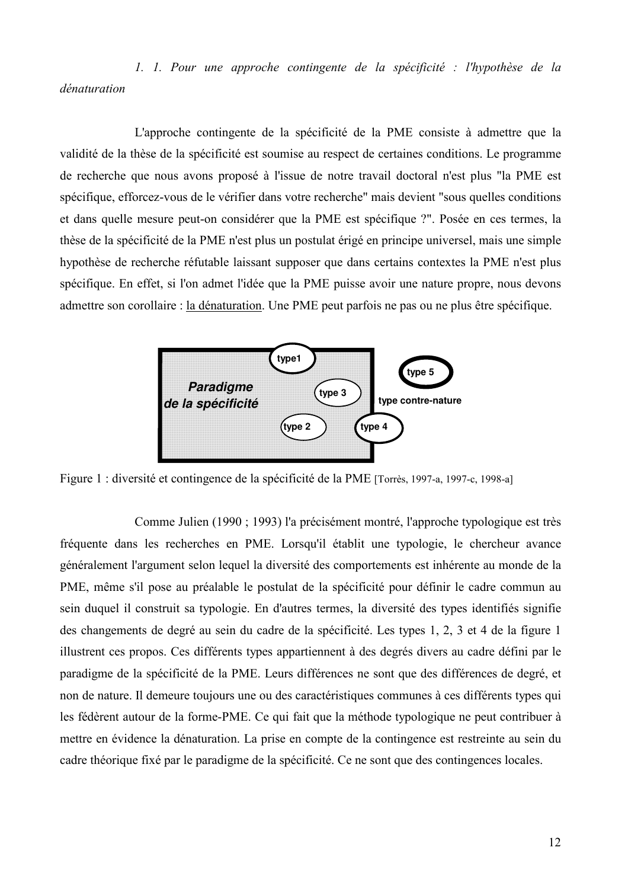1. 1. Pour une approche contingente de la spécificité : l'hypothèse de la dénaturation

L'approche contingente de la spécificité de la PME consiste à admettre que la validité de la thèse de la spécificité est soumise au respect de certaines conditions. Le programme de recherche que nous avons proposé à l'issue de notre travail doctoral n'est plus "la PME est spécifique, efforcez-vous de le vérifier dans votre recherche" mais devient "sous quelles conditions" et dans quelle mesure peut-on considérer que la PME est spécifique ?". Posée en ces termes, la thèse de la spécificité de la PME n'est plus un postulat érigé en principe universel, mais une simple hypothèse de recherche réfutable laissant supposer que dans certains contextes la PME n'est plus spécifique. En effet, si l'on admet l'idée que la PME puisse avoir une nature propre, nous devons admettre son corollaire : la dénaturation. Une PME peut parfois ne pas ou ne plus être spécifique.



Figure 1 : diversité et contingence de la spécificité de la PME [Torrès, 1997-a, 1997-c, 1998-a]

Comme Julien (1990; 1993) l'a précisément montré, l'approche typologique est très fréquente dans les recherches en PME. Lorsqu'il établit une typologie, le chercheur avance généralement l'argument selon lequel la diversité des comportements est inhérente au monde de la PME, même s'il pose au préalable le postulat de la spécificité pour définir le cadre commun au sein duquel il construit sa typologie. En d'autres termes, la diversité des types identifiés signifie des changements de degré au sein du cadre de la spécificité. Les types 1, 2, 3 et 4 de la figure 1 illustrent ces propos. Ces différents types appartiennent à des degrés divers au cadre défini par le paradigme de la spécificité de la PME. Leurs différences ne sont que des différences de degré, et non de nature. Il demeure toujours une ou des caractéristiques communes à ces différents types qui les fédèrent autour de la forme-PME. Ce qui fait que la méthode typologique ne peut contribuer à mettre en évidence la dénaturation. La prise en compte de la contingence est restreinte au sein du cadre théorique fixé par le paradigme de la spécificité. Ce ne sont que des contingences locales.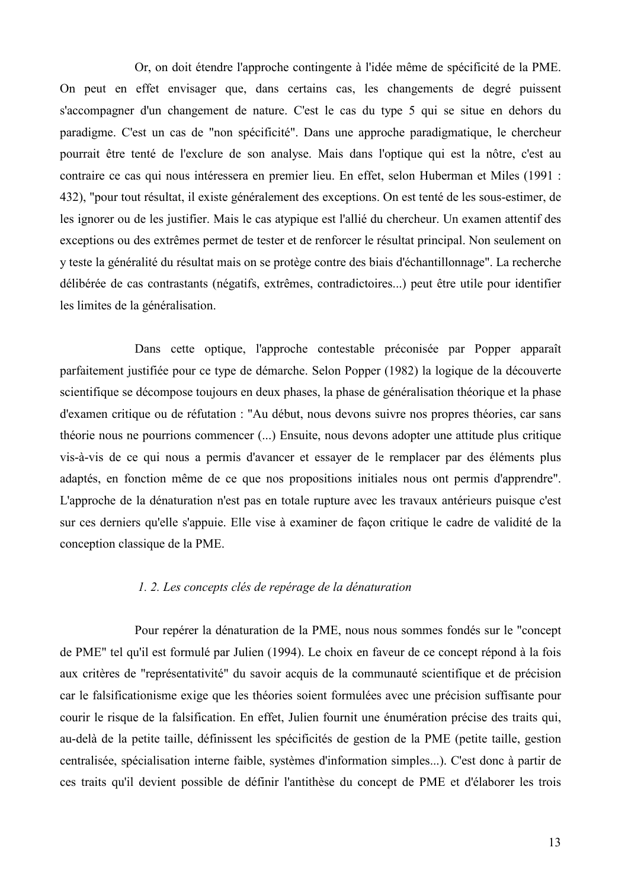Or, on doit étendre l'approche contingente à l'idée même de spécificité de la PME. On peut en effet envisager que, dans certains cas, les changements de degré puissent s'accompagner d'un changement de nature. C'est le cas du type 5 qui se situe en dehors du paradigme. C'est un cas de "non spécificité". Dans une approche paradigmatique, le chercheur pourrait être tenté de l'exclure de son analyse. Mais dans l'optique qui est la nôtre, c'est au contraire ce cas qui nous intéressera en premier lieu. En effet, selon Huberman et Miles (1991 : 432), "pour tout résultat, il existe généralement des exceptions. On est tenté de les sous-estimer, de les ignorer ou de les justifier. Mais le cas atypique est l'allié du chercheur. Un examen attentif des exceptions ou des extrêmes permet de tester et de renforcer le résultat principal. Non seulement on y teste la généralité du résultat mais on se protège contre des biais d'échantillonnage". La recherche délibérée de cas contrastants (négatifs, extrêmes, contradictoires...) peut être utile pour identifier les limites de la généralisation.

Dans cette optique, l'approche contestable préconisée par Popper apparaît parfaitement justifiée pour ce type de démarche. Selon Popper (1982) la logique de la découverte scientifique se décompose toujours en deux phases, la phase de généralisation théorique et la phase d'examen critique ou de réfutation : "Au début, nous devons suivre nos propres théories, car sans théorie nous ne pourrions commencer (...) Ensuite, nous devons adopter une attitude plus critique vis-à-vis de ce qui nous a permis d'avancer et essayer de le remplacer par des éléments plus adaptés, en fonction même de ce que nos propositions initiales nous ont permis d'apprendre". L'approche de la dénaturation n'est pas en totale rupture avec les travaux antérieurs puisque c'est sur ces derniers qu'elle s'appuie. Elle vise à examiner de façon critique le cadre de validité de la conception classique de la PME.

#### 1. 2. Les concepts clés de repérage de la dénaturation

Pour repérer la dénaturation de la PME, nous nous sommes fondés sur le "concept" de PME" tel qu'il est formulé par Julien (1994). Le choix en faveur de ce concept répond à la fois aux critères de "représentativité" du savoir acquis de la communauté scientifique et de précision car le falsificationisme exige que les théories soient formulées avec une précision suffisante pour courir le risque de la falsification. En effet, Julien fournit une énumération précise des traits qui, au-delà de la petite taille, définissent les spécificités de gestion de la PME (petite taille, gestion centralisée, spécialisation interne faible, systèmes d'information simples...). C'est donc à partir de ces traits qu'il devient possible de définir l'antithèse du concept de PME et d'élaborer les trois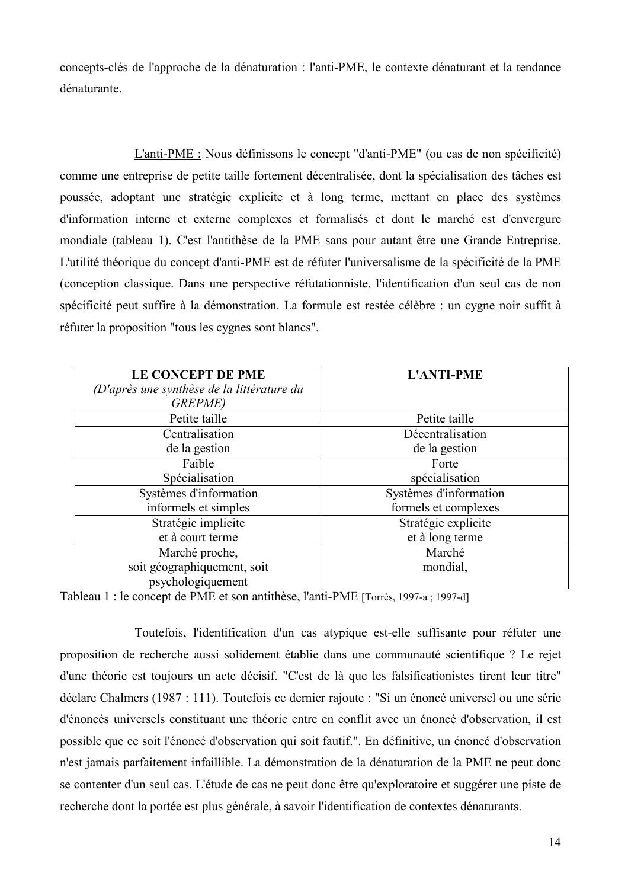concepts-clés de l'approche de la dénaturation : l'anti-PME, le contexte dénaturant et la tendance dénaturante

L'anti-PME : Nous définissons le concept "d'anti-PME" (ou cas de non spécificité) comme une entreprise de petite taille fortement décentralisée, dont la spécialisation des tâches est poussée, adoptant une stratégie explicite et à long terme, mettant en place des systèmes d'information interne et externe complexes et formalisés et dont le marché est d'envergure mondiale (tableau 1). C'est l'antithèse de la PME sans pour autant être une Grande Entreprise. L'utilité théorique du concept d'anti-PME est de réfuter l'universalisme de la spécificité de la PME (conception classique. Dans une perspective réfutationniste, l'identification d'un seul cas de non spécificité peut suffire à la démonstration. La formule est restée célèbre : un cygne noir suffit à réfuter la proposition "tous les cygnes sont blancs".

| LE CONCEPT DE PME<br>(D'après une synthèse de la littérature du<br><b>GREPME</b> ) | <b>L'ANTI-PME</b>      |
|------------------------------------------------------------------------------------|------------------------|
| Petite taille                                                                      | Petite taille          |
| Centralisation                                                                     | Décentralisation       |
| de la gestion                                                                      | de la gestion          |
| Faible                                                                             | Forte                  |
| Spécialisation                                                                     | spécialisation         |
| Systèmes d'information                                                             | Systèmes d'information |
| informels et simples                                                               | formels et complexes   |
| Stratégie implicite                                                                | Stratégie explicite    |
| et à court terme                                                                   | et à long terme        |
| Marché proche,                                                                     | Marché                 |
| soit géographiquement, soit                                                        | mondial,               |
| psychologiquement                                                                  |                        |

Tableau 1 : le concept de PME et son antithèse, l'anti-PME [Torrès, 1997-a ; 1997-d]

Toutefois, l'identification d'un cas atypique est-elle suffisante pour réfuter une proposition de recherche aussi solidement établie dans une communauté scientifique ? Le rejet d'une théorie est toujours un acte décisif. "C'est de là que les falsificationistes tirent leur titre" déclare Chalmers (1987 : 111). Toutefois ce dernier rajoute : "Si un énoncé universel ou une série d'énoncés universels constituant une théorie entre en conflit avec un énoncé d'observation, il est possible que ce soit l'énoncé d'observation qui soit fautif.". En définitive, un énoncé d'observation n'est jamais parfaitement infaillible. La démonstration de la dénaturation de la PME ne peut donc se contenter d'un seul cas. L'étude de cas ne peut donc être qu'exploratoire et suggérer une piste de recherche dont la portée est plus générale, à savoir l'identification de contextes dénaturants.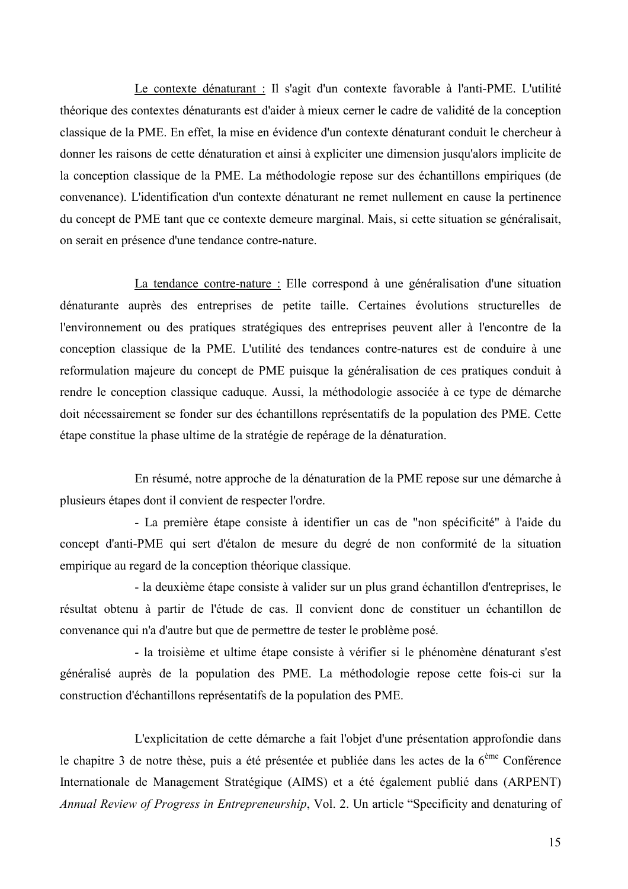Le contexte dénaturant : Il s'agit d'un contexte favorable à l'anti-PME. L'utilité théorique des contextes dénaturants est d'aider à mieux cerner le cadre de validité de la conception classique de la PME. En effet, la mise en évidence d'un contexte dénaturant conduit le chercheur à donner les raisons de cette dénaturation et ainsi à expliciter une dimension jusqu'alors implicite de la conception classique de la PME. La méthodologie repose sur des échantillons empiriques (de convenance). L'identification d'un contexte dénaturant ne remet nullement en cause la pertinence du concept de PME tant que ce contexte demeure marginal. Mais, si cette situation se généralisait, on serait en présence d'une tendance contre-nature.

La tendance contre-nature : Elle correspond à une généralisation d'une situation dénaturante auprès des entreprises de petite taille. Certaines évolutions structurelles de l'environnement ou des pratiques stratégiques des entreprises peuvent aller à l'encontre de la conception classique de la PME. L'utilité des tendances contre-natures est de conduire à une reformulation majeure du concept de PME puisque la généralisation de ces pratiques conduit à rendre le conception classique caduque. Aussi, la méthodologie associée à ce type de démarche doit nécessairement se fonder sur des échantillons représentatifs de la population des PME. Cette étape constitue la phase ultime de la stratégie de repérage de la dénaturation.

En résumé, notre approche de la dénaturation de la PME repose sur une démarche à plusieurs étapes dont il convient de respecter l'ordre.

- La première étape consiste à identifier un cas de "non spécificité" à l'aide du concept d'anti-PME qui sert d'étalon de mesure du degré de non conformité de la situation empirique au regard de la conception théorique classique.

- la deuxième étape consiste à valider sur un plus grand échantillon d'entreprises, le résultat obtenu à partir de l'étude de cas. Il convient donc de constituer un échantillon de convenance qui n'a d'autre but que de permettre de tester le problème posé.

- la troisième et ultime étape consiste à vérifier si le phénomène dénaturant s'est généralisé auprès de la population des PME. La méthodologie repose cette fois-ci sur la construction d'échantillons représentatifs de la population des PME.

L'explicitation de cette démarche a fait l'objet d'une présentation approfondie dans le chapitre 3 de notre thèse, puis a été présentée et publiée dans les actes de la  $6^{eme}$  Conférence Internationale de Management Stratégique (AIMS) et a été également publié dans (ARPENT) Annual Review of Progress in Entrepreneurship, Vol. 2. Un article "Specificity and denaturing of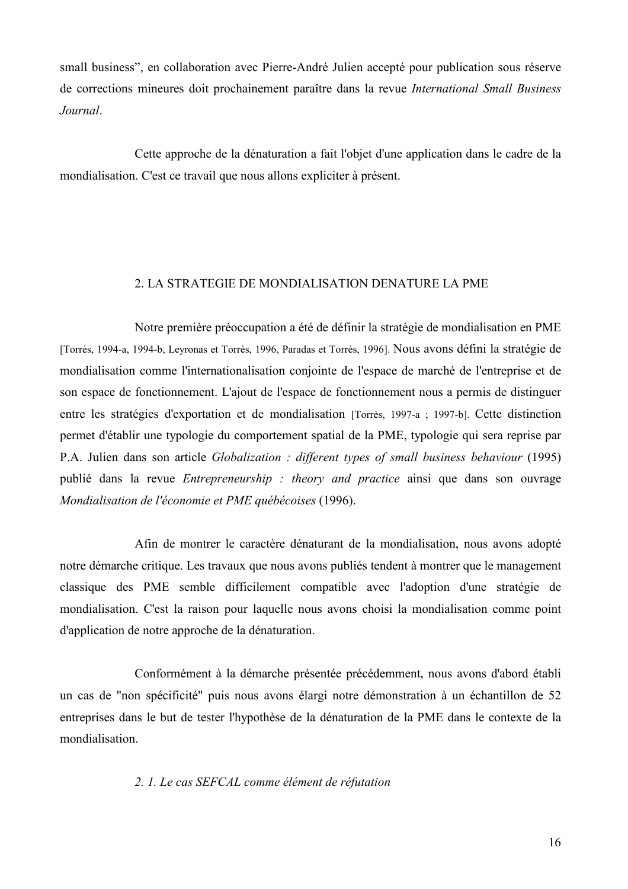small business", en collaboration avec Pierre-André Julien accepté pour publication sous réserve de corrections mineures doit prochainement paraître dans la revue *International Small Business* Journal.

Cette approche de la dénaturation a fait l'objet d'une application dans le cadre de la mondialisation. C'est ce travail que nous allons expliciter à présent.

#### 2. LA STRATEGIE DE MONDIALISATION DENATURE LA PME

Notre première préoccupation a été de définir la stratégie de mondialisation en PME [Torrès, 1994-a, 1994-b, Leyronas et Torrès, 1996, Paradas et Torrès, 1996]. Nous avons défini la stratégie de mondialisation comme l'internationalisation conjointe de l'espace de marché de l'entreprise et de son espace de fonctionnement. L'ajout de l'espace de fonctionnement nous a permis de distinguer entre les stratégies d'exportation et de mondialisation [Torrès, 1997-a ; 1997-b]. Cette distinction permet d'établir une typologie du comportement spatial de la PME, typologie qui sera reprise par P.A. Julien dans son article *Globalization : different types of small business behaviour* (1995) publié dans la revue *Entrepreneurship : theory and practice* ainsi que dans son ouvrage Mondialisation de l'économie et PME québécoises (1996).

Afin de montrer le caractère dénaturant de la mondialisation, nous avons adopté notre démarche critique. Les travaux que nous avons publiés tendent à montrer que le management classique des PME semble difficilement compatible avec l'adoption d'une stratégie de mondialisation. C'est la raison pour laquelle nous avons choisi la mondialisation comme point d'application de notre approche de la dénaturation.

Conformément à la démarche présentée précédemment, nous avons d'abord établi un cas de "non spécificité" puis nous avons élargi notre démonstration à un échantillon de 52 entreprises dans le but de tester l'hypothèse de la dénaturation de la PME dans le contexte de la mondialisation.

#### 2. 1. Le cas SEFCAL comme élément de réfutation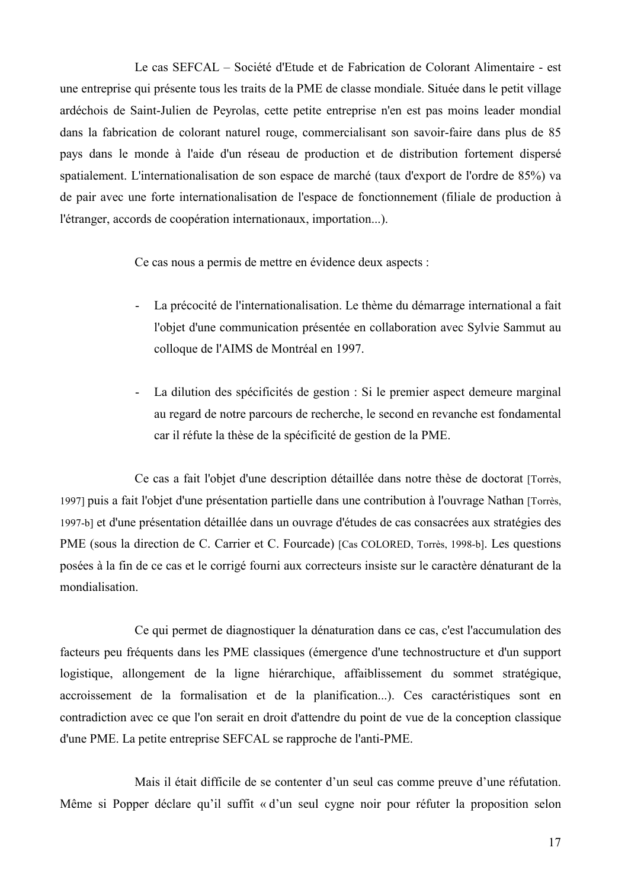Le cas SEFCAL – Société d'Etude et de Fabrication de Colorant Alimentaire - est une entreprise qui présente tous les traits de la PME de classe mondiale. Située dans le petit village ardéchois de Saint-Julien de Peyrolas, cette petite entreprise n'en est pas moins leader mondial dans la fabrication de colorant naturel rouge, commercialisant son savoir-faire dans plus de 85 pays dans le monde à l'aide d'un réseau de production et de distribution fortement dispersé spatialement. L'internationalisation de son espace de marché (taux d'export de l'ordre de 85%) va de pair avec une forte internationalisation de l'espace de fonctionnement (filiale de production à l'étranger, accords de coopération internationaux, importation...).

Ce cas nous a permis de mettre en évidence deux aspects :

- La précocité de l'internationalisation. Le thème du démarrage international a fait l'objet d'une communication présentée en collaboration avec Sylvie Sammut au colloque de l'AIMS de Montréal en 1997.
- La dilution des spécificités de gestion : Si le premier aspect demeure marginal  $\sim$ au regard de notre parcours de recherche, le second en revanche est fondamental car il réfute la thèse de la spécificité de gestion de la PME.

Ce cas a fait l'objet d'une description détaillée dans notre thèse de doctorat [Torrès, 1997) puis a fait l'objet d'une présentation partielle dans une contribution à l'ouvrage Nathan [Torrès, 1997-b] et d'une présentation détaillée dans un ouvrage d'études de cas consacrées aux stratégies des PME (sous la direction de C. Carrier et C. Fourcade) [Cas COLORED, Torrès, 1998-b]. Les questions posées à la fin de ce cas et le corrigé fourni aux correcteurs insiste sur le caractère dénaturant de la mondialisation

Ce qui permet de diagnostiquer la dénaturation dans ce cas, c'est l'accumulation des facteurs peu fréquents dans les PME classiques (émergence d'une technostructure et d'un support logistique, allongement de la ligne hiérarchique, affaiblissement du sommet stratégique. accroissement de la formalisation et de la planification...). Ces caractéristiques sont en contradiction avec ce que l'on serait en droit d'attendre du point de vue de la conception classique d'une PME. La petite entreprise SEFCAL se rapproche de l'anti-PME.

Mais il était difficile de se contenter d'un seul cas comme preuve d'une réfutation. Même si Popper déclare qu'il suffit « d'un seul cygne noir pour réfuter la proposition selon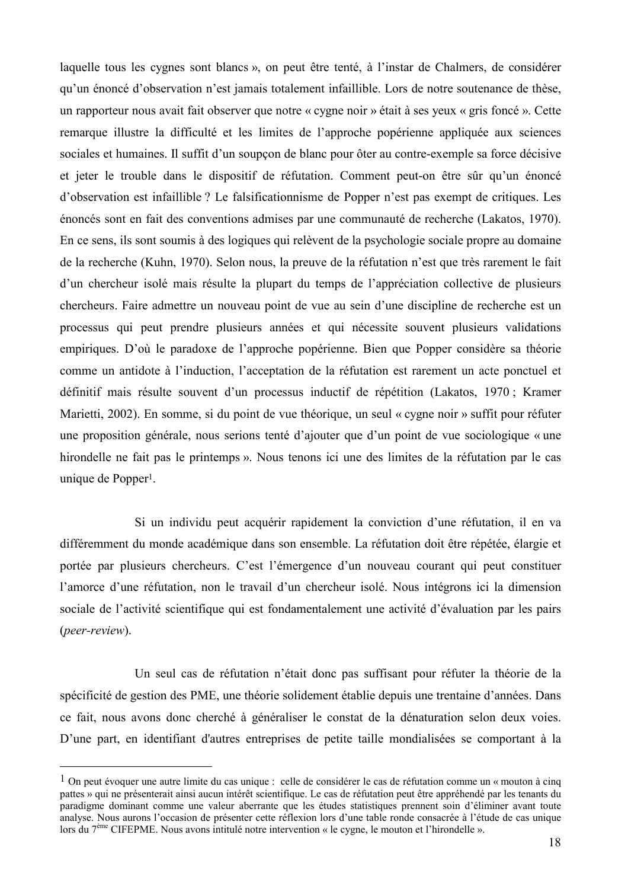laquelle tous les cygnes sont blancs », on peut être tenté, à l'instar de Chalmers, de considérer qu'un énoncé d'observation n'est jamais totalement infaillible. Lors de notre soutenance de thèse, un rapporteur nous avait fait observer que notre « cygne noir » était à ses yeux « gris foncé ». Cette remarque illustre la difficulté et les limites de l'approche popérienne appliquée aux sciences sociales et humaines. Il suffit d'un soupcon de blanc pour ôter au contre-exemple sa force décisive et jeter le trouble dans le dispositif de réfutation. Comment peut-on être sûr qu'un énoncé d'observation est infaillible ? Le falsificationnisme de Popper n'est pas exempt de critiques. Les énoncés sont en fait des conventions admises par une communauté de recherche (Lakatos, 1970). En ce sens, ils sont soumis à des logiques qui relèvent de la psychologie sociale propre au domaine de la recherche (Kuhn, 1970). Selon nous, la preuve de la réfutation n'est que très rarement le fait d'un chercheur isolé mais résulte la plupart du temps de l'appréciation collective de plusieurs chercheurs. Faire admettre un nouveau point de vue au sein d'une discipline de recherche est un processus qui peut prendre plusieurs années et qui nécessite souvent plusieurs validations empiriques. D'où le paradoxe de l'approche popérienne. Bien que Popper considère sa théorie comme un antidote à l'induction, l'acceptation de la réfutation est rarement un acte ponctuel et définitif mais résulte souvent d'un processus inductif de répétition (Lakatos, 1970; Kramer Marietti, 2002). En somme, si du point de vue théorique, un seul « cygne noir » suffit pour réfuter une proposition générale, nous serions tenté d'aiouter que d'un point de vue sociologique « une hirondelle ne fait pas le printemps ». Nous tenons ici une des limites de la réfutation par le cas unique de Popper<sup>1</sup>.

Si un individu peut acquérir rapidement la conviction d'une réfutation, il en va différemment du monde académique dans son ensemble. La réfutation doit être répétée, élargie et portée par plusieurs chercheurs. C'est l'émergence d'un nouveau courant qui peut constituer l'amorce d'une réfutation, non le travail d'un chercheur isolé. Nous intégrons ici la dimension sociale de l'activité scientifique qui est fondamentalement une activité d'évaluation par les pairs  $(*peer-review*)$ .

Un seul cas de réfutation n'était donc pas suffisant pour réfuter la théorie de la spécificité de gestion des PME, une théorie solidement établie depuis une trentaine d'années. Dans ce fait, nous avons donc cherché à généraliser le constat de la dénaturation selon deux voies. D'une part, en identifiant d'autres entreprises de petite taille mondialisées se comportant à la

<sup>&</sup>lt;sup>1</sup> On peut évoquer une autre limite du cas unique : celle de considérer le cas de réfutation comme un « mouton à cinq pattes » qui ne présenterait ainsi aucun intérêt scientifique. Le cas de réfutation peut être appréhendé par les tenants du paradigme dominant comme une valeur aberrante que les études statistiques prennent soin d'éliminer avant toute analyse. Nous aurons l'occasion de présenter cette réflexion lors d'une table ronde consacrée à l'étude de cas unique lors du 7<sup>ème</sup> CIFEPME. Nous avons intitulé notre intervention « le cygne, le mouton et l'hirondelle ».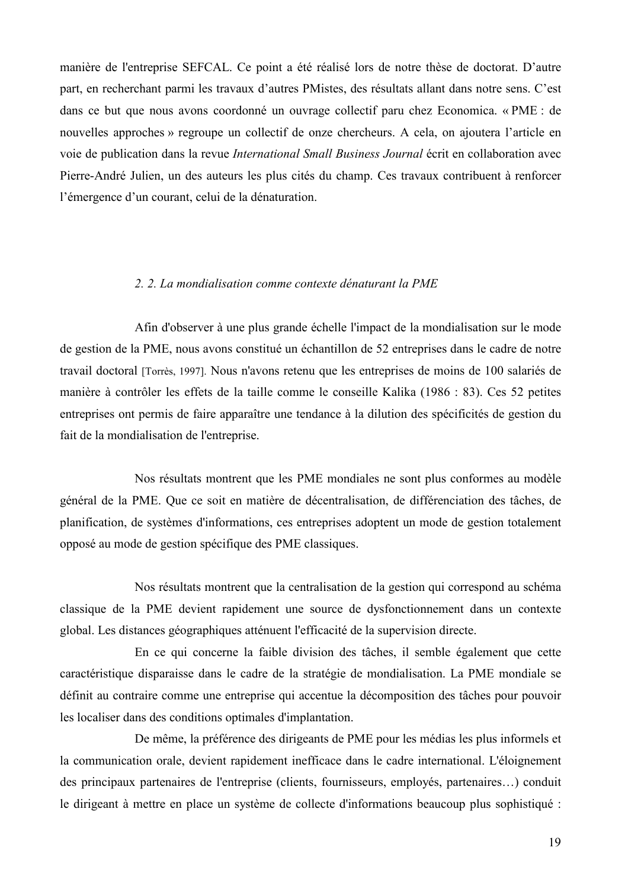manière de l'entreprise SEFCAL. Ce point a été réalisé lors de notre thèse de doctorat. D'autre part, en recherchant parmi les travaux d'autres PMistes, des résultats allant dans notre sens. C'est dans ce but que nous avons coordonné un ouvrage collectif paru chez Economica. « PME : de nouvelles approches » regroupe un collectif de onze chercheurs. A cela, on ajoutera l'article en voie de publication dans la revue International Small Business Journal écrit en collaboration avec Pierre-André Julien, un des auteurs les plus cités du champ. Ces travaux contribuent à renforcer l'émergence d'un courant, celui de la dénaturation.

#### 2. 2. La mondialisation comme contexte dénaturant la PME

Afin d'observer à une plus grande échelle l'impact de la mondialisation sur le mode de gestion de la PME, nous avons constitué un échantillon de 52 entreprises dans le cadre de notre travail doctoral [Torrès, 1997]. Nous n'avons retenu que les entreprises de moins de 100 salariés de manière à contrôler les effets de la taille comme le conseille Kalika (1986 : 83). Ces 52 petites entreprises ont permis de faire apparaître une tendance à la dilution des spécificités de gestion du fait de la mondialisation de l'entreprise.

Nos résultats montrent que les PME mondiales ne sont plus conformes au modèle général de la PME. Que ce soit en matière de décentralisation, de différenciation des tâches, de planification, de systèmes d'informations, ces entreprises adoptent un mode de gestion totalement opposé au mode de gestion spécifique des PME classiques.

Nos résultats montrent que la centralisation de la gestion qui correspond au schéma classique de la PME devient rapidement une source de dysfonctionnement dans un contexte global. Les distances géographiques atténuent l'efficacité de la supervision directe.

En ce qui concerne la faible division des tâches, il semble également que cette caractéristique disparaisse dans le cadre de la stratégie de mondialisation. La PME mondiale se définit au contraire comme une entreprise qui accentue la décomposition des tâches pour pouvoir les localiser dans des conditions optimales d'implantation.

De même, la préférence des dirigeants de PME pour les médias les plus informels et la communication orale, devient rapidement inefficace dans le cadre international. L'éloignement des principaux partenaires de l'entreprise (clients, fournisseurs, employés, partenaires...) conduit le dirigeant à mettre en place un système de collecte d'informations beaucoup plus sophistiqué :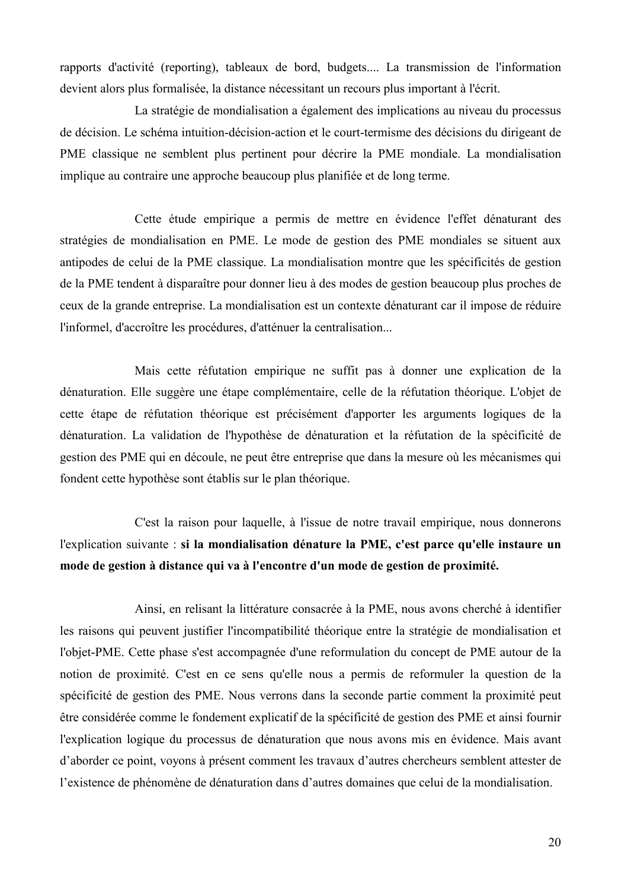rapports d'activité (reporting), tableaux de bord, budgets.... La transmission de l'information devient alors plus formalisée, la distance nécessitant un recours plus important à l'écrit.

La stratégie de mondialisation a également des implications au niveau du processus de décision. Le schéma intuition-décision-action et le court-termisme des décisions du dirigeant de PME classique ne semblent plus pertinent pour décrire la PME mondiale. La mondialisation implique au contraire une approche beaucoup plus planifiée et de long terme.

Cette étude empirique a permis de mettre en évidence l'effet dénaturant des stratégies de mondialisation en PME. Le mode de gestion des PME mondiales se situent aux antipodes de celui de la PME classique. La mondialisation montre que les spécificités de gestion de la PME tendent à disparaître pour donner lieu à des modes de gestion beaucoup plus proches de ceux de la grande entreprise. La mondialisation est un contexte dénaturant car il impose de réduire l'informel, d'accroître les procédures, d'atténuer la centralisation...

Mais cette réfutation empirique ne suffit pas à donner une explication de la dénaturation. Elle suggère une étape complémentaire, celle de la réfutation théorique. L'objet de cette étape de réfutation théorique est précisément d'apporter les arguments logiques de la dénaturation. La validation de l'hypothèse de dénaturation et la réfutation de la spécificité de gestion des PME qui en découle, ne peut être entreprise que dans la mesure où les mécanismes qui fondent cette hypothèse sont établis sur le plan théorique.

C'est la raison pour laquelle, à l'issue de notre travail empirique, nous donnerons l'explication suivante : si la mondialisation dénature la PME, c'est parce qu'elle instaure un mode de gestion à distance qui va à l'encontre d'un mode de gestion de proximité.

Ainsi, en relisant la littérature consacrée à la PME, nous avons cherché à identifier les raisons qui peuvent justifier l'incompatibilité théorique entre la stratégie de mondialisation et l'objet-PME. Cette phase s'est accompagnée d'une reformulation du concept de PME autour de la notion de proximité. C'est en ce sens qu'elle nous a permis de reformuler la question de la spécificité de gestion des PME. Nous verrons dans la seconde partie comment la proximité peut être considérée comme le fondement explicatif de la spécificité de gestion des PME et ainsi fournir l'explication logique du processus de dénaturation que nous avons mis en évidence. Mais avant d'aborder ce point, voyons à présent comment les travaux d'autres chercheurs semblent attester de l'existence de phénomène de dénaturation dans d'autres domaines que celui de la mondialisation.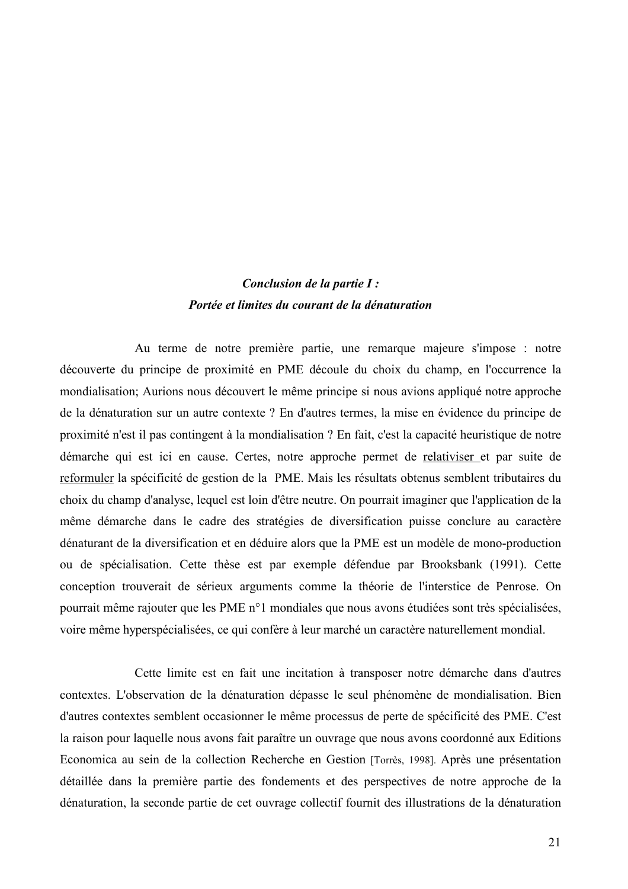### Conclusion de la partie I : Portée et limites du courant de la dénaturation

Au terme de notre première partie, une remarque majeure s'impose : notre découverte du principe de proximité en PME découle du choix du champ, en l'occurrence la mondialisation; Aurions nous découvert le même principe si nous avions appliqué notre approche de la dénaturation sur un autre contexte ? En d'autres termes, la mise en évidence du principe de proximité n'est il pas contingent à la mondialisation ? En fait, c'est la capacité heuristique de notre démarche qui est ici en cause. Certes, notre approche permet de relativiser et par suite de reformuler la spécificité de gestion de la PME. Mais les résultats obtenus semblent tributaires du choix du champ d'analyse, lequel est loin d'être neutre. On pourrait imaginer que l'application de la même démarche dans le cadre des stratégies de diversification puisse conclure au caractère dénaturant de la diversification et en déduire alors que la PME est un modèle de mono-production ou de spécialisation. Cette thèse est par exemple défendue par Brooksbank (1991). Cette conception trouverait de sérieux arguments comme la théorie de l'interstice de Penrose. On pourrait même rajouter que les PME n°1 mondiales que nous avons étudiées sont très spécialisées, voire même hyperspécialisées, ce qui confère à leur marché un caractère naturellement mondial.

Cette limite est en fait une incitation à transposer notre démarche dans d'autres contextes. L'observation de la dénaturation dépasse le seul phénomène de mondialisation. Bien d'autres contextes semblent occasionner le même processus de perte de spécificité des PME. C'est la raison pour laquelle nous avons fait paraître un ouvrage que nous avons coordonné aux Editions Economica au sein de la collection Recherche en Gestion [Torrès, 1998]. Après une présentation détaillée dans la première partie des fondements et des perspectives de notre approche de la dénaturation, la seconde partie de cet ouvrage collectif fournit des illustrations de la dénaturation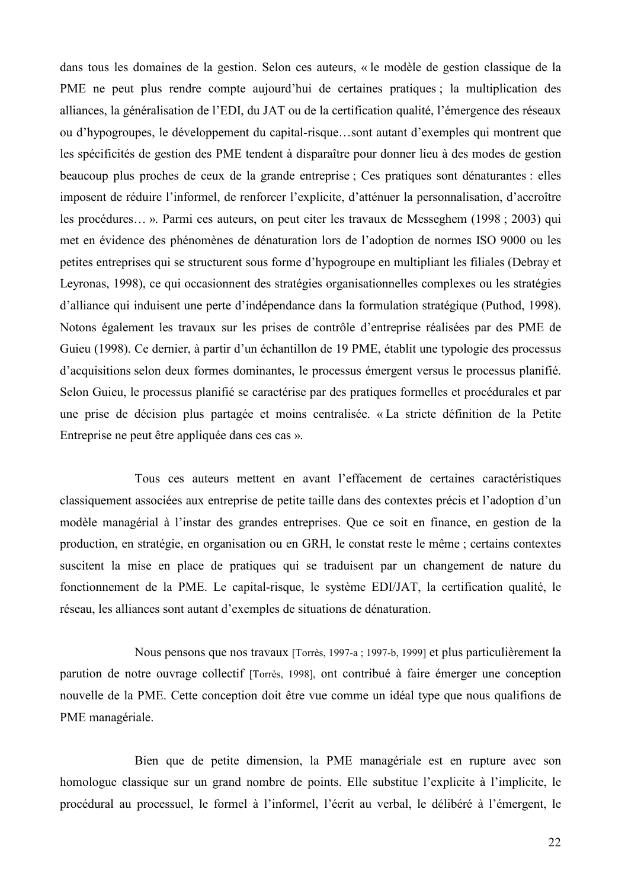dans tous les domaines de la gestion. Selon ces auteurs, « le modèle de gestion classique de la PME ne peut plus rendre compte aujourd'hui de certaines pratiques : la multiplication des alliances, la généralisation de l'EDI, du JAT ou de la certification qualité, l'émergence des réseaux ou d'hypogroupes, le développement du capital-risque...sont autant d'exemples qui montrent que les spécificités de gestion des PME tendent à disparaître pour donner lieu à des modes de gestion beaucoup plus proches de ceux de la grande entreprise : Ces pratiques sont dénaturantes : elles imposent de réduire l'informel, de renforcer l'explicite, d'atténuer la personnalisation, d'accroître les procédures... ». Parmi ces auteurs, on peut citer les travaux de Messeghem (1998 ; 2003) qui met en évidence des phénomènes de dénaturation lors de l'adoption de normes ISO 9000 ou les petites entreprises qui se structurent sous forme d'hypogroupe en multipliant les filiales (Debray et Leyronas, 1998), ce qui occasionnent des stratégies organisationnelles complexes ou les stratégies d'alliance qui induisent une perte d'indépendance dans la formulation stratégique (Puthod, 1998). Notons également les travaux sur les prises de contrôle d'entreprise réalisées par des PME de Guieu (1998). Ce dernier, à partir d'un échantillon de 19 PME, établit une typologie des processus d'acquisitions selon deux formes dominantes, le processus émergent versus le processus planifié. Selon Guieu, le processus planifié se caractérise par des pratiques formelles et procédurales et par une prise de décision plus partagée et moins centralisée. « La stricte définition de la Petite Entreprise ne peut être appliquée dans ces cas ».

Tous ces auteurs mettent en avant l'effacement de certaines caractéristiques classiquement associées aux entreprise de petite taille dans des contextes précis et l'adoption d'un modèle managérial à l'instar des grandes entreprises. Que ce soit en finance, en gestion de la production, en stratégie, en organisation ou en GRH, le constat reste le même ; certains contextes suscitent la mise en place de pratiques qui se traduisent par un changement de nature du fonctionnement de la PME. Le capital-risque, le système EDI/JAT, la certification qualité, le réseau, les alliances sont autant d'exemples de situations de dénaturation.

Nous pensons que nos travaux [Torrès, 1997-a ; 1997-b, 1999] et plus particulièrement la parution de notre ouvrage collectif [Torrès, 1998], ont contribué à faire émerger une conception nouvelle de la PME. Cette conception doit être vue comme un idéal type que nous qualifions de PME managériale.

Bien que de petite dimension, la PME managériale est en rupture avec son homologue classique sur un grand nombre de points. Elle substitue l'explicite à l'implicite, le procédural au processuel, le formel à l'informel, l'écrit au verbal, le délibéré à l'émergent, le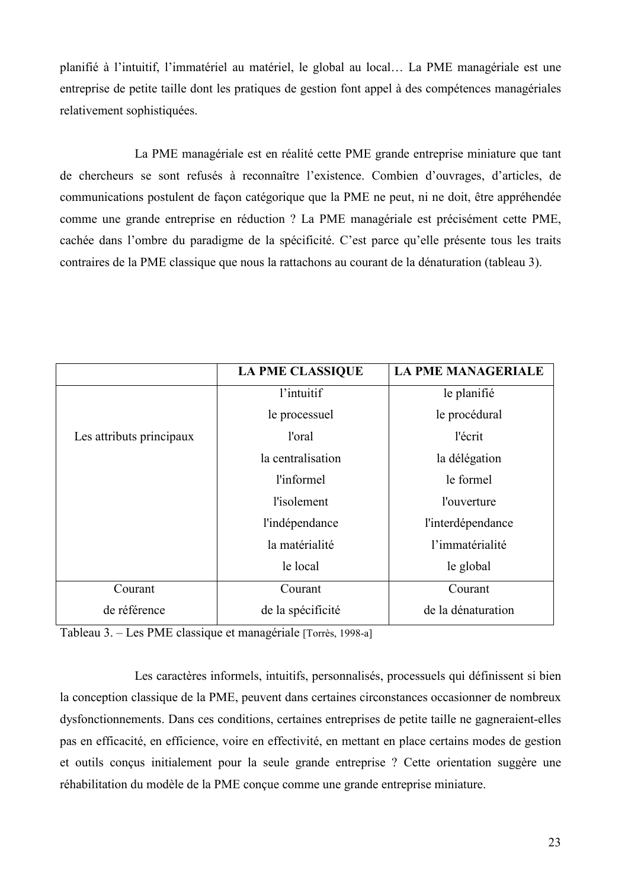planifié à l'intuitif, l'immatériel au matériel, le global au local... La PME managériale est une entreprise de petite taille dont les pratiques de gestion font appel à des compétences managériales relativement sophistiquées.

La PME managériale est en réalité cette PME grande entreprise miniature que tant de chercheurs se sont refusés à reconnaître l'existence. Combien d'ouvrages, d'articles, de communications postulent de façon catégorique que la PME ne peut, ni ne doit, être appréhendée comme une grande entreprise en réduction ? La PME managériale est précisément cette PME, cachée dans l'ombre du paradigme de la spécificité. C'est parce qu'elle présente tous les traits contraires de la PME classique que nous la rattachons au courant de la dénaturation (tableau 3).

|                          | <b>LA PME CLASSIQUE</b> | <b>LA PME MANAGERIALE</b> |
|--------------------------|-------------------------|---------------------------|
|                          | l'intuitif              | le planifié               |
|                          | le processuel           | le procédural             |
| Les attributs principaux | l'oral                  | l'écrit                   |
|                          | la centralisation       | la délégation             |
|                          | l'informel              | le formel                 |
|                          | l'isolement             | l'ouverture               |
|                          | l'indépendance          | l'interdépendance         |
|                          | la matérialité          | l'immatérialité           |
|                          | le local                | le global                 |
| Courant                  | Courant                 | Courant                   |
| de référence             | de la spécificité       | de la dénaturation        |

Tableau 3. – Les PME classique et managériale [Torrès, 1998-a]

Les caractères informels, intuitifs, personnalisés, processuels qui définissent si bien la conception classique de la PME, peuvent dans certaines circonstances occasionner de nombreux dysfonctionnements. Dans ces conditions, certaines entreprises de petite taille ne gagneraient-elles pas en efficacité, en efficience, voire en effectivité, en mettant en place certains modes de gestion et outils conçus initialement pour la seule grande entreprise? Cette orientation suggère une réhabilitation du modèle de la PME conçue comme une grande entreprise miniature.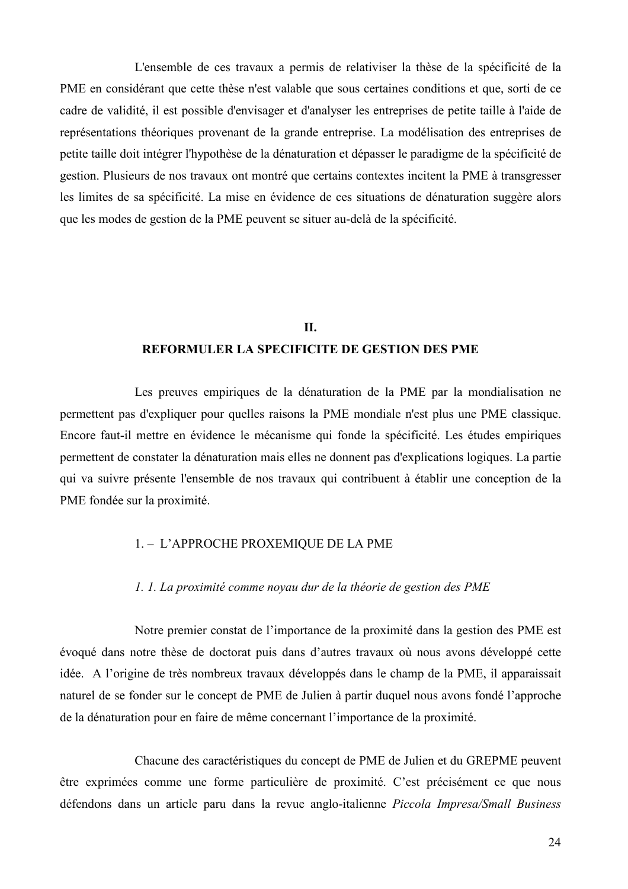L'ensemble de ces travaux a permis de relativiser la thèse de la spécificité de la PME en considérant que cette thèse n'est valable que sous certaines conditions et que, sorti de ce cadre de validité, il est possible d'envisager et d'analyser les entreprises de petite taille à l'aide de représentations théoriques provenant de la grande entreprise. La modélisation des entreprises de petite taille doit intégrer l'hypothèse de la dénaturation et dépasser le paradigme de la spécificité de gestion. Plusieurs de nos travaux ont montré que certains contextes incitent la PME à transgresser les limites de sa spécificité. La mise en évidence de ces situations de dénaturation suggère alors que les modes de gestion de la PME peuvent se situer au-delà de la spécificité.

### **II. REFORMULER LA SPECIFICITE DE GESTION DES PME**

Les preuves empiriques de la dénaturation de la PME par la mondialisation ne permettent pas d'expliquer pour quelles raisons la PME mondiale n'est plus une PME classique. Encore faut-il mettre en évidence le mécanisme qui fonde la spécificité. Les études empiriques permettent de constater la dénaturation mais elles ne donnent pas d'explications logiques. La partie qui va suivre présente l'ensemble de nos travaux qui contribuent à établir une conception de la PME fondée sur la proximité.

#### 1. - L'APPROCHE PROXEMIQUE DE LA PME

#### 1. 1. La proximité comme noyau dur de la théorie de gestion des PME

Notre premier constat de l'importance de la proximité dans la gestion des PME est évoqué dans notre thèse de doctorat puis dans d'autres travaux où nous avons développé cette idée. A l'origine de très nombreux travaux développés dans le champ de la PME, il apparaissait naturel de se fonder sur le concept de PME de Julien à partir duquel nous avons fondé l'approche de la dénaturation pour en faire de même concernant l'importance de la proximité.

Chacune des caractéristiques du concept de PME de Julien et du GREPME peuvent être exprimées comme une forme particulière de proximité. C'est précisément ce que nous défendons dans un article paru dans la revue anglo-italienne Piccola Impresa/Small Business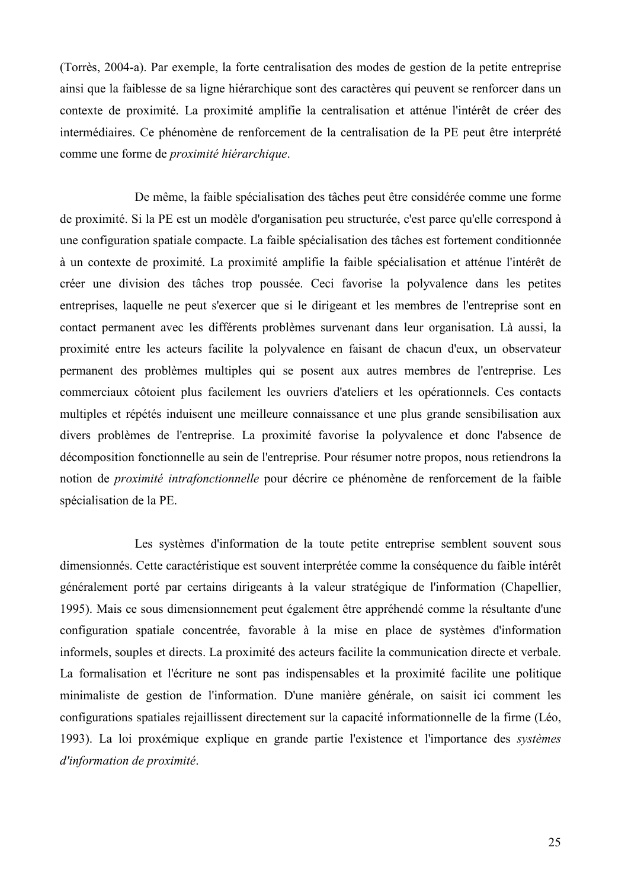(Torrès, 2004-a). Par exemple, la forte centralisation des modes de gestion de la petite entreprise ainsi que la faiblesse de sa ligne hiérarchique sont des caractères qui peuvent se renforcer dans un contexte de proximité. La proximité amplifie la centralisation et atténue l'intérêt de créer des intermédiaires. Ce phénomène de renforcement de la centralisation de la PE peut être interprété comme une forme de *proximité hiérarchique*.

De même, la faible spécialisation des tâches peut être considérée comme une forme de proximité. Si la PE est un modèle d'organisation peu structurée, c'est parce qu'elle correspond à une configuration spatiale compacte. La faible spécialisation des tâches est fortement conditionnée à un contexte de proximité. La proximité amplifie la faible spécialisation et atténue l'intérêt de créer une division des tâches trop poussée. Ceci favorise la polyvalence dans les petites entreprises, laquelle ne peut s'exercer que si le dirigeant et les membres de l'entreprise sont en contact permanent avec les différents problèmes survenant dans leur organisation. Là aussi, la proximité entre les acteurs facilite la polyvalence en faisant de chacun d'eux, un observateur permanent des problèmes multiples qui se posent aux autres membres de l'entreprise. Les commerciaux côtoient plus facilement les ouvriers d'ateliers et les opérationnels. Ces contacts multiples et répétés induisent une meilleure connaissance et une plus grande sensibilisation aux divers problèmes de l'entreprise. La proximité favorise la polyvalence et donc l'absence de décomposition fonctionnelle au sein de l'entreprise. Pour résumer notre propos, nous retiendrons la notion de *proximité intrafonctionnelle* pour décrire ce phénomène de renforcement de la faible spécialisation de la PE.

Les systèmes d'information de la toute petite entreprise semblent souvent sous dimensionnés. Cette caractéristique est souvent interprétée comme la conséquence du faible intérêt généralement porté par certains dirigeants à la valeur stratégique de l'information (Chapellier, 1995). Mais ce sous dimensionnement peut également être appréhendé comme la résultante d'une configuration spatiale concentrée, favorable à la mise en place de systèmes d'information informels, souples et directs. La proximité des acteurs facilite la communication directe et verbale. La formalisation et l'écriture ne sont pas indispensables et la proximité facilite une politique minimaliste de gestion de l'information. D'une manière générale, on saisit ici comment les configurations spatiales rejaillissent directement sur la capacité informationnelle de la firme (Léo, 1993). La loi proxémique explique en grande partie l'existence et l'importance des systèmes d'information de proximité.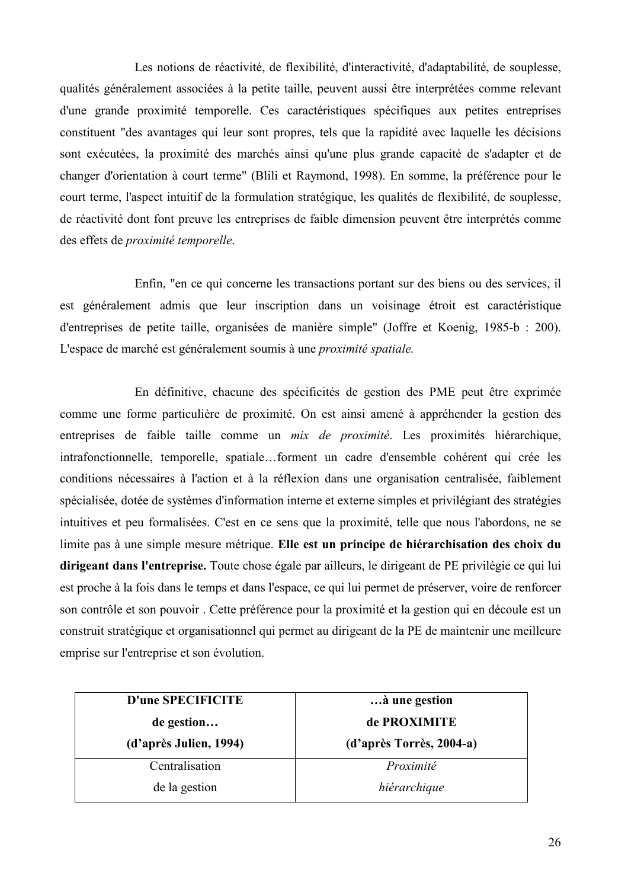Les notions de réactivité, de flexibilité, d'interactivité, d'adaptabilité, de souplesse, qualités généralement associées à la petite taille, peuvent aussi être interprétées comme relevant d'une grande proximité temporelle. Ces caractéristiques spécifiques aux petites entreprises constituent "des avantages qui leur sont propres, tels que la rapidité avec laquelle les décisions sont exécutées, la proximité des marchés ainsi qu'une plus grande capacité de s'adapter et de changer d'orientation à court terme" (Blili et Raymond, 1998). En somme, la préférence pour le court terme, l'aspect intuitif de la formulation stratégique, les qualités de flexibilité, de souplesse, de réactivité dont font preuve les entreprises de faible dimension peuvent être interprétés comme des effets de proximité temporelle.

Enfin, "en ce qui concerne les transactions portant sur des biens ou des services, il est généralement admis que leur inscription dans un voisinage étroit est caractéristique d'entreprises de petite taille, organisées de manière simple" (Joffre et Koenig, 1985-b : 200). L'espace de marché est généralement soumis à une *proximité spatiale*.

En définitive, chacune des spécificités de gestion des PME peut être exprimée comme une forme particulière de proximité. On est ainsi amené à appréhender la gestion des entreprises de faible taille comme un *mix de proximité*. Les proximités hiérarchique, intrafonctionnelle, temporelle, spatiale...forment un cadre d'ensemble cohérent qui crée les conditions nécessaires à l'action et à la réflexion dans une organisation centralisée, faiblement spécialisée, dotée de systèmes d'information interne et externe simples et privilégiant des stratégies intuitives et peu formalisées. C'est en ce sens que la proximité, telle que nous l'abordons, ne se limite pas à une simple mesure métrique. Elle est un principe de hiérarchisation des choix du dirigeant dans l'entreprise. Toute chose égale par ailleurs, le dirigeant de PE privilégie ce qui lui est proche à la fois dans le temps et dans l'espace, ce qui lui permet de préserver, voire de renforcer son contrôle et son pouvoir. Cette préférence pour la proximité et la gestion qui en découle est un construit stratégique et organisationnel qui permet au dirigeant de la PE de maintenir une meilleure emprise sur l'entreprise et son évolution.

| D'une SPECIFICITE      | à une gestion            |
|------------------------|--------------------------|
| de gestion             | de PROXIMITE             |
| (d'après Julien, 1994) | (d'après Torrès, 2004-a) |
| Centralisation         | Proximité                |
| de la gestion          | hiérarchique             |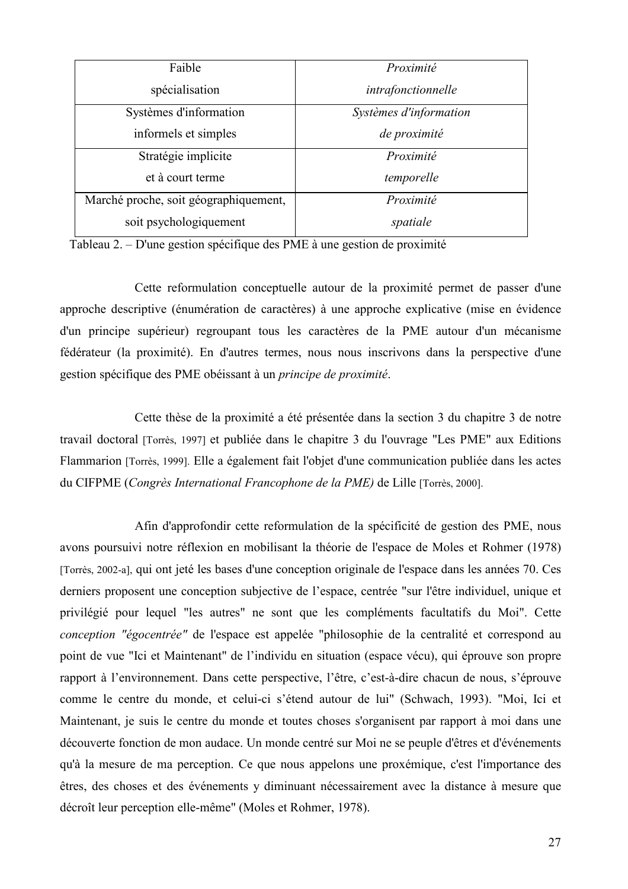| Faible                                | Proximité              |
|---------------------------------------|------------------------|
| spécialisation                        | intrafonctionnelle     |
| Systèmes d'information                | Systèmes d'information |
| informels et simples                  | de proximité           |
| Stratégie implicite                   | Proximité              |
| et à court terme                      | temporelle             |
| Marché proche, soit géographiquement, | Proximité              |
| soit psychologiquement                | spatiale               |

Tableau 2. – D'une gestion spécifique des PME à une gestion de proximité

Cette reformulation conceptuelle autour de la proximité permet de passer d'une approche descriptive (énumération de caractères) à une approche explicative (mise en évidence d'un principe supérieur) regroupant tous les caractères de la PME autour d'un mécanisme fédérateur (la proximité). En d'autres termes, nous nous inscrivons dans la perspective d'une gestion spécifique des PME obéissant à un principe de proximité.

Cette thèse de la proximité a été présentée dans la section 3 du chapitre 3 de notre travail doctoral [Torrès, 1997] et publiée dans le chapitre 3 du l'ouvrage "Les PME" aux Editions Flammarion [Torrès, 1999]. Elle a également fait l'objet d'une communication publiée dans les actes du CIFPME (Congrès International Francophone de la PME) de Lille [Torrès. 2000].

Afin d'approfondir cette reformulation de la spécificité de gestion des PME, nous avons poursuivi notre réflexion en mobilisant la théorie de l'espace de Moles et Rohmer (1978) [Torrès, 2002-a], qui ont jeté les bases d'une conception originale de l'espace dans les années 70. Ces derniers proposent une conception subjective de l'espace, centrée "sur l'être individuel, unique et privilégié pour lequel "les autres" ne sont que les compléments facultatifs du Moi". Cette conception "égocentrée" de l'espace est appelée "philosophie de la centralité et correspond au point de vue "Ici et Maintenant" de l'individu en situation (espace vécu), qui éprouve son propre rapport à l'environnement. Dans cette perspective, l'être, c'est-à-dire chacun de nous, s'éprouve comme le centre du monde, et celui-ci s'étend autour de lui" (Schwach, 1993). "Moi, Ici et Maintenant, je suis le centre du monde et toutes choses s'organisent par rapport à moi dans une découverte fonction de mon audace. Un monde centré sur Moi ne se peuple d'êtres et d'événements qu'à la mesure de ma perception. Ce que nous appelons une proxémique, c'est l'importance des êtres, des choses et des événements y diminuant nécessairement avec la distance à mesure que décroît leur perception elle-même" (Moles et Rohmer, 1978).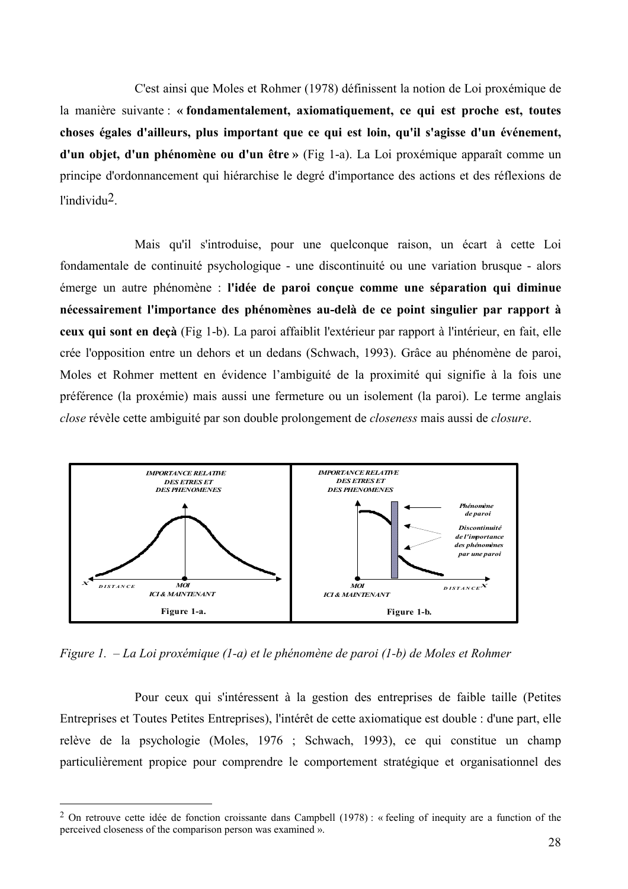C'est ainsi que Moles et Rohmer (1978) définissent la notion de Loi proxémique de la manière suivante : « fondamentalement, axiomatiquement, ce qui est proche est, toutes choses égales d'ailleurs, plus important que ce qui est loin, qu'il s'agisse d'un événement, d'un objet, d'un phénomène ou d'un être » (Fig 1-a). La Loi proxémique apparaît comme un principe d'ordonnancement qui hiérarchise le degré d'importance des actions et des réflexions de  $l'individu<sup>2</sup>$ .

Mais qu'il s'introduise, pour une quelconque raison, un écart à cette Loi fondamentale de continuité psychologique - une discontinuité ou une variation brusque - alors émerge un autre phénomène : l'idée de paroi conçue comme une séparation qui diminue nécessairement l'importance des phénomènes au-delà de ce point singulier par rapport à ceux qui sont en decà (Fig 1-b). La paroi affaiblit l'extérieur par rapport à l'intérieur, en fait, elle crée l'opposition entre un dehors et un dedans (Schwach, 1993). Grâce au phénomène de paroi, Moles et Rohmer mettent en évidence l'ambiguité de la proximité qui signifie à la fois une préférence (la proxémie) mais aussi une fermeture ou un isolement (la paroi). Le terme anglais close révèle cette ambiguité par son double prolongement de closeness mais aussi de closure.



Figure 1.  $-La$  Loi proxémique (1-a) et le phénomène de paroi (1-b) de Moles et Rohmer

Pour ceux qui s'intéressent à la gestion des entreprises de faible taille (Petites Entreprises et Toutes Petites Entreprises), l'intérêt de cette axiomatique est double : d'une part, elle relève de la psychologie (Moles, 1976 ; Schwach, 1993), ce qui constitue un champ particulièrement propice pour comprendre le comportement stratégique et organisationnel des

<sup>&</sup>lt;sup>2</sup> On retrouve cette idée de fonction croissante dans Campbell (1978): « feeling of inequity are a function of the perceived closeness of the comparison person was examined ».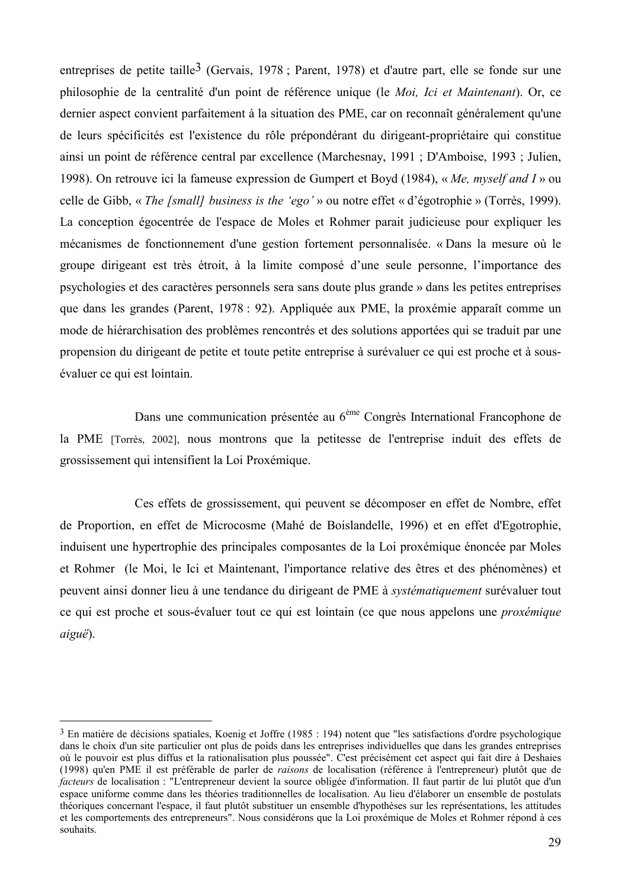entreprises de petite taille<sup>3</sup> (Gervais, 1978; Parent, 1978) et d'autre part, elle se fonde sur une philosophie de la centralité d'un point de référence unique (le Moi, Ici et Maintenant). Or, ce dernier aspect convient parfaitement à la situation des PME, car on reconnaît généralement qu'une de leurs spécificités est l'existence du rôle prépondérant du dirigeant-propriétaire qui constitue ainsi un point de référence central par excellence (Marchesnay, 1991 ; D'Amboise, 1993 ; Julien, 1998). On retrouve ici la fameuse expression de Gumpert et Boyd (1984), « Me, myself and I » ou celle de Gibb, « The [small] business is the 'ego' » ou notre effet « d'égotrophie » (Torrès, 1999). La conception égocentrée de l'espace de Moles et Rohmer parait judicieuse pour expliquer les mécanismes de fonctionnement d'une gestion fortement personnalisée. « Dans la mesure où le groupe dirigeant est très étroit, à la limite composé d'une seule personne, l'importance des psychologies et des caractères personnels sera sans doute plus grande » dans les petites entreprises que dans les grandes (Parent, 1978 : 92). Appliquée aux PME, la proxémie apparaît comme un mode de hiérarchisation des problèmes rencontrés et des solutions apportées qui se traduit par une propension du dirigeant de petite et toute petite entreprise à surévaluer ce qui est proche et à sousévaluer ce qui est lointain.

Dans une communication présentée au 6<sup>ème</sup> Congrès International Francophone de la PME [Torrès, 2002], nous montrons que la petitesse de l'entreprise induit des effets de grossissement qui intensifient la Loi Proxémique.

Ces effets de grossissement, qui peuvent se décomposer en effet de Nombre, effet de Proportion, en effet de Microcosme (Mahé de Boislandelle, 1996) et en effet d'Egotrophie, induisent une hypertrophie des principales composantes de la Loi proxémique énoncée par Moles et Rohmer (le Moi, le Ici et Maintenant, l'importance relative des êtres et des phénomènes) et peuvent ainsi donner lieu à une tendance du dirigeant de PME à *systématiquement* surévaluer tout ce qui est proche et sous-évaluer tout ce qui est lointain (ce que nous appelons une *proxémique*  $aigu\ddot{e}$ ).

 $3$  En matière de décisions spatiales. Koenig et Joffre (1985 : 194) notent que "les satisfactions d'ordre psychologique dans le choix d'un site particulier ont plus de poids dans les entreprises individuelles que dans les grandes entreprises où le pouvoir est plus diffus et la rationalisation plus poussée". C'est précisément cet aspect qui fait dire à Deshaies (1998) qu'en PME il est préférable de parler de *raisons* de localisation (référence à l'entrepreneur) plutôt que de *facteurs* de localisation : "L'entrepreneur devient la source obligée d'information. Il faut partir de lui plutôt que d'un espace uniforme comme dans les théories traditionnelles de localisation. Au lieu d'élaborer un ensemble de postulats théoriques concernant l'espace, il faut plutôt substituer un ensemble d'hypothèses sur les représentations, les attitudes et les comportements des entrepreneurs". Nous considérons que la Loi proxémique de Moles et Rohmer répond à ces souhaits.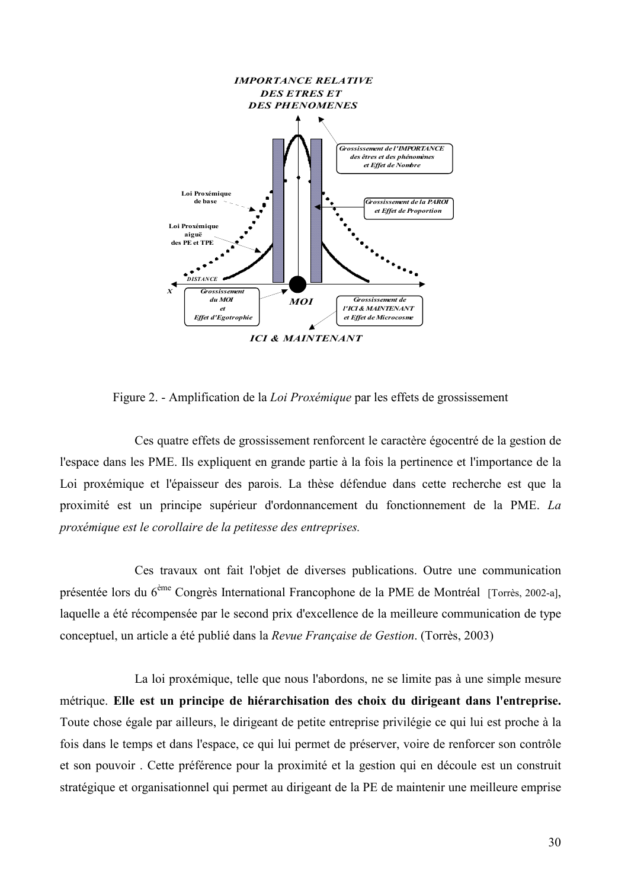

Figure 2. - Amplification de la Loi Proxémique par les effets de grossissement

Ces quatre effets de grossissement renforcent le caractère égocentré de la gestion de l'espace dans les PME. Ils expliquent en grande partie à la fois la pertinence et l'importance de la Loi proxémique et l'épaisseur des parois. La thèse défendue dans cette recherche est que la proximité est un principe supérieur d'ordonnancement du fonctionnement de la PME. La proxémique est le corollaire de la petitesse des entreprises.

Ces travaux ont fait l'objet de diverses publications. Outre une communication présentée lors du 6<sup>ème</sup> Congrès International Francophone de la PME de Montréal [Torrès, 2002-a], laquelle a été récompensée par le second prix d'excellence de la meilleure communication de type conceptuel, un article a été publié dans la Revue Française de Gestion. (Torrès, 2003)

La loi proxémique, telle que nous l'abordons, ne se limite pas à une simple mesure métrique. Elle est un principe de hiérarchisation des choix du dirigeant dans l'entreprise. Toute chose égale par ailleurs, le dirigeant de petite entreprise privilégie ce qui lui est proche à la fois dans le temps et dans l'espace, ce qui lui permet de préserver, voire de renforcer son contrôle et son pouvoir. Cette préférence pour la proximité et la gestion qui en découle est un construit stratégique et organisationnel qui permet au dirigeant de la PE de maintenir une meilleure emprise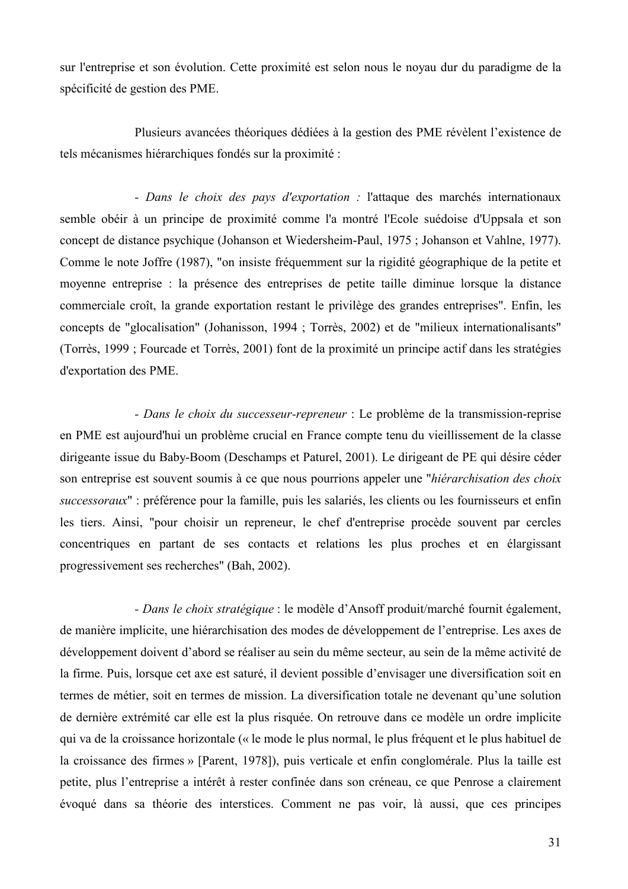sur l'entreprise et son évolution. Cette proximité est selon nous le novau dur du paradigme de la spécificité de gestion des PME.

Plusieurs avancées théoriques dédiées à la gestion des PME révèlent l'existence de tels mécanismes hiérarchiques fondés sur la proximité :

- Dans le choix des pays d'exportation : l'attaque des marchés internationaux semble obéir à un principe de proximité comme l'a montré l'Ecole suédoise d'Uppsala et son concept de distance psychique (Johanson et Wiedersheim-Paul, 1975; Johanson et Vahlne, 1977). Comme le note Joffre (1987), "on insiste fréquemment sur la rigidité géographique de la petite et moyenne entreprise : la présence des entreprises de petite taille diminue lorsque la distance commerciale croît, la grande exportation restant le privilège des grandes entreprises". Enfin, les concepts de "glocalisation" (Johanisson, 1994 ; Torrès, 2002) et de "milieux internationalisants" (Torrès, 1999 ; Fourcade et Torrès, 2001) font de la proximité un principe actif dans les stratégies d'exportation des PME.

- Dans le choix du successeur-repreneur : Le problème de la transmission-reprise en PME est aujourd'hui un problème crucial en France compte tenu du vieillissement de la classe dirigeante issue du Baby-Boom (Deschamps et Paturel, 2001). Le dirigeant de PE qui désire céder son entreprise est souvent soumis à ce que nous pourrions appeler une "hiérarchisation des choix successoraux" : préférence pour la famille, puis les salariés, les clients ou les fournisseurs et enfin les tiers. Ainsi, "pour choisir un repreneur, le chef d'entreprise procède souvent par cercles concentriques en partant de ses contacts et relations les plus proches et en élargissant progressivement ses recherches" (Bah, 2002).

- Dans le choix stratégique : le modèle d'Ansoff produit/marché fournit également, de manière implicite, une hiérarchisation des modes de développement de l'entreprise. Les axes de développement doivent d'abord se réaliser au sein du même secteur, au sein de la même activité de la firme. Puis, lorsque cet axe est saturé, il devient possible d'envisager une diversification soit en termes de métier, soit en termes de mission. La diversification totale ne devenant qu'une solution de dernière extrémité car elle est la plus risquée. On retrouve dans ce modèle un ordre implicite qui va de la croissance horizontale (« le mode le plus normal, le plus fréquent et le plus habituel de la croissance des firmes » [Parent, 1978]), puis verticale et enfin conglomérale. Plus la taille est petite, plus l'entreprise a intérêt à rester confinée dans son créneau, ce que Penrose a clairement évoqué dans sa théorie des interstices. Comment ne pas voir, là aussi, que ces principes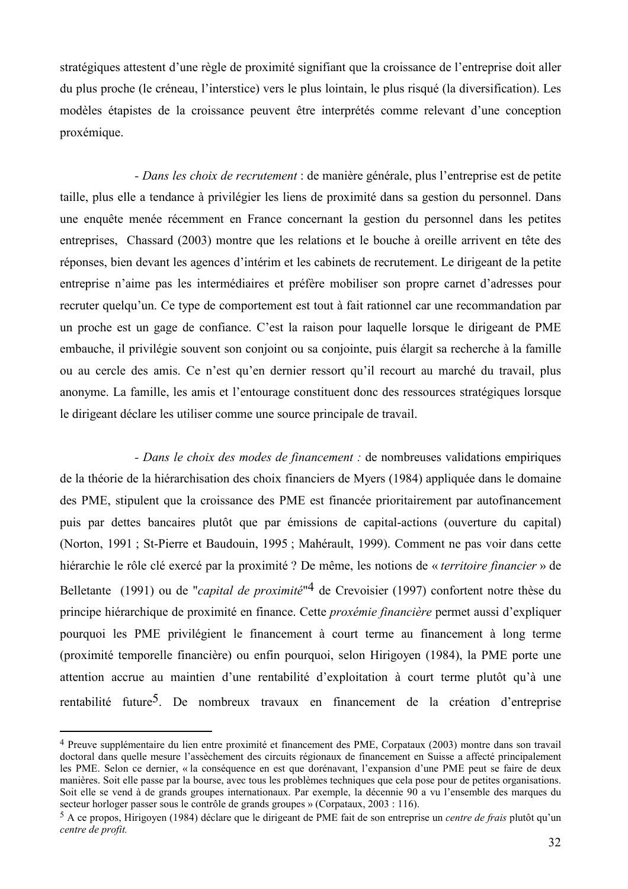stratégiques attestent d'une règle de proximité signifiant que la croissance de l'entreprise doit aller du plus proche (le créneau, l'interstice) vers le plus lointain, le plus risqué (la diversification). Les modèles étapistes de la croissance peuvent être interprétés comme relevant d'une conception proxémique.

- Dans les choix de recrutement : de manière générale, plus l'entreprise est de petite taille, plus elle a tendance à privilégier les liens de proximité dans sa gestion du personnel. Dans une enquête menée récemment en France concernant la gestion du personnel dans les petites entreprises, Chassard (2003) montre que les relations et le bouche à oreille arrivent en tête des réponses, bien devant les agences d'intérim et les cabinets de recrutement. Le dirigeant de la petite entreprise n'aime pas les intermédiaires et préfère mobiliser son propre carnet d'adresses pour recruter quelqu'un. Ce type de comportement est tout à fait rationnel car une recommandation par un proche est un gage de confiance. C'est la raison pour laquelle lorsque le dirigeant de PME embauche, il privilégie souvent son conjoint ou sa conjointe, puis élargit sa recherche à la famille ou au cercle des amis. Ce n'est qu'en dernier ressort qu'il recourt au marché du travail, plus anonyme. La famille, les amis et l'entourage constituent donc des ressources stratégiques lorsque le dirigeant déclare les utiliser comme une source principale de travail.

- Dans le choix des modes de financement : de nombreuses validations empiriques de la théorie de la hiérarchisation des choix financiers de Myers (1984) appliquée dans le domaine des PME, stipulent que la croissance des PME est financée prioritairement par autofinancement puis par dettes bancaires plutôt que par émissions de capital-actions (ouverture du capital) (Norton, 1991; St-Pierre et Baudouin, 1995; Mahérault, 1999). Comment ne pas voir dans cette hiérarchie le rôle clé exercé par la proximité ? De même, les notions de « territoire financier » de Belletante (1991) ou de "*capital de proximité*"<sup>4</sup> de Crevoisier (1997) confortent notre thèse du principe hiérarchique de proximité en finance. Cette *proxémie financière* permet aussi d'expliquer pourquoi les PME privilégient le financement à court terme au financement à long terme (proximité temporelle financière) ou enfin pourquoi, selon Hirigoyen (1984), la PME porte une attention accrue au maintien d'une rentabilité d'exploitation à court terme plutôt qu'à une rentabilité future<sup>5</sup>. De nombreux travaux en financement de la création d'entreprise

<sup>&</sup>lt;sup>4</sup> Preuve supplémentaire du lien entre proximité et financement des PME, Corpataux (2003) montre dans son travail doctoral dans quelle mesure l'assèchement des circuits régionaux de financement en Suisse a affecté principalement les PME. Selon ce dernier, « la conséquence en est que dorénavant, l'expansion d'une PME peut se faire de deux manières. Soit elle passe par la bourse, avec tous les problèmes techniques que cela pose pour de petites organisations. Soit elle se vend à de grands groupes internationaux. Par exemple, la décennie 90 a vu l'ensemble des marques du secteur horloger passer sous le contrôle de grands groupes » (Corpataux, 2003 : 116).

 $5$  A ce propos, Hirigoven (1984) déclare que le dirigeant de PME fait de son entreprise un *centre de frais* plutôt qu'un centre de profit.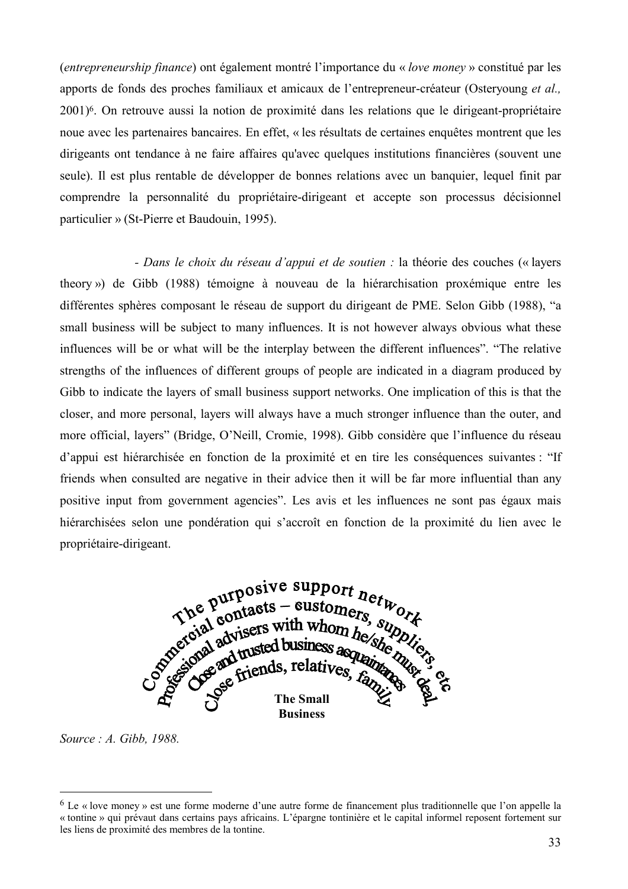*(entrepreneurship finance)* ont également montré l'importance du « *love money* » constitué par les apports de fonds des proches familiaux et amicaux de l'entrepreneur-créateur (Ostervoung et al. 2001)<sup>6</sup>. On retrouve aussi la notion de proximité dans les relations que le dirigeant-propriétaire noue avec les partenaires bancaires. En effet, « les résultats de certaines enquêtes montrent que les dirigeants ont tendance à ne faire affaires qu'avec quelques institutions financières (souvent une seule). Il est plus rentable de développer de bonnes relations avec un banquier, lequel finit par comprendre la personnalité du propriétaire-dirigeant et accepte son processus décisionnel particulier » (St-Pierre et Baudouin, 1995).

- Dans le choix du réseau d'appui et de soutien : la théorie des couches (« layers theory») de Gibb (1988) témoigne à nouveau de la hiérarchisation proxémique entre les différentes sphères composant le réseau de support du dirigeant de PME. Selon Gibb (1988), "a small business will be subject to many influences. It is not however always obvious what these influences will be or what will be the interplay between the different influences". "The relative strengths of the influences of different groups of people are indicated in a diagram produced by Gibb to indicate the layers of small business support networks. One implication of this is that the closer, and more personal, layers will always have a much stronger influence than the outer, and more official, layers" (Bridge, O'Neill, Cromie, 1998). Gibb considère que l'influence du réseau d'appui est hiérarchisée en fonction de la proximité et en tire les conséquences suivantes : "If friends when consulted are negative in their advice then it will be far more influential than any positive input from government agencies". Les avis et les influences ne sont pas égaux mais hiérarchisées selon une pondération qui s'accroît en fonction de la proximité du lien avec le propriétaire-dirigeant.



Source : A. Gibb, 1988.

 $6$  Le « love money » est une forme moderne d'une autre forme de financement plus traditionnelle que l'on appelle la « tontine » qui prévaut dans certains pays africains. L'épargne tontinière et le capital informel reposent fortement sur les liens de proximité des membres de la tontine.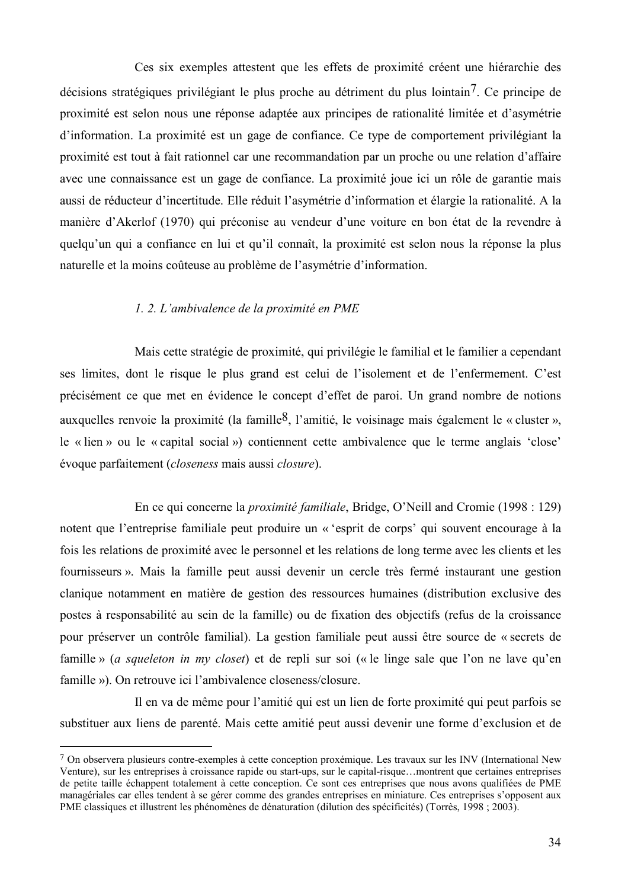Ces six exemples attestent que les effets de proximité créent une hiérarchie des décisions stratégiques privilégiant le plus proche au détriment du plus lointain<sup>7</sup>. Ce principe de proximité est selon nous une réponse adaptée aux principes de rationalité limitée et d'asymétrie d'information. La proximité est un gage de confiance. Ce type de comportement privilégiant la proximité est tout à fait rationnel car une recommandation par un proche ou une relation d'affaire avec une connaissance est un gage de confiance. La proximité joue ici un rôle de garantie mais aussi de réducteur d'incertitude. Elle réduit l'asymétrie d'information et élargie la rationalité. A la manière d'Akerlof (1970) qui préconise au vendeur d'une voiture en bon état de la revendre à quelqu'un qui a confiance en lui et qu'il connaît, la proximité est selon nous la réponse la plus naturelle et la moins coûteuse au problème de l'asymétrie d'information.

#### 1. 2. L'ambivalence de la proximité en PME

Mais cette stratégie de proximité, qui privilégie le familial et le familier a cependant ses limites, dont le risque le plus grand est celui de l'isolement et de l'enfermement. C'est précisément ce que met en évidence le concept d'effet de paroi. Un grand nombre de notions auxquelles renvoie la proximité (la famille<sup>8</sup>, l'amitié, le voisinage mais également le « cluster ». le « lien » ou le « capital social ») contiennent cette ambivalence que le terme anglais 'close' évoque parfaitement (closeness mais aussi closure).

En ce qui concerne la *proximité familiale*. Bridge, O'Neill and Cromie (1998 : 129) notent que l'entreprise familiale peut produire un « 'esprit de corps' qui souvent encourage à la fois les relations de proximité avec le personnel et les relations de long terme avec les clients et les fournisseurs ». Mais la famille peut aussi devenir un cercle très fermé instaurant une gestion clanique notamment en matière de gestion des ressources humaines (distribution exclusive des postes à responsabilité au sein de la famille) ou de fixation des objectifs (refus de la croissance pour préserver un contrôle familial). La gestion familiale peut aussi être source de « secrets de famille » (a squeleton in my closet) et de repli sur soi (« le linge sale que l'on ne lave qu'en famille »). On retrouve ici l'ambivalence closeness/closure.

Il en va de même pour l'amitié qui est un lien de forte proximité qui peut parfois se substituer aux liens de parenté. Mais cette amitié peut aussi devenir une forme d'exclusion et de

<sup>7</sup> On observera plusieurs contre-exemples à cette conception proxémique. Les travaux sur les INV (International New Venture), sur les entreprises à croissance rapide ou start-ups, sur le capital-risque...montrent que certaines entreprises de petite taille échappent totalement à cette conception. Ce sont ces entreprises que nous avons qualifiées de PME managériales car elles tendent à se gérer comme des grandes entreprises en miniature. Ces entreprises s'opposent aux PME classiques et illustrent les phénomènes de dénaturation (dilution des spécificités) (Torrès, 1998 ; 2003).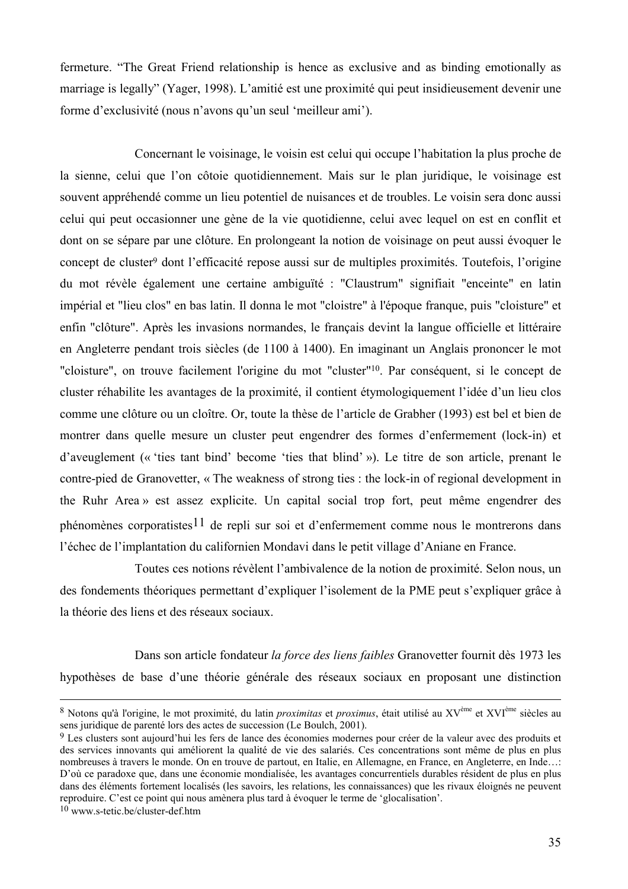fermeture. "The Great Friend relationship is hence as exclusive and as binding emotionally as marriage is legally" (Yager, 1998). L'amitié est une proximité qui peut insidieusement devenir une forme d'exclusivité (nous n'avons qu'un seul 'meilleur ami').

Concernant le voisinage, le voisin est celui qui occupe l'habitation la plus proche de la sienne, celui que l'on côtoie quotidiennement. Mais sur le plan juridique, le voisinage est souvent appréhendé comme un lieu potentiel de nuisances et de troubles. Le voisin sera donc aussi celui qui peut occasionner une gène de la vie quotidienne, celui avec lequel on est en conflit et dont on se sépare par une clôture. En prolongeant la notion de voisinage on peut aussi évoquer le concept de cluster<sup>9</sup> dont l'efficacité repose aussi sur de multiples proximités. Toutefois, l'origine du mot révèle également une certaine ambiguïté : "Claustrum" signifiait "enceinte" en latin impérial et "lieu clos" en bas latin. Il donna le mot "cloistre" à l'époque franque, puis "cloisture" et enfin "clôture". Après les invasions normandes, le français devint la langue officielle et littéraire en Angleterre pendant trois siècles (de 1100 à 1400). En imaginant un Anglais prononcer le mot "cloisture", on trouve facilement l'origine du mot "cluster"<sup>10</sup>. Par conséquent, si le concept de cluster réhabilite les avantages de la proximité, il contient étymologiquement l'idée d'un lieu clos comme une clôture ou un cloître. Or, toute la thèse de l'article de Grabher (1993) est bel et bien de montrer dans quelle mesure un cluster peut engendrer des formes d'enfermement (lock-in) et d'aveuglement (« 'ties tant bind' become 'ties that blind' »). Le titre de son article, prenant le contre-pied de Granovetter, « The weakness of strong ties : the lock-in of regional development in the Ruhr Area » est assez explicite. Un capital social trop fort, peut même engendrer des phénomènes corporatistes<sup>11</sup> de repli sur soi et d'enfermement comme nous le montrerons dans l'échec de l'implantation du californien Mondavi dans le petit village d'Aniane en France.

Toutes ces notions révèlent l'ambivalence de la notion de proximité. Selon nous, un des fondements théoriques permettant d'expliquer l'isolement de la PME peut s'expliquer grâce à la théorie des liens et des réseaux sociaux

Dans son article fondateur la force des liens faibles Granovetter fournit dès 1973 les hypothèses de base d'une théorie générale des réseaux sociaux en proposant une distinction

<sup>8</sup> Notons qu'à l'origine, le mot proximité, du latin *proximitas* et *proximus*, était utilisé au XV<sup>ème</sup> et XVI<sup>ème</sup> siècles au sens juridique de parenté lors des actes de succession (Le Boulch, 2001).

<sup>9</sup> Les clusters sont aujourd'hui les fers de lance des économies modernes pour créer de la valeur avec des produits et des services innovants qui améliorent la qualité de vie des salariés. Ces concentrations sont même de plus en plus nombreuses à travers le monde. On en trouve de partout, en Italie, en Allemagne, en France, en Angleterre, en Inde...: D'où ce paradoxe que, dans une économie mondialisée, les avantages concurrentiels durables résident de plus en plus dans des éléments fortement localisés (les savoirs, les relations, les connaissances) que les rivaux éloignés ne peuvent reproduire. C'est ce point qui nous amènera plus tard à évoquer le terme de 'glocalisation'.

<sup>&</sup>lt;sup>10</sup> www.s-tetic.be/cluster-def.htm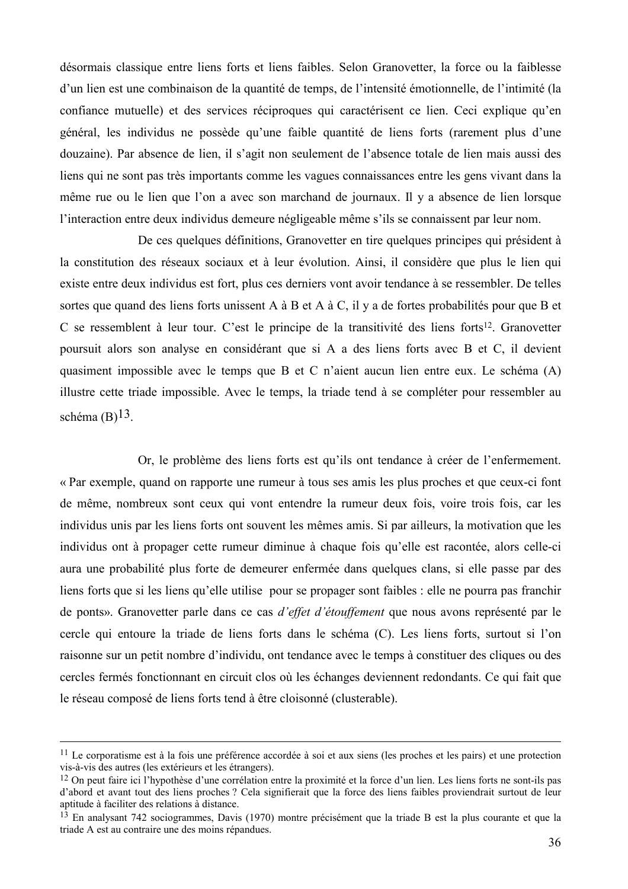désormais classique entre liens forts et liens faibles. Selon Granovetter, la force ou la faiblesse d'un lien est une combinaison de la quantité de temps, de l'intensité émotionnelle, de l'intimité (la confiance mutuelle) et des services réciproques qui caractérisent ce lien. Ceci explique qu'en général, les individus ne possède qu'une faible quantité de liens forts (rarement plus d'une douzaine). Par absence de lien, il s'agit non seulement de l'absence totale de lien mais aussi des liens qui ne sont pas très importants comme les vagues connaissances entre les gens vivant dans la même rue ou le lien que l'on a avec son marchand de journaux. Il y a absence de lien lorsque l'interaction entre deux individus demeure négligeable même s'ils se connaissent par leur nom.

De ces quelques définitions, Granovetter en tire quelques principes qui président à la constitution des réseaux sociaux et à leur évolution. Ainsi, il considère que plus le lien qui existe entre deux individus est fort, plus ces derniers vont avoir tendance à se ressembler. De telles sortes que quand des liens forts unissent A à B et A à C, il y a de fortes probabilités pour que B et C se ressemblent à leur tour. C'est le principe de la transitivité des liens forts<sup>12</sup>. Granovetter poursuit alors son analyse en considérant que si A a des liens forts avec B et C, il devient quasiment impossible avec le temps que B et C n'aient aucun lien entre eux. Le schéma (A) illustre cette triade impossible. Avec le temps, la triade tend à se compléter pour ressembler au schéma  $(B)$ <sup>13</sup>.

Or, le problème des liens forts est qu'ils ont tendance à créer de l'enfermement. « Par exemple, quand on rapporte une rumeur à tous ses amis les plus proches et que ceux-ci font de même, nombreux sont ceux qui vont entendre la rumeur deux fois, voire trois fois, car les individus unis par les liens forts ont souvent les mêmes amis. Si par ailleurs, la motivation que les individus ont à propager cette rumeur diminue à chaque fois qu'elle est racontée, alors celle-ci aura une probabilité plus forte de demeurer enfermée dans quelques clans, si elle passe par des liens forts que si les liens qu'elle utilise pour se propager sont faibles : elle ne pourra pas franchir de ponts». Granovetter parle dans ce cas d'effet d'étouffement que nous avons représenté par le cercle qui entoure la triade de liens forts dans le schéma (C). Les liens forts, surtout si l'on raisonne sur un petit nombre d'individu, ont tendance avec le temps à constituer des cliques ou des cercles fermés fonctionnant en circuit clos où les échanges deviennent redondants. Ce qui fait que le réseau composé de liens forts tend à être cloisonné (clusterable).

<sup>&</sup>lt;sup>11</sup> Le corporatisme est à la fois une préférence accordée à soi et aux siens (les proches et les pairs) et une protection vis-à-vis des autres (les extérieurs et les étrangers).

<sup>&</sup>lt;sup>12</sup> On peut faire ici l'hypothèse d'une corrélation entre la proximité et la force d'un lien. Les liens forts ne sont-ils pas d'abord et avant tout des liens proches ? Cela signifierait que la force des liens faibles proviendrait surtout de leur aptitude à faciliter des relations à distance.

<sup>&</sup>lt;sup>13</sup> En analysant 742 sociogrammes, Davis (1970) montre précisément que la triade B est la plus courante et que la triade A est au contraire une des moins répandues.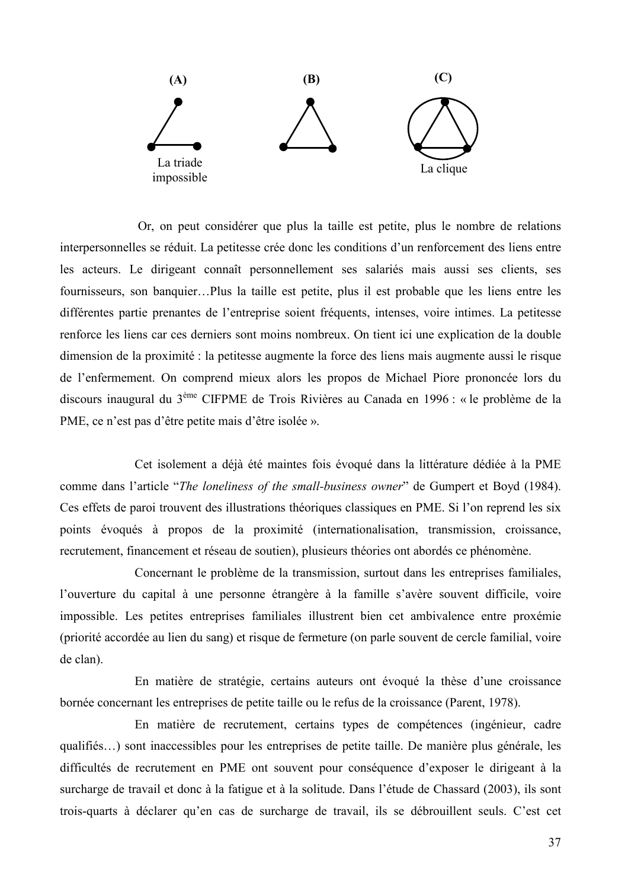

Or, on peut considérer que plus la taille est petite, plus le nombre de relations interpersonnelles se réduit. La petitesse crée donc les conditions d'un renforcement des liens entre les acteurs. Le dirigeant connaît personnellement ses salariés mais aussi ses clients, ses fournisseurs, son banquier...Plus la taille est petite, plus il est probable que les liens entre les différentes partie prenantes de l'entreprise soient fréquents, intenses, voire intimes. La petitesse renforce les liens car ces derniers sont moins nombreux. On tient ici une explication de la double dimension de la proximité : la petitesse augmente la force des liens mais augmente aussi le risque de l'enfermement. On comprend mieux alors les propos de Michael Piore prononcée lors du discours inaugural du 3<sup>ème</sup> CIFPME de Trois Rivières au Canada en 1996 : « le problème de la PME, ce n'est pas d'être petite mais d'être isolée ».

Cet isolement a déjà été maintes fois évoqué dans la littérature dédiée à la PME comme dans l'article "The loneliness of the small-business owner" de Gumpert et Boyd (1984). Ces effets de paroi trouvent des illustrations théoriques classiques en PME. Si l'on reprend les six points évoqués à propos de la proximité (internationalisation, transmission, croissance, recrutement, financement et réseau de soutien), plusieurs théories ont abordés ce phénomène.

Concernant le problème de la transmission, surtout dans les entreprises familiales, l'ouverture du capital à une personne étrangère à la famille s'avère souvent difficile, voire impossible. Les petites entreprises familiales illustrent bien cet ambivalence entre proxémie (priorité accordée au lien du sang) et risque de fermeture (on parle souvent de cercle familial, voire de clan).

En matière de stratégie, certains auteurs ont évoqué la thèse d'une croissance bornée concernant les entreprises de petite taille ou le refus de la croissance (Parent, 1978).

En matière de recrutement, certains types de compétences (ingénieur, cadre qualifiés...) sont inaccessibles pour les entreprises de petite taille. De manière plus générale, les difficultés de recrutement en PME ont souvent pour conséquence d'exposer le dirigeant à la surcharge de travail et donc à la fatigue et à la solitude. Dans l'étude de Chassard (2003), ils sont trois-quarts à déclarer qu'en cas de surcharge de travail, ils se débrouillent seuls. C'est cet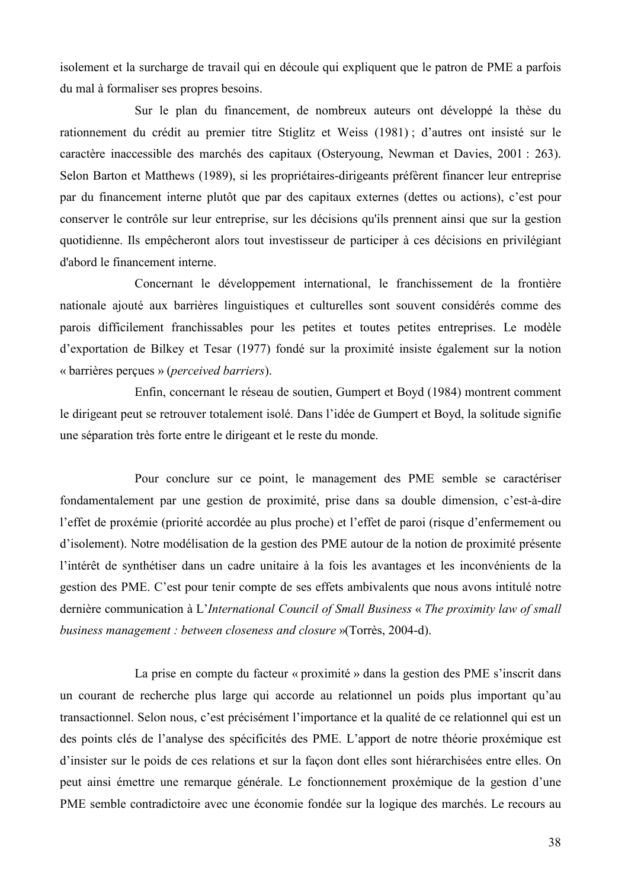isolement et la surcharge de travail qui en découle qui expliquent que le patron de PME a parfois du mal à formaliser ses propres besoins.

Sur le plan du financement, de nombreux auteurs ont développé la thèse du rationnement du crédit au premier titre Stiglitz et Weiss (1981); d'autres ont insisté sur le caractère inaccessible des marchés des capitaux (Osteryoung, Newman et Davies, 2001 : 263). Selon Barton et Matthews (1989), si les propriétaires-dirigeants préfèrent financer leur entreprise par du financement interne plutôt que par des capitaux externes (dettes ou actions), c'est pour conserver le contrôle sur leur entreprise, sur les décisions qu'ils prennent ainsi que sur la gestion quotidienne. Ils empêcheront alors tout investisseur de participer à ces décisions en privilégiant d'abord le financement interne.

Concernant le développement international, le franchissement de la frontière nationale ajouté aux barrières linguistiques et culturelles sont souvent considérés comme des parois difficilement franchissables pour les petites et toutes petites entreprises. Le modèle d'exportation de Bilkey et Tesar (1977) fondé sur la proximité insiste également sur la notion « barrières percues » (*perceived barriers*).

Enfin, concernant le réseau de soutien, Gumpert et Boyd (1984) montrent comment le dirigeant peut se retrouver totalement isolé. Dans l'idée de Gumpert et Boyd, la solitude signifie une séparation très forte entre le dirigeant et le reste du monde.

Pour conclure sur ce point, le management des PME semble se caractériser fondamentalement par une gestion de proximité, prise dans sa double dimension, c'est-à-dire l'effet de proxémie (priorité accordée au plus proche) et l'effet de paroi (risque d'enfermement ou d'isolement). Notre modélisation de la gestion des PME autour de la notion de proximité présente l'intérêt de synthétiser dans un cadre unitaire à la fois les avantages et les inconvénients de la gestion des PME. C'est pour tenir compte de ses effets ambivalents que nous avons intitulé notre dernière communication à L'International Council of Small Business « The proximity law of small business management : between closeness and closure »(Torrès, 2004-d).

La prise en compte du facteur « proximité » dans la gestion des PME s'inscrit dans un courant de recherche plus large qui accorde au relationnel un poids plus important qu'au transactionnel. Selon nous, c'est précisément l'importance et la qualité de ce relationnel qui est un des points clés de l'analyse des spécificités des PME. L'apport de notre théorie proxémique est d'insister sur le poids de ces relations et sur la façon dont elles sont hiérarchisées entre elles. On peut ainsi émettre une remarque générale. Le fonctionnement proxémique de la gestion d'une PME semble contradictoire avec une économie fondée sur la logique des marchés. Le recours au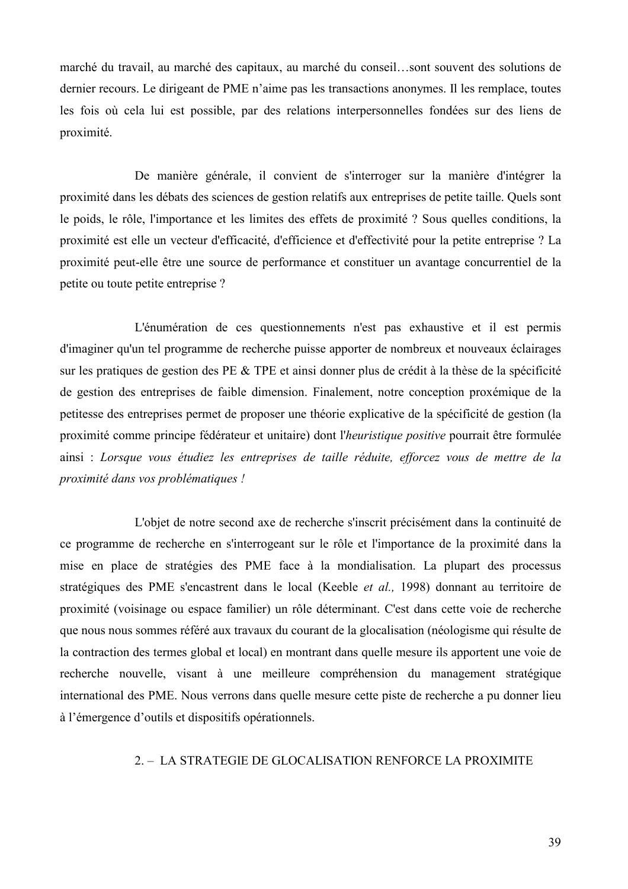marché du travail, au marché des capitaux, au marché du conseil...sont souvent des solutions de dernier recours. Le dirigeant de PME n'aime pas les transactions anonymes. Il les remplace, toutes les fois où cela lui est possible, par des relations interpersonnelles fondées sur des liens de proximité.

De manière générale, il convient de s'interroger sur la manière d'intégrer la proximité dans les débats des sciences de gestion relatifs aux entreprises de petite taille. Quels sont le poids, le rôle, l'importance et les limites des effets de proximité ? Sous quelles conditions, la proximité est elle un vecteur d'efficacité, d'efficience et d'effectivité pour la petite entreprise ? La proximité peut-elle être une source de performance et constituer un avantage concurrentiel de la petite ou toute petite entreprise?

L'énumération de ces questionnements n'est pas exhaustive et il est permis d'imaginer qu'un tel programme de recherche puisse apporter de nombreux et nouveaux éclairages sur les pratiques de gestion des PE & TPE et ainsi donner plus de crédit à la thèse de la spécificité de gestion des entreprises de faible dimension. Finalement, notre conception proxémique de la petitesse des entreprises permet de proposer une théorie explicative de la spécificité de gestion (la proximité comme principe fédérateur et unitaire) dont l'heuristique positive pourrait être formulée ainsi : Lorsque vous étudiez les entreprises de taille réduite, efforcez vous de mettre de la proximité dans vos problématiques !

L'objet de notre second axe de recherche s'inscrit précisément dans la continuité de ce programme de recherche en s'interrogeant sur le rôle et l'importance de la proximité dans la mise en place de stratégies des PME face à la mondialisation. La plupart des processus stratégiques des PME s'encastrent dans le local (Keeble et al., 1998) donnant au territoire de proximité (voisinage ou espace familier) un rôle déterminant. C'est dans cette voie de recherche que nous nous sommes référé aux travaux du courant de la glocalisation (néologisme qui résulte de la contraction des termes global et local) en montrant dans quelle mesure ils apportent une voie de recherche nouvelle, visant à une meilleure compréhension du management stratégique international des PME. Nous verrons dans quelle mesure cette piste de recherche a pu donner lieu à l'émergence d'outils et dispositifs opérationnels.

## 2. - LA STRATEGIE DE GLOCALISATION RENFORCE LA PROXIMITE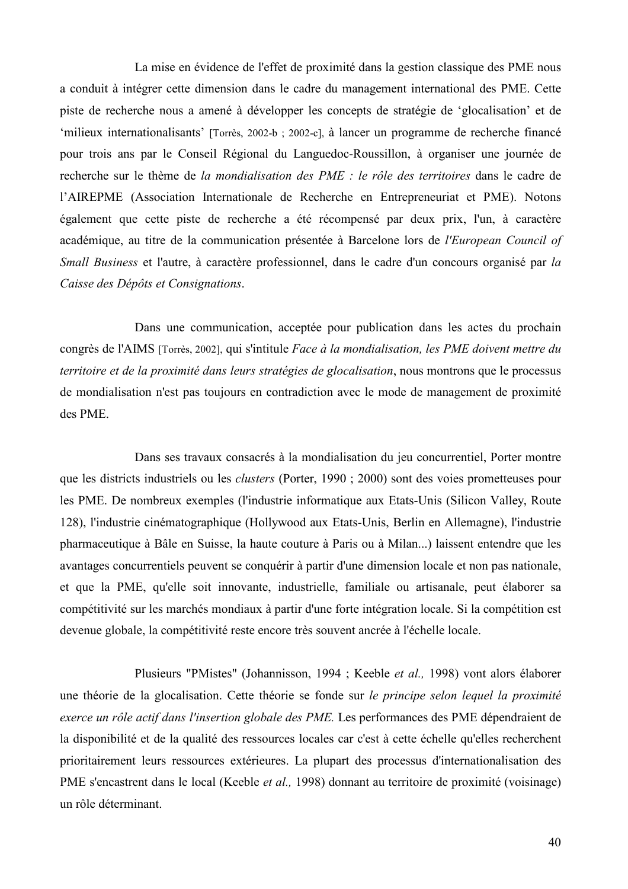La mise en évidence de l'effet de proximité dans la gestion classique des PME nous a conduit à intégrer cette dimension dans le cadre du management international des PME. Cette piste de recherche nous a amené à développer les concepts de stratégie de 'glocalisation' et de 'milieux internationalisants' [Torrès, 2002-b ; 2002-c], à lancer un programme de recherche financé pour trois ans par le Conseil Régional du Languedoc-Roussillon, à organiser une journée de recherche sur le thème de la mondialisation des PME : le rôle des territoires dans le cadre de l'AIREPME (Association Internationale de Recherche en Entrepreneuriat et PME). Notons également que cette piste de recherche a été récompensé par deux prix, l'un, à caractère académique, au titre de la communication présentée à Barcelone lors de l'European Council of Small Business et l'autre, à caractère professionnel, dans le cadre d'un concours organisé par la Caisse des Dépôts et Consignations.

Dans une communication, acceptée pour publication dans les actes du prochain congrès de l'AIMS [Torrès, 2002], qui s'intitule Face à la mondialisation, les PME doivent mettre du territoire et de la proximité dans leurs stratégies de glocalisation, nous montrons que le processus de mondialisation n'est pas toujours en contradiction avec le mode de management de proximité des PME.

Dans ses travaux consacrés à la mondialisation du jeu concurrentiel, Porter montre que les districts industriels ou les *clusters* (Porter, 1990; 2000) sont des voies prometteuses pour les PME. De nombreux exemples (l'industrie informatique aux Etats-Unis (Silicon Valley, Route 128), l'industrie cinématographique (Hollywood aux Etats-Unis, Berlin en Allemagne), l'industrie pharmaceutique à Bâle en Suisse, la haute couture à Paris ou à Milan...) laissent entendre que les avantages concurrentiels peuvent se conquérir à partir d'une dimension locale et non pas nationale, et que la PME, qu'elle soit innovante, industrielle, familiale ou artisanale, peut élaborer sa compétitivité sur les marchés mondiaux à partir d'une forte intégration locale. Si la compétition est devenue globale, la compétitivité reste encore très souvent ancrée à l'échelle locale.

Plusieurs "PMistes" (Johannisson, 1994; Keeble et al., 1998) vont alors élaborer une théorie de la glocalisation. Cette théorie se fonde sur le principe selon lequel la proximité exerce un rôle actif dans l'insertion globale des PME. Les performances des PME dépendraient de la disponibilité et de la qualité des ressources locales car c'est à cette échelle qu'elles recherchent prioritairement leurs ressources extérieures. La plupart des processus d'internationalisation des PME s'encastrent dans le local (Keeble *et al.*, 1998) donnant au territoire de proximité (voisinage) un rôle déterminant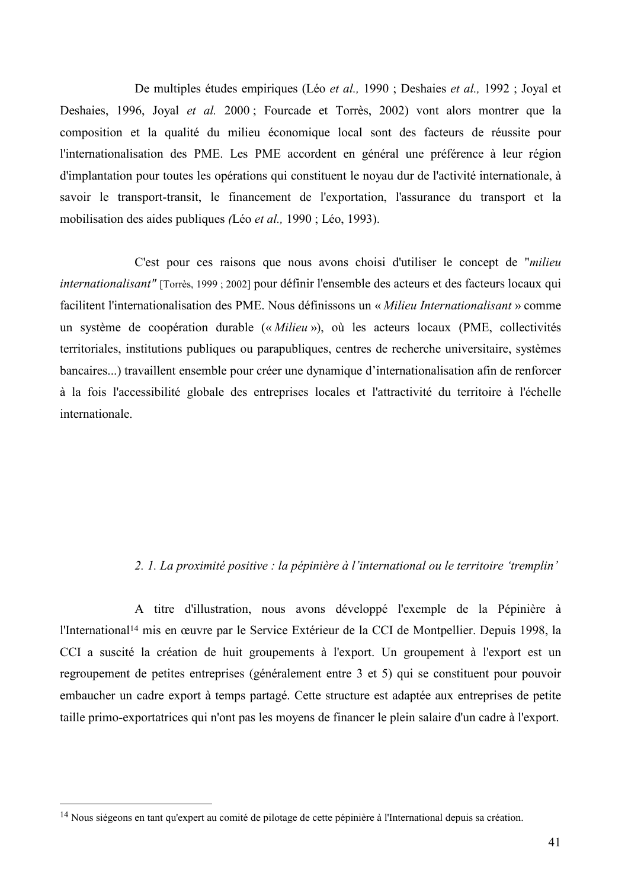De multiples études empiriques (Léo *et al.,* 1990 : Deshaies *et al.,* 1992 : Joval et Deshaies, 1996, Joval et al. 2000; Fourcade et Torrès, 2002) vont alors montrer que la composition et la qualité du milieu économique local sont des facteurs de réussite pour l'internationalisation des PME. Les PME accordent en général une préférence à leur région d'implantation pour toutes les opérations qui constituent le novau dur de l'activité internationale, à savoir le transport-transit, le financement de l'exportation, l'assurance du transport et la mobilisation des aides publiques (Léo et al., 1990; Léo, 1993).

C'est pour ces raisons que nous avons choisi d'utiliser le concept de "milieu" internationalisant" [Torrès, 1999 ; 2002] pour définir l'ensemble des acteurs et des facteurs locaux qui facilitent l'internationalisation des PME. Nous définissons un « Milieu Internationalisant » comme un système de coopération durable (« Milieu »), où les acteurs locaux (PME, collectivités territoriales, institutions publiques ou parapubliques, centres de recherche universitaire, systèmes bancaires...) travaillent ensemble pour créer une dynamique d'internationalisation afin de renforcer à la fois l'accessibilité globale des entreprises locales et l'attractivité du territoire à l'échelle internationale.

### 2. 1. La proximité positive : la pépinière à l'international ou le territoire 'tremplin'

A titre d'illustration, nous avons développé l'exemple de la Pépinière à l'International<sup>14</sup> mis en œuvre par le Service Extérieur de la CCI de Montpellier. Depuis 1998, la CCI a suscité la création de huit groupements à l'export. Un groupement à l'export est un regroupement de petites entreprises (généralement entre 3 et 5) qui se constituent pour pouvoir embaucher un cadre export à temps partagé. Cette structure est adaptée aux entreprises de petite taille primo-exportatrices qui n'ont pas les moyens de financer le plein salaire d'un cadre à l'export.

<sup>&</sup>lt;sup>14</sup> Nous siégeons en tant qu'expert au comité de pilotage de cette pépinière à l'International depuis sa création.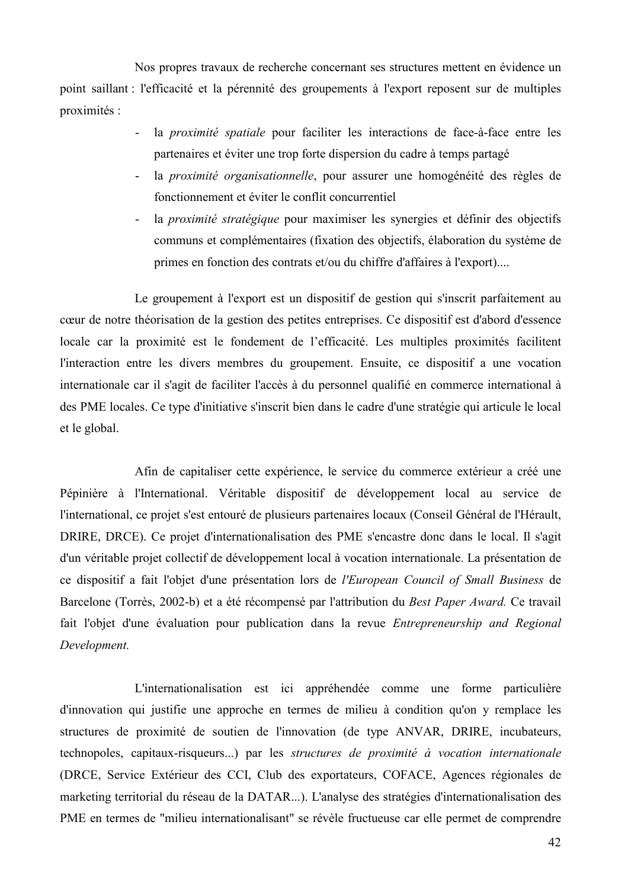Nos propres travaux de recherche concernant ses structures mettent en évidence un point saillant : l'efficacité et la pérennité des groupements à l'export reposent sur de multiples proximités :

- $\omega_{\rm{eff}}$ la *proximité spatiale* pour faciliter les interactions de face-à-face entre les partenaires et éviter une trop forte dispersion du cadre à temps partagé
- la *proximité organisationnelle*, pour assurer une homogénéité des règles de fonctionnement et éviter le conflit concurrentiel
- la *proximité stratégique* pour maximiser les synergies et définir des objectifs communs et complémentaires (fixation des objectifs, élaboration du système de primes en fonction des contrats et/ou du chiffre d'affaires à l'export)....

Le groupement à l'export est un dispositif de gestion qui s'inscrit parfaitement au cœur de notre théorisation de la gestion des petites entreprises. Ce dispositif est d'abord d'essence locale car la proximité est le fondement de l'efficacité. Les multiples proximités facilitent l'interaction entre les divers membres du groupement. Ensuite, ce dispositif a une vocation internationale car il s'agit de faciliter l'accès à du personnel qualifié en commerce international à des PME locales. Ce type d'initiative s'inscrit bien dans le cadre d'une stratégie qui articule le local et le global.

Afin de capitaliser cette expérience, le service du commerce extérieur a créé une Pépinière à l'International. Véritable dispositif de développement local au service de l'international, ce projet s'est entouré de plusieurs partenaires locaux (Conseil Général de l'Hérault, DRIRE, DRCE). Ce projet d'internationalisation des PME s'encastre donc dans le local. Il s'agit d'un véritable projet collectif de développement local à vocation internationale. La présentation de ce dispositif a fait l'objet d'une présentation lors de l'European Council of Small Business de Barcelone (Torrès, 2002-b) et a été récompensé par l'attribution du Best Paper Award. Ce travail fait l'objet d'une évaluation pour publication dans la revue Entrepreneurship and Regional Development.

L'internationalisation est ici appréhendée comme une forme particulière d'innovation qui justifie une approche en termes de milieu à condition qu'on y remplace les structures de proximité de soutien de l'innovation (de type ANVAR, DRIRE, incubateurs, technopoles, capitaux-risqueurs...) par les structures de proximité à vocation internationale (DRCE, Service Extérieur des CCI, Club des exportateurs, COFACE, Agences régionales de marketing territorial du réseau de la DATAR...). L'analyse des stratégies d'internationalisation des PME en termes de "milieu internationalisant" se révèle fructueuse car elle permet de comprendre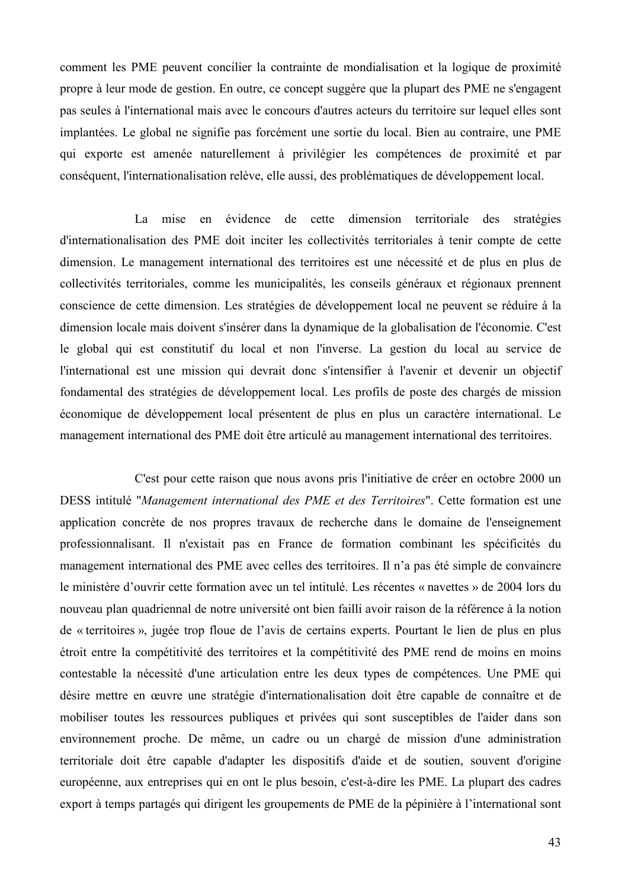comment les PME peuvent concilier la contrainte de mondialisation et la logique de proximité propre à leur mode de gestion. En outre, ce concept suggère que la plupart des PME ne s'engagent pas seules à l'international mais avec le concours d'autres acteurs du territoire sur lequel elles sont implantées. Le global ne signifie pas forcément une sortie du local. Bien au contraire, une PME qui exporte est amenée naturellement à privilégier les compétences de proximité et par conséquent, l'internationalisation relève, elle aussi, des problématiques de développement local.

 $I.a$ mise en évidence de cette dimension territoriale des stratégies d'internationalisation des PME doit inciter les collectivités territoriales à tenir compte de cette dimension. Le management international des territoires est une nécessité et de plus en plus de collectivités territoriales, comme les municipalités, les conseils généraux et régionaux prennent conscience de cette dimension. Les stratégies de développement local ne peuvent se réduire à la dimension locale mais doivent s'insérer dans la dynamique de la globalisation de l'économie. C'est le global qui est constitutif du local et non l'inverse. La gestion du local au service de l'international est une mission qui devrait donc s'intensifier à l'avenir et devenir un objectif fondamental des stratégies de développement local. Les profils de poste des chargés de mission économique de développement local présentent de plus en plus un caractère international. Le management international des PME doit être articulé au management international des territoires.

C'est pour cette raison que nous avons pris l'initiative de créer en octobre 2000 un DESS intitulé "Management international des PME et des Territoires". Cette formation est une application concrète de nos propres travaux de recherche dans le domaine de l'enseignement professionnalisant. Il n'existait pas en France de formation combinant les spécificités du management international des PME avec celles des territoires. Il n'a pas été simple de convaincre le ministère d'ouvrir cette formation avec un tel intitulé. Les récentes « navettes » de 2004 lors du nouveau plan quadriennal de notre université ont bien failli avoir raison de la référence à la notion de « territoires », jugée trop floue de l'avis de certains experts. Pourtant le lien de plus en plus étroit entre la compétitivité des territoires et la compétitivité des PME rend de moins en moins contestable la nécessité d'une articulation entre les deux types de compétences. Une PME qui désire mettre en œuvre une stratégie d'internationalisation doit être capable de connaître et de mobiliser toutes les ressources publiques et privées qui sont susceptibles de l'aider dans son environnement proche. De même, un cadre ou un chargé de mission d'une administration territoriale doit être capable d'adapter les dispositifs d'aide et de soutien, souvent d'origine européenne, aux entreprises qui en ont le plus besoin, c'est-à-dire les PME. La plupart des cadres export à temps partagés qui dirigent les groupements de PME de la pépinière à l'international sont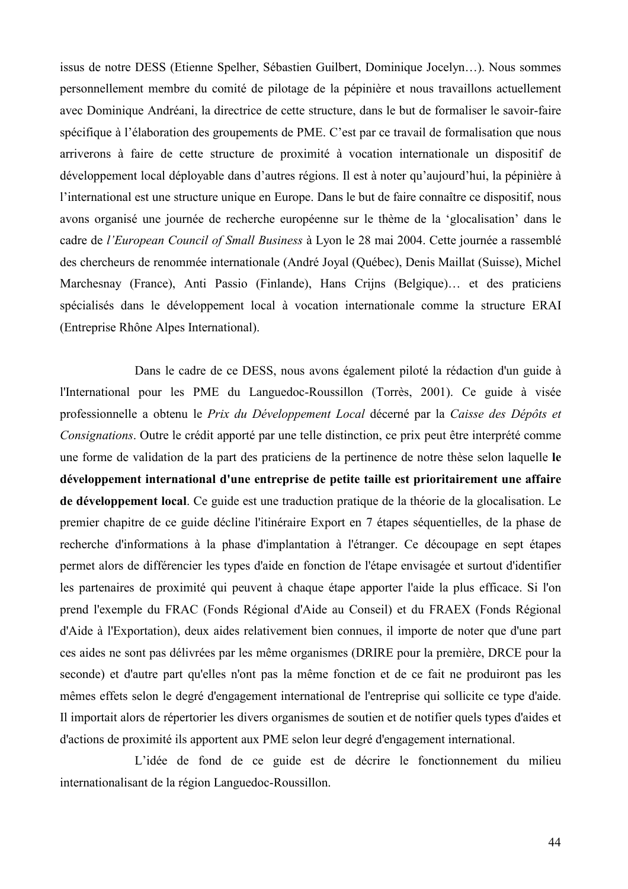issus de notre DESS (Etienne Spelher, Sébastien Guilbert, Dominique Jocelyn...). Nous sommes personnellement membre du comité de pilotage de la pépinière et nous travaillons actuellement avec Dominique Andréani, la directrice de cette structure, dans le but de formaliser le savoir-faire spécifique à l'élaboration des groupements de PME. C'est par ce travail de formalisation que nous arriverons à faire de cette structure de proximité à vocation internationale un dispositif de développement local déployable dans d'autres régions. Il est à noter qu'aujourd'hui, la pépinière à l'international est une structure unique en Europe. Dans le but de faire connaître ce dispositif, nous avons organisé une journée de recherche européenne sur le thème de la 'glocalisation' dans le cadre de l'European Council of Small Business à Lyon le 28 mai 2004. Cette journée a rassemblé des chercheurs de renommée internationale (André Joyal (Québec), Denis Maillat (Suisse), Michel Marchesnay (France), Anti Passio (Finlande), Hans Crijns (Belgique)... et des praticiens spécialisés dans le développement local à vocation internationale comme la structure ERAI (Entreprise Rhône Alpes International).

Dans le cadre de ce DESS, nous avons également piloté la rédaction d'un guide à l'International pour les PME du Languedoc-Roussillon (Torrès, 2001). Ce guide à visée professionnelle a obtenu le Prix du Développement Local décerné par la Caisse des Dépôts et Consignations. Outre le crédit apporté par une telle distinction, ce prix peut être interprété comme une forme de validation de la part des praticiens de la pertinence de notre thèse selon laquelle le développement international d'une entreprise de petite taille est prioritairement une affaire de développement local. Ce guide est une traduction pratique de la théorie de la glocalisation. Le premier chapitre de ce guide décline l'itinéraire Export en 7 étapes séquentielles, de la phase de recherche d'informations à la phase d'implantation à l'étranger. Ce découpage en sept étapes permet alors de différencier les types d'aide en fonction de l'étape envisagée et surtout d'identifier les partenaires de proximité qui peuvent à chaque étape apporter l'aide la plus efficace. Si l'on prend l'exemple du FRAC (Fonds Régional d'Aide au Conseil) et du FRAEX (Fonds Régional d'Aide à l'Exportation), deux aides relativement bien connues, il importe de noter que d'une part ces aides ne sont pas délivrées par les même organismes (DRIRE pour la première, DRCE pour la seconde) et d'autre part qu'elles n'ont pas la même fonction et de ce fait ne produiront pas les mêmes effets selon le degré d'engagement international de l'entreprise qui sollicite ce type d'aide. Il importait alors de répertorier les divers organismes de soutien et de notifier quels types d'aides et d'actions de proximité ils apportent aux PME selon leur degré d'engagement international.

L'idée de fond de ce guide est de décrire le fonctionnement du milieu internationalisant de la région Languedoc-Roussillon.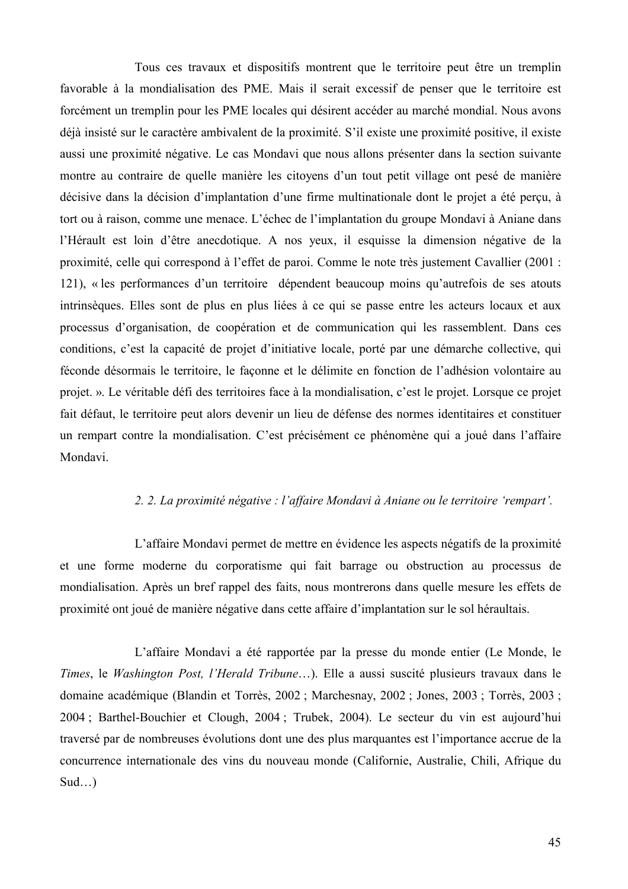Tous ces travaux et dispositifs montrent que le territoire peut être un tremplin favorable à la mondialisation des PME. Mais il serait excessif de penser que le territoire est forcément un tremplin pour les PME locales qui désirent accéder au marché mondial. Nous avons déjà insisté sur le caractère ambivalent de la proximité. S'il existe une proximité positive, il existe aussi une proximité négative. Le cas Mondavi que nous allons présenter dans la section suivante montre au contraire de quelle manière les citovens d'un tout petit village ont pesé de manière décisive dans la décision d'implantation d'une firme multinationale dont le projet a été perçu, à tort ou à raison, comme une menace. L'échec de l'implantation du groupe Mondavi à Aniane dans l'Hérault est loin d'être anecdotique. A nos yeux, il esquisse la dimension négative de la proximité, celle qui correspond à l'effet de paroi. Comme le note très justement Cavallier (2001 : 121), « les performances d'un territoire dépendent beaucoup moins qu'autrefois de ses atouts intrinsèques. Elles sont de plus en plus liées à ce qui se passe entre les acteurs locaux et aux processus d'organisation, de coopération et de communication qui les rassemblent. Dans ces conditions, c'est la capacité de projet d'initiative locale, porté par une démarche collective, qui féconde désormais le territoire, le façonne et le délimite en fonction de l'adhésion volontaire au projet. ». Le véritable défi des territoires face à la mondialisation, c'est le projet. Lorsque ce projet fait défaut, le territoire peut alors devenir un lieu de défense des normes identitaires et constituer un rempart contre la mondialisation. C'est précisément ce phénomène qui a joué dans l'affaire Mondavi.

#### 2. 2. La proximité négative : l'affaire Mondavi à Aniane ou le territoire 'rempart'.

L'affaire Mondavi permet de mettre en évidence les aspects négatifs de la proximité et une forme moderne du corporatisme qui fait barrage ou obstruction au processus de mondialisation. Après un bref rappel des faits, nous montrerons dans quelle mesure les effets de proximité ont joué de manière négative dans cette affaire d'implantation sur le sol héraultais.

L'affaire Mondavi a été rapportée par la presse du monde entier (Le Monde, le Times, le Washington Post, l'Herald Tribune...). Elle a aussi suscité plusieurs travaux dans le domaine académique (Blandin et Torrès, 2002 ; Marchesnay, 2002 ; Jones, 2003 ; Torrès, 2003 ; 2004; Barthel-Bouchier et Clough, 2004; Trubek, 2004). Le secteur du vin est aujourd'hui traversé par de nombreuses évolutions dont une des plus marquantes est l'importance accrue de la concurrence internationale des vins du nouveau monde (Californie, Australie, Chili, Afrique du  $Sud...$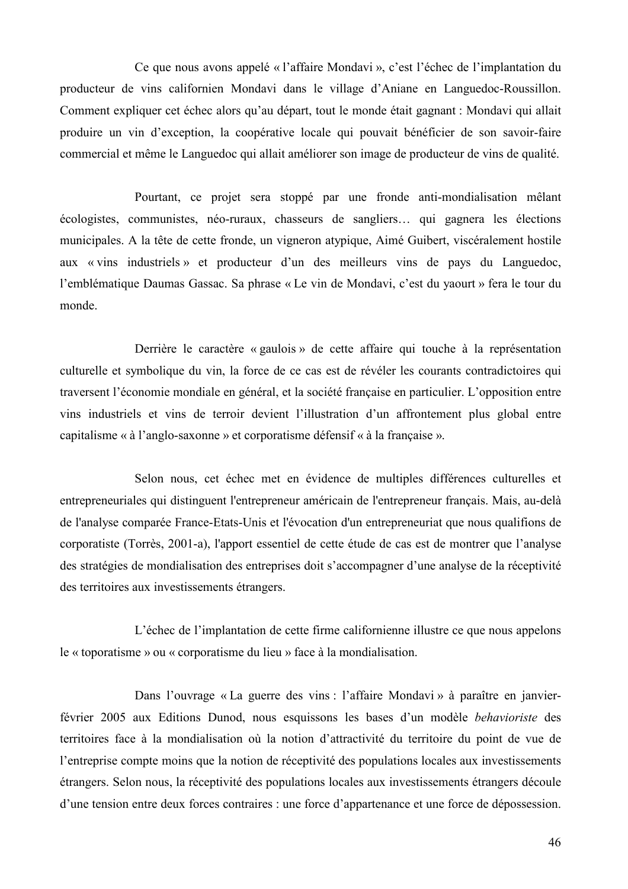Ce que nous avons appelé « l'affaire Mondavi », c'est l'échec de l'implantation du producteur de vins californien Mondavi dans le village d'Aniane en Languedoc-Roussillon. Comment expliquer cet échec alors qu'au départ, tout le monde était gagnant : Mondavi qui allait produire un vin d'exception, la coopérative locale qui pouvait bénéficier de son savoir-faire commercial et même le Languedoc qui allait améliorer son image de producteur de vins de qualité.

Pourtant, ce projet sera stoppé par une fronde anti-mondialisation mêlant écologistes, communistes, néo-ruraux, chasseurs de sangliers... qui gagnera les élections municipales. A la tête de cette fronde, un vigneron atypique, Aimé Guibert, viscéralement hostile aux « vins industriels » et producteur d'un des meilleurs vins de pays du Languedoc, l'emblématique Daumas Gassac. Sa phrase « Le vin de Mondavi, c'est du vaourt » fera le tour du monde.

Derrière le caractère « gaulois » de cette affaire qui touche à la représentation culturelle et symbolique du vin, la force de ce cas est de révéler les courants contradictoires qui traversent l'économie mondiale en général, et la société française en particulier. L'opposition entre vins industriels et vins de terroir devient l'illustration d'un affrontement plus global entre capitalisme « à l'anglo-saxonne » et corporatisme défensif « à la française ».

Selon nous, cet échec met en évidence de multiples différences culturelles et entrepreneuriales qui distinguent l'entrepreneur américain de l'entrepreneur français. Mais, au-delà de l'analyse comparée France-Etats-Unis et l'évocation d'un entrepreneuriat que nous qualifions de corporatiste (Torrès, 2001-a), l'apport essentiel de cette étude de cas est de montrer que l'analyse des stratégies de mondialisation des entreprises doit s'accompagner d'une analyse de la réceptivité des territoires aux investissements étrangers.

L'échec de l'implantation de cette firme californienne illustre ce que nous appelons le « toporatisme » ou « corporatisme du lieu » face à la mondialisation.

Dans l'ouvrage « La guerre des vins : l'affaire Mondavi » à paraître en janvierfévrier 2005 aux Editions Dunod, nous esquissons les bases d'un modèle behavioriste des territoires face à la mondialisation où la notion d'attractivité du territoire du point de vue de l'entreprise compte moins que la notion de réceptivité des populations locales aux investissements étrangers. Selon nous, la réceptivité des populations locales aux investissements étrangers découle d'une tension entre deux forces contraires : une force d'appartenance et une force de dépossession.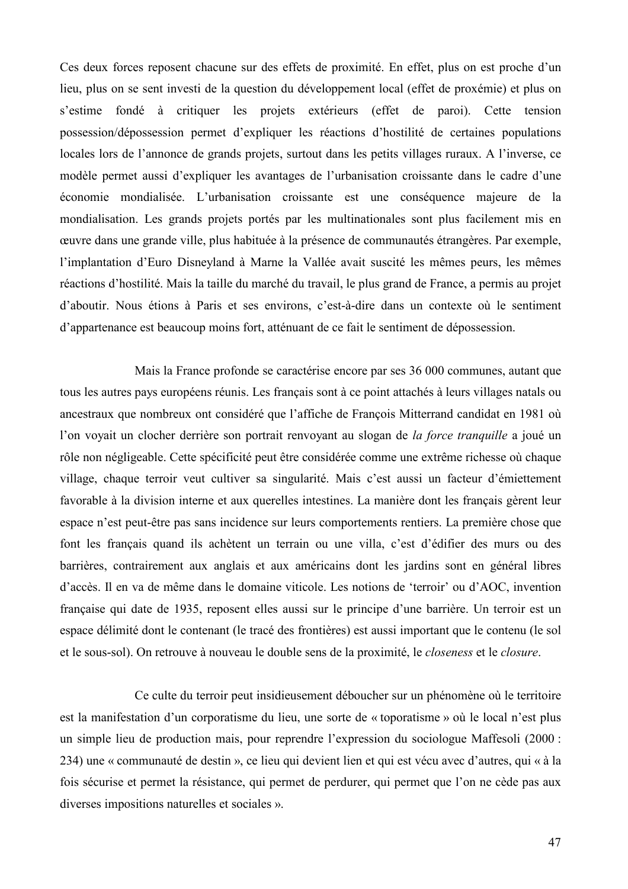Ces deux forces reposent chacune sur des effets de proximité. En effet, plus on est proche d'un lieu, plus on se sent investi de la question du développement local (effet de proxémie) et plus on s'estime fondé à critiquer les projets extérieurs (effet de paroi). Cette tension possession/dépossession permet d'expliquer les réactions d'hostilité de certaines populations locales lors de l'annonce de grands projets, surtout dans les petits villages ruraux. A l'inverse, ce modèle permet aussi d'expliquer les avantages de l'urbanisation croissante dans le cadre d'une économie mondialisée. L'urbanisation croissante est une conséquence majeure de la mondialisation. Les grands projets portés par les multinationales sont plus facilement mis en œuvre dans une grande ville, plus habituée à la présence de communautés étrangères. Par exemple, l'implantation d'Euro Disneyland à Marne la Vallée avait suscité les mêmes peurs, les mêmes réactions d'hostilité. Mais la taille du marché du travail, le plus grand de France, a permis au projet d'aboutir. Nous étions à Paris et ses environs, c'est-à-dire dans un contexte où le sentiment d'appartenance est beaucoup moins fort, atténuant de ce fait le sentiment de dépossession.

Mais la France profonde se caractérise encore par ses 36 000 communes, autant que tous les autres pays européens réunis. Les français sont à ce point attachés à leurs villages natals ou ancestraux que nombreux ont considéré que l'affiche de François Mitterrand candidat en 1981 où l'on voyait un clocher derrière son portrait renvoyant au slogan de la force tranquille a joué un rôle non négligeable. Cette spécificité peut être considérée comme une extrême richesse où chaque village, chaque terroir veut cultiver sa singularité. Mais c'est aussi un facteur d'émiettement favorable à la division interne et aux querelles intestines. La manière dont les français gèrent leur espace n'est peut-être pas sans incidence sur leurs comportements rentiers. La première chose que font les français quand ils achètent un terrain ou une villa, c'est d'édifier des murs ou des barrières, contrairement aux anglais et aux américains dont les jardins sont en général libres d'accès. Il en va de même dans le domaine viticole. Les notions de 'terroir' ou d'AOC, invention française qui date de 1935, reposent elles aussi sur le principe d'une barrière. Un terroir est un espace délimité dont le contenant (le tracé des frontières) est aussi important que le contenu (le sol et le sous-sol). On retrouve à nouveau le double sens de la proximité, le *closeness* et le *closure*.

Ce culte du terroir peut insidieusement déboucher sur un phénomène où le territoire est la manifestation d'un corporatisme du lieu, une sorte de « toporatisme » où le local n'est plus un simple lieu de production mais, pour reprendre l'expression du sociologue Maffesoli (2000 : 234) une « communauté de destin », ce lieu qui devient lien et qui est vécu avec d'autres, qui « à la fois sécurise et permet la résistance, qui permet de perdurer, qui permet que l'on ne cède pas aux diverses impositions naturelles et sociales ».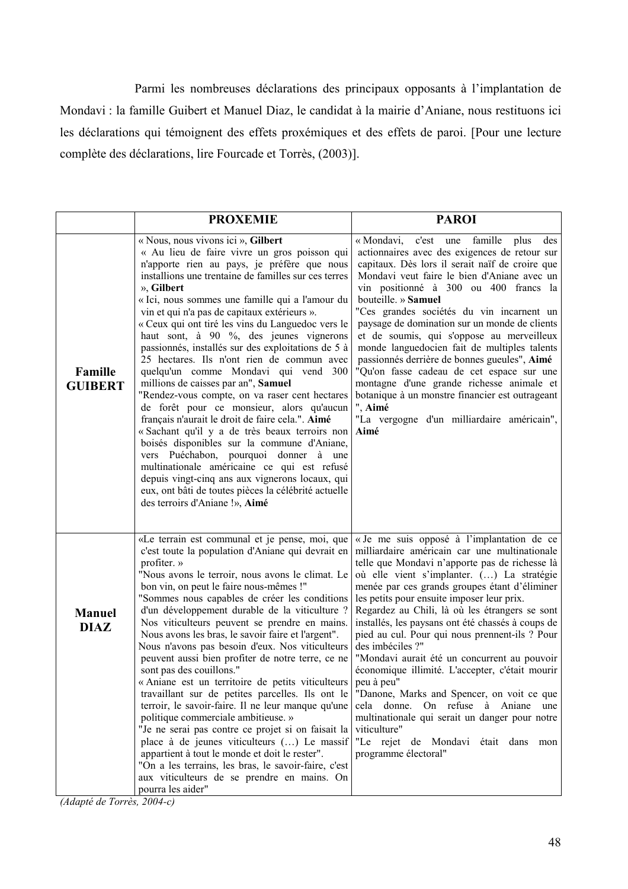Parmi les nombreuses déclarations des principaux opposants à l'implantation de Mondavi : la famille Guibert et Manuel Diaz, le candidat à la mairie d'Aniane, nous restituons ici les déclarations qui témoignent des effets proxémiques et des effets de paroi. [Pour une lecture complète des déclarations, lire Fourcade et Torrès, (2003)].

|                              | <b>PROXEMIE</b>                                                                                                                                                                                                                                                                                                                                                                                                                                                                                                                                                                                                                                                                                                                                                                                                                                                                                                                                                                                                                                                                        | <b>PAROI</b>                                                                                                                                                                                                                                                                                                                                                                                                                                                                                                                                                                                                                                                                                                                                                                                                     |
|------------------------------|----------------------------------------------------------------------------------------------------------------------------------------------------------------------------------------------------------------------------------------------------------------------------------------------------------------------------------------------------------------------------------------------------------------------------------------------------------------------------------------------------------------------------------------------------------------------------------------------------------------------------------------------------------------------------------------------------------------------------------------------------------------------------------------------------------------------------------------------------------------------------------------------------------------------------------------------------------------------------------------------------------------------------------------------------------------------------------------|------------------------------------------------------------------------------------------------------------------------------------------------------------------------------------------------------------------------------------------------------------------------------------------------------------------------------------------------------------------------------------------------------------------------------------------------------------------------------------------------------------------------------------------------------------------------------------------------------------------------------------------------------------------------------------------------------------------------------------------------------------------------------------------------------------------|
| Famille<br><b>GUIBERT</b>    | « Nous, nous vivons ici », Gilbert<br>« Au lieu de faire vivre un gros poisson qui<br>n'apporte rien au pays, je préfère que nous<br>installions une trentaine de familles sur ces terres<br>», Gilbert<br>« Ici, nous sommes une famille qui a l'amour du<br>vin et qui n'a pas de capitaux extérieurs ».<br>« Ceux qui ont tiré les vins du Languedoc vers le<br>haut sont, à 90 %, des jeunes vignerons<br>passionnés, installés sur des exploitations de 5 à<br>25 hectares. Ils n'ont rien de commun avec<br>quelqu'un comme Mondavi qui vend 300<br>millions de caisses par an", Samuel<br>"Rendez-vous compte, on va raser cent hectares<br>de forêt pour ce monsieur, alors qu'aucun<br>français n'aurait le droit de faire cela.". Aimé<br>« Sachant qu'il y a de très beaux terroirs non<br>boisés disponibles sur la commune d'Aniane,<br>vers Puéchabon, pourquoi donner à une<br>multinationale américaine ce qui est refusé<br>depuis vingt-cinq ans aux vignerons locaux, qui<br>eux, ont bâti de toutes pièces la célébrité actuelle<br>des terroirs d'Aniane !», Aimé | « Mondavi,<br>famille plus<br>c'est une<br>des<br>actionnaires avec des exigences de retour sur<br>capitaux. Dès lors il serait naïf de croire que<br>Mondavi veut faire le bien d'Aniane avec un<br>vin positionné à 300 ou 400 francs la<br>bouteille. » Samuel<br>"Ces grandes sociétés du vin incarnent un<br>paysage de domination sur un monde de clients<br>et de soumis, qui s'oppose au merveilleux<br>monde languedocien fait de multiples talents<br>passionnés derrière de bonnes gueules", Aimé<br>"Qu'on fasse cadeau de cet espace sur une<br>montagne d'une grande richesse animale et<br>botanique à un monstre financier est outrageant<br>", Aimé<br>"La vergogne d'un milliardaire américain",<br>Aimé                                                                                       |
| <b>Manuel</b><br><b>DIAZ</b> | «Le terrain est communal et je pense, moi, que<br>c'est toute la population d'Aniane qui devrait en<br>profiter. »<br>"Nous avons le terroir, nous avons le climat. Le<br>bon vin, on peut le faire nous-mêmes !"<br>"Sommes nous capables de créer les conditions<br>d'un développement durable de la viticulture ?<br>Nos viticulteurs peuvent se prendre en mains.<br>Nous avons les bras, le savoir faire et l'argent".<br>Nous n'avons pas besoin d'eux. Nos viticulteurs<br>peuvent aussi bien profiter de notre terre, ce ne<br>sont pas des couillons."<br>« Aniane est un territoire de petits viticulteurs<br>travaillant sur de petites parcelles. Ils ont le<br>terroir, le savoir-faire. Il ne leur manque qu'une<br>politique commerciale ambitieuse. »<br>"Je ne serai pas contre ce projet si on faisait la<br>place à de jeunes viticulteurs () Le massif<br>appartient à tout le monde et doit le rester".<br>"On a les terrains, les bras, le savoir-faire, c'est<br>aux viticulteurs de se prendre en mains. On<br>pourra les aider"                               | « Je me suis opposé à l'implantation de ce<br>milliardaire américain car une multinationale<br>telle que Mondavi n'apporte pas de richesse là<br>où elle vient s'implanter. () La stratégie<br>menée par ces grands groupes étant d'éliminer<br>les petits pour ensuite imposer leur prix.<br>Regardez au Chili, là où les étrangers se sont<br>installés, les paysans ont été chassés à coups de<br>pied au cul. Pour qui nous prennent-ils ? Pour<br>des imbéciles ?"<br>"Mondavi aurait été un concurrent au pouvoir<br>économique illimité. L'accepter, c'était mourir<br>peu à peu"<br>"Danone, Marks and Spencer, on voit ce que<br>cela donne. On refuse à Aniane<br>une<br>multinationale qui serait un danger pour notre<br>viticulture"<br>"Le rejet de Mondavi était dans mon<br>programme électoral" |

(Adapté de Torrès, 2004-c)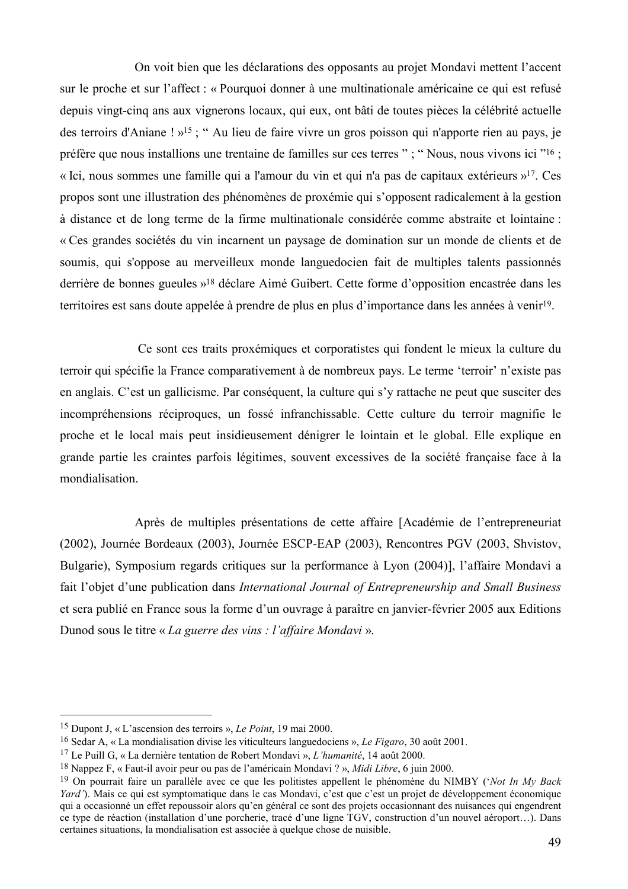On voit bien que les déclarations des opposants au projet Mondavi mettent l'accent sur le proche et sur l'affect : « Pourquoi donner à une multinationale américaine ce qui est refusé depuis vingt-cinq ans aux vignerons locaux, qui eux, ont bâti de toutes pièces la célébrité actuelle des terroirs d'Aniane ! »<sup>15</sup>; " Au lieu de faire vivre un gros poisson qui n'apporte rien au pays, je préfère que nous installions une trentaine de familles sur ces terres "; "Nous, nous vivons ici "16; « Ici, nous sommes une famille qui a l'amour du vin et qui n'a pas de capitaux extérieurs »<sup>17</sup>. Ces propos sont une illustration des phénomènes de proxémie qui s'opposent radicalement à la gestion à distance et de long terme de la firme multinationale considérée comme abstraite et lointaine : « Ces grandes sociétés du vin incarnent un paysage de domination sur un monde de clients et de soumis, qui s'oppose au merveilleux monde languedocien fait de multiples talents passionnés derrière de bonnes gueules »<sup>18</sup> déclare Aimé Guibert. Cette forme d'opposition encastrée dans les territoires est sans doute appelée à prendre de plus en plus d'importance dans les années à venir<sup>19</sup>.

Ce sont ces traits proxémiques et corporatistes qui fondent le mieux la culture du terroir qui spécifie la France comparativement à de nombreux pays. Le terme 'terroir' n'existe pas en anglais. C'est un gallicisme. Par conséquent, la culture qui s'y rattache ne peut que susciter des incompréhensions réciproques, un fossé infranchissable. Cette culture du terroir magnifie le proche et le local mais peut insidieusement dénigrer le lointain et le global. Elle explique en grande partie les craintes parfois légitimes, souvent excessives de la société française face à la mondialisation.

Après de multiples présentations de cette affaire [Académie de l'entrepreneuriat (2002), Journée Bordeaux (2003), Journée ESCP-EAP (2003), Rencontres PGV (2003, Shvistov, Bulgarie), Symposium regards critiques sur la performance à Lyon (2004)], l'affaire Mondavi a fait l'objet d'une publication dans International Journal of Entrepreneurship and Small Business et sera publié en France sous la forme d'un ouvrage à paraître en janvier-février 2005 aux Editions Dunod sous le titre « La guerre des vins : l'affaire Mondavi ».

<sup>&</sup>lt;sup>15</sup> Dupont J, « L'ascension des terroirs », *Le Point*, 19 mai 2000.

<sup>&</sup>lt;sup>16</sup> Sedar A, « La mondialisation divise les viticulteurs languedociens », *Le Figaro*, 30 août 2001.

<sup>&</sup>lt;sup>17</sup> Le Puill G, « La dernière tentation de Robert Mondavi », *L'humanité*, 14 août 2000.

<sup>&</sup>lt;sup>18</sup> Nappez F, « Faut-il avoir peur ou pas de l'américain Mondavi ? », *Midi Libre*, 6 juin 2000.

<sup>&</sup>lt;sup>19</sup> On pourrait faire un parallèle avec ce que les politistes appellent le phénomène du NIMBY ('*Not In My Back* Yard'). Mais ce qui est symptomatique dans le cas Mondavi, c'est que c'est un projet de développement économique qui a occasionné un effet repoussoir alors qu'en général ce sont des projets occasionnant des nuisances qui engendrent ce type de réaction (installation d'une porcherie, tracé d'une ligne TGV, construction d'un nouvel aéroport...). Dans certaines situations, la mondialisation est associée à quelque chose de nuisible.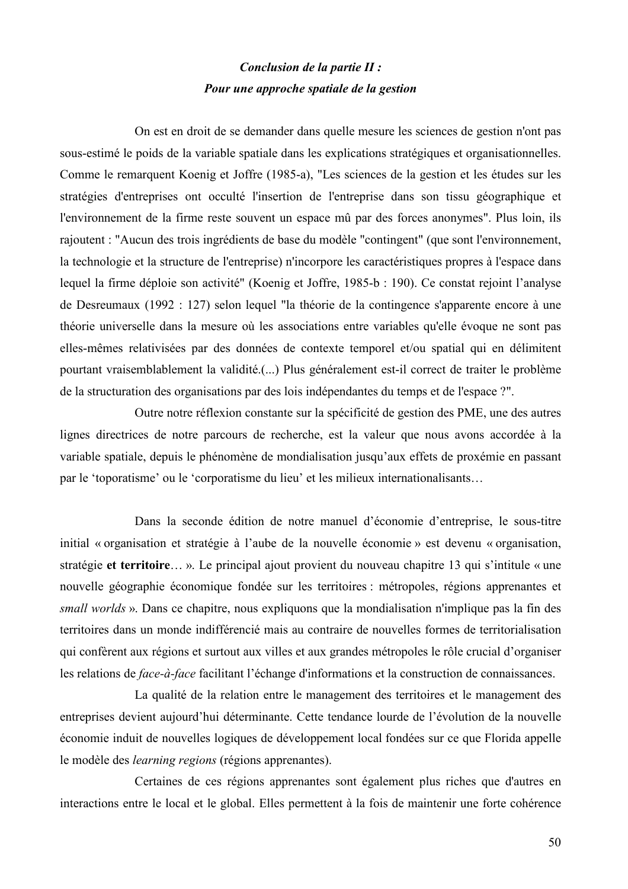## Conclusion de la partie II : Pour une approche spatiale de la gestion

On est en droit de se demander dans quelle mesure les sciences de gestion n'ont pas sous-estimé le poids de la variable spatiale dans les explications stratégiques et organisationnelles. Comme le remarquent Koenig et Joffre (1985-a), "Les sciences de la gestion et les études sur les stratégies d'entreprises ont occulté l'insertion de l'entreprise dans son tissu géographique et l'environnement de la firme reste souvent un espace mû par des forces anonymes". Plus loin, ils rajoutent : "Aucun des trois ingrédients de base du modèle "contingent" (que sont l'environnement, la technologie et la structure de l'entreprise) n'incorpore les caractéristiques propres à l'espace dans lequel la firme déploie son activité" (Koenig et Joffre, 1985-b : 190). Ce constat rejoint l'analyse de Desreumaux (1992 : 127) selon lequel "la théorie de la contingence s'apparente encore à une théorie universelle dans la mesure où les associations entre variables qu'elle évoque ne sont pas elles-mêmes relativisées par des données de contexte temporel et/ou spatial qui en délimitent pourtant vraisemblablement la validité.(...) Plus généralement est-il correct de traiter le problème de la structuration des organisations par des lois indépendantes du temps et de l'espace ?".

Outre notre réflexion constante sur la spécificité de gestion des PME, une des autres lignes directrices de notre parcours de recherche, est la valeur que nous avons accordée à la variable spatiale, depuis le phénomène de mondialisation jusqu'aux effets de proxémie en passant par le 'toporatisme' ou le 'corporatisme du lieu' et les milieux internationalisants...

Dans la seconde édition de notre manuel d'économie d'entreprise, le sous-titre initial « organisation et stratégie à l'aube de la nouvelle économie » est devenu « organisation, stratégie et territoire...». Le principal ajout provient du nouveau chapitre 13 qui s'intitule « une nouvelle géographie économique fondée sur les territoires : métropoles, régions apprenantes et *small worlds* ». Dans ce chapitre, nous expliquons que la mondialisation n'implique pas la fin des territoires dans un monde indifférencié mais au contraire de nouvelles formes de territorialisation qui confèrent aux régions et surtout aux villes et aux grandes métropoles le rôle crucial d'organiser les relations de *face-à-face* facilitant l'échange d'informations et la construction de connaissances.

La qualité de la relation entre le management des territoires et le management des entreprises devient aujourd'hui déterminante. Cette tendance lourde de l'évolution de la nouvelle économie induit de nouvelles logiques de développement local fondées sur ce que Florida appelle le modèle des *learning regions* (régions apprenantes).

Certaines de ces régions apprenantes sont également plus riches que d'autres en interactions entre le local et le global. Elles permettent à la fois de maintenir une forte cohérence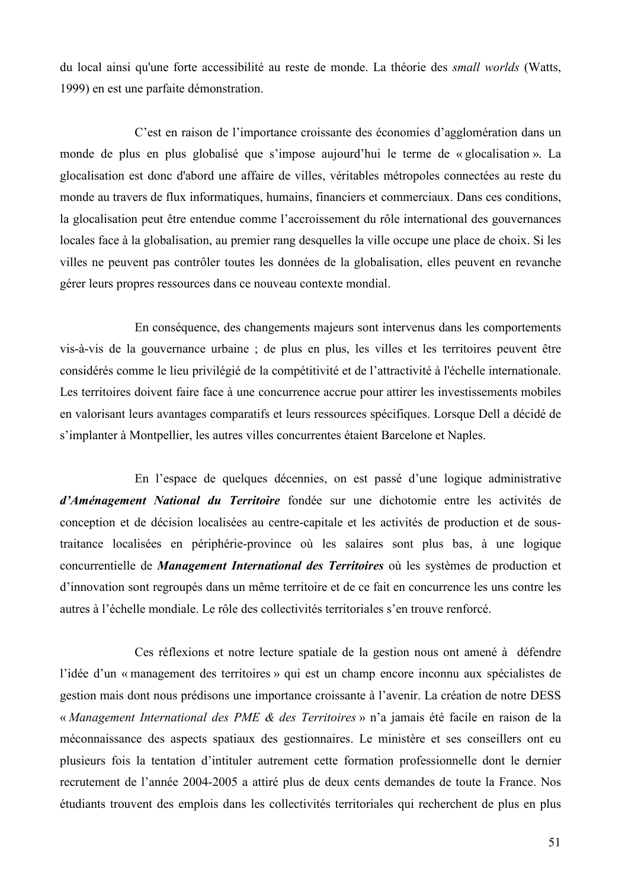du local ainsi qu'une forte accessibilité au reste de monde. La théorie des small worlds (Watts, 1999) en est une parfaite démonstration.

C'est en raison de l'importance croissante des économies d'agglomération dans un monde de plus en plus globalisé que s'impose aujourd'hui le terme de « glocalisation ». La glocalisation est donc d'abord une affaire de villes, véritables métropoles connectées au reste du monde au travers de flux informatiques, humains, financiers et commerciaux. Dans ces conditions, la glocalisation peut être entendue comme l'accroissement du rôle international des gouvernances locales face à la globalisation, au premier rang desquelles la ville occupe une place de choix. Si les villes ne peuvent pas contrôler toutes les données de la globalisation, elles peuvent en revanche gérer leurs propres ressources dans ce nouveau contexte mondial.

En conséquence, des changements majeurs sont intervenus dans les comportements vis-à-vis de la gouvernance urbaine; de plus en plus, les villes et les territoires peuvent être considérés comme le lieu privilégié de la compétitivité et de l'attractivité à l'échelle internationale. Les territoires doivent faire face à une concurrence accrue pour attirer les investissements mobiles en valorisant leurs avantages comparatifs et leurs ressources spécifiques. Lorsque Dell a décidé de s'implanter à Montpellier, les autres villes concurrentes étaient Barcelone et Naples.

En l'espace de quelques décennies, on est passé d'une logique administrative d'Aménagement National du Territoire fondée sur une dichotomie entre les activités de conception et de décision localisées au centre-capitale et les activités de production et de soustraitance localisées en périphérie-province où les salaires sont plus bas, à une logique concurrentielle de *Management International des Territoires* où les systèmes de production et d'innovation sont regroupés dans un même territoire et de ce fait en concurrence les uns contre les autres à l'échelle mondiale. Le rôle des collectivités territoriales s'en trouve renforcé.

Ces réflexions et notre lecture spatiale de la gestion nous ont amené à défendre l'idée d'un « management des territoires » qui est un champ encore inconnu aux spécialistes de gestion mais dont nous prédisons une importance croissante à l'avenir. La création de notre DESS « Management International des PME & des Territoires » n'a jamais été facile en raison de la méconnaissance des aspects spatiaux des gestionnaires. Le ministère et ses conseillers ont eu plusieurs fois la tentation d'intituler autrement cette formation professionnelle dont le dernier recrutement de l'année 2004-2005 a attiré plus de deux cents demandes de toute la France. Nos étudiants trouvent des emplois dans les collectivités territoriales qui recherchent de plus en plus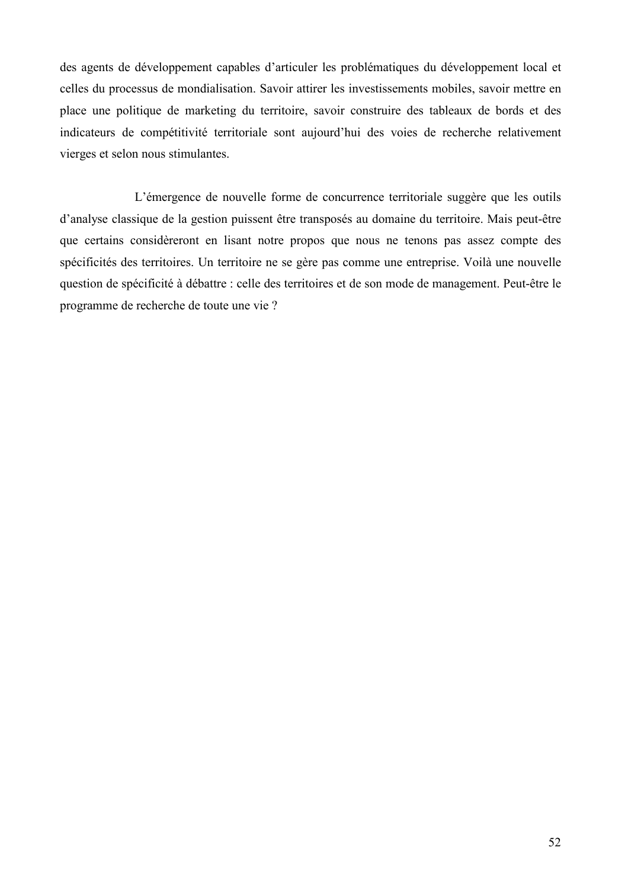des agents de développement capables d'articuler les problématiques du développement local et celles du processus de mondialisation. Savoir attirer les investissements mobiles, savoir mettre en place une politique de marketing du territoire, savoir construire des tableaux de bords et des indicateurs de compétitivité territoriale sont aujourd'hui des voies de recherche relativement vierges et selon nous stimulantes.

L'émergence de nouvelle forme de concurrence territoriale suggère que les outils d'analyse classique de la gestion puissent être transposés au domaine du territoire. Mais peut-être que certains considèreront en lisant notre propos que nous ne tenons pas assez compte des spécificités des territoires. Un territoire ne se gère pas comme une entreprise. Voilà une nouvelle question de spécificité à débattre : celle des territoires et de son mode de management. Peut-être le programme de recherche de toute une vie ?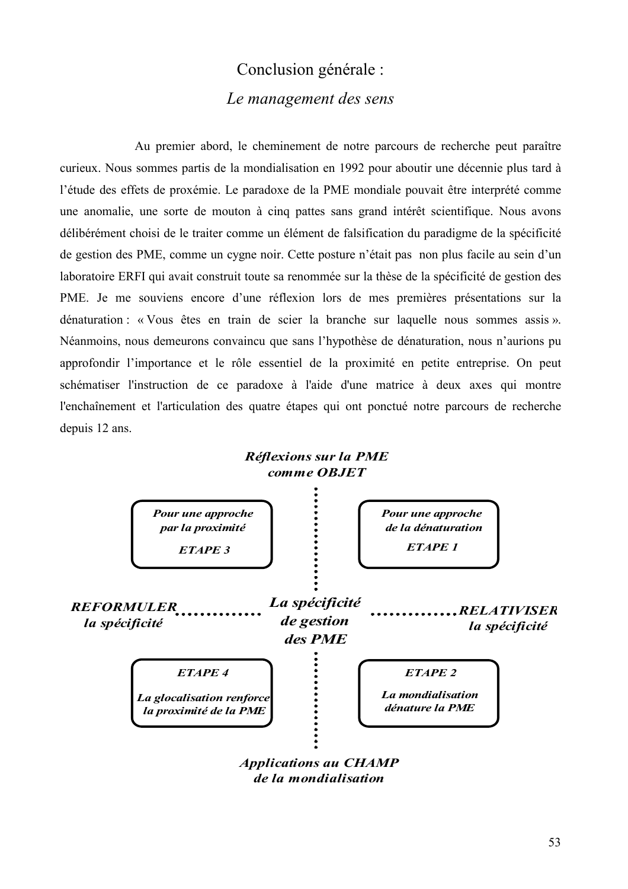# Conclusion générale : Le management des sens

Au premier abord, le cheminement de notre parcours de recherche peut paraître curieux. Nous sommes partis de la mondialisation en 1992 pour aboutir une décennie plus tard à l'étude des effets de proxémie. Le paradoxe de la PME mondiale pouvait être interprété comme une anomalie, une sorte de mouton à cinq pattes sans grand intérêt scientifique. Nous avons délibérément choisi de le traiter comme un élément de falsification du paradigme de la spécificité de gestion des PME, comme un cygne noir. Cette posture n'était pas non plus facile au sein d'un laboratoire ERFI qui avait construit toute sa renommée sur la thèse de la spécificité de gestion des PME. Je me souviens encore d'une réflexion lors de mes premières présentations sur la dénaturation : « Vous êtes en train de scier la branche sur laquelle nous sommes assis ». Néanmoins, nous demeurons convaincu que sans l'hypothèse de dénaturation, nous n'aurions pu approfondir l'importance et le rôle essentiel de la proximité en petite entreprise. On peut schématiser l'instruction de ce paradoxe à l'aide d'une matrice à deux axes qui montre l'enchaînement et l'articulation des quatre étapes qui ont ponctué notre parcours de recherche depuis 12 ans.



**Applications au CHAMP** de la mondialisation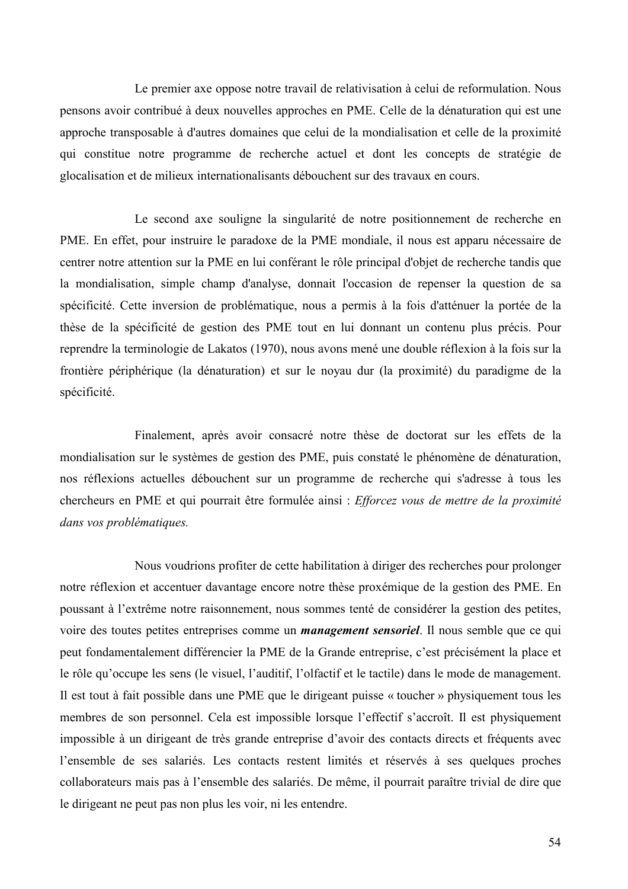Le premier axe oppose notre travail de relativisation à celui de reformulation. Nous pensons avoir contribué à deux nouvelles approches en PME. Celle de la dénaturation qui est une approche transposable à d'autres domaines que celui de la mondialisation et celle de la proximité qui constitue notre programme de recherche actuel et dont les concepts de stratégie de glocalisation et de milieux internationalisants débouchent sur des travaux en cours.

Le second axe souligne la singularité de notre positionnement de recherche en PME. En effet, pour instruire le paradoxe de la PME mondiale, il nous est apparu nécessaire de centrer notre attention sur la PME en lui conférant le rôle principal d'objet de recherche tandis que la mondialisation, simple champ d'analyse, donnait l'occasion de repenser la question de sa spécificité. Cette inversion de problématique, nous a permis à la fois d'atténuer la portée de la thèse de la spécificité de gestion des PME tout en lui donnant un contenu plus précis. Pour reprendre la terminologie de Lakatos (1970), nous avons mené une double réflexion à la fois sur la frontière périphérique (la dénaturation) et sur le noyau dur (la proximité) du paradigme de la spécificité.

Finalement, après avoir consacré notre thèse de doctorat sur les effets de la mondialisation sur le systèmes de gestion des PME, puis constaté le phénomène de dénaturation, nos réflexions actuelles débouchent sur un programme de recherche qui s'adresse à tous les chercheurs en PME et qui pourrait être formulée ainsi : Efforcez vous de mettre de la proximité dans vos problématiques.

Nous voudrions profiter de cette habilitation à diriger des recherches pour prolonger notre réflexion et accentuer davantage encore notre thèse proxémique de la gestion des PME. En poussant à l'extrême notre raisonnement, nous sommes tenté de considérer la gestion des petites, voire des toutes petites entreprises comme un *management sensoriel*. Il nous semble que ce qui peut fondamentalement différencier la PME de la Grande entreprise, c'est précisément la place et le rôle qu'occupe les sens (le visuel, l'auditif, l'olfactif et le tactile) dans le mode de management. Il est tout à fait possible dans une PME que le dirigeant puisse « toucher » physiquement tous les membres de son personnel. Cela est impossible lorsque l'effectif s'accroît. Il est physiquement impossible à un dirigeant de très grande entreprise d'avoir des contacts directs et fréquents avec l'ensemble de ses salariés. Les contacts restent limités et réservés à ses quelques proches collaborateurs mais pas à l'ensemble des salariés. De même, il pourrait paraître trivial de dire que le dirigeant ne peut pas non plus les voir, ni les entendre.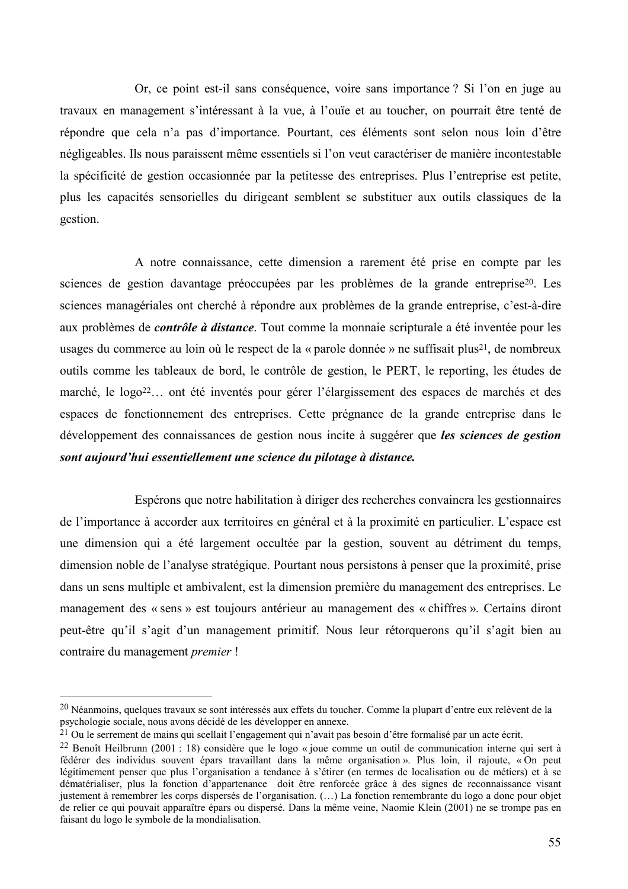Or, ce point est-il sans conséquence, voire sans importance? Si l'on en juge au travaux en management s'intéressant à la vue, à l'ouïe et au toucher, on pourrait être tenté de répondre que cela n'a pas d'importance. Pourtant, ces éléments sont selon nous loin d'être négligeables. Ils nous paraissent même essentiels si l'on veut caractériser de manière incontestable la spécificité de gestion occasionnée par la petitesse des entreprises. Plus l'entreprise est petite, plus les capacités sensorielles du dirigeant semblent se substituer aux outils classiques de la gestion.

A notre connaissance, cette dimension a rarement été prise en compte par les sciences de gestion davantage préoccupées par les problèmes de la grande entreprise<sup>20</sup>. Les sciences managériales ont cherché à répondre aux problèmes de la grande entreprise, c'est-à-dire aux problèmes de *contrôle à distance*. Tout comme la monnaie scripturale a été inventée pour les usages du commerce au loin où le respect de la « parole donnée » ne suffisait plus<sup>21</sup>, de nombreux outils comme les tableaux de bord, le contrôle de gestion, le PERT, le reporting, les études de marché, le logo<sup>22</sup>... ont été inventés pour gérer l'élargissement des espaces de marchés et des espaces de fonctionnement des entreprises. Cette prégnance de la grande entreprise dans le développement des connaissances de gestion nous incite à suggérer que les sciences de gestion sont aujourd'hui essentiellement une science du pilotage à distance.

Espérons que notre habilitation à diriger des recherches convaincra les gestionnaires de l'importance à accorder aux territoires en général et à la proximité en particulier. L'espace est une dimension qui a été largement occultée par la gestion, souvent au détriment du temps, dimension noble de l'analyse stratégique. Pourtant nous persistons à penser que la proximité, prise dans un sens multiple et ambivalent, est la dimension première du management des entreprises. Le management des « sens » est toujours antérieur au management des « chiffres ». Certains diront peut-être qu'il s'agit d'un management primitif. Nous leur rétorquerons qu'il s'agit bien au contraire du management *premier* !

<sup>&</sup>lt;sup>20</sup> Néanmoins, quelques travaux se sont intéressés aux effets du toucher. Comme la plupart d'entre eux relèvent de la psychologie sociale, nous avons décidé de les développer en annexe.

<sup>&</sup>lt;sup>21</sup> Ou le serrement de mains qui scellait l'engagement qui n'avait pas besoin d'être formalisé par un acte écrit.

<sup>&</sup>lt;sup>22</sup> Benoît Heilbrunn (2001 : 18) considère que le logo « joue comme un outil de communication interne qui sert à fédérer des individus souvent épars travaillant dans la même organisation ». Plus loin, il rajoute, «On peut légitimement penser que plus l'organisation a tendance à s'étirer (en termes de localisation ou de métiers) et à se dématérialiser, plus la fonction d'appartenance doit être renforcée grâce à des signes de reconnaissance visant justement à remembrer les corps dispersés de l'organisation. (...) La fonction remembrante du logo a donc pour objet de relier ce qui pouvait apparaître épars ou dispersé. Dans la même veine, Naomie Klein (2001) ne se trompe pas en faisant du logo le symbole de la mondialisation.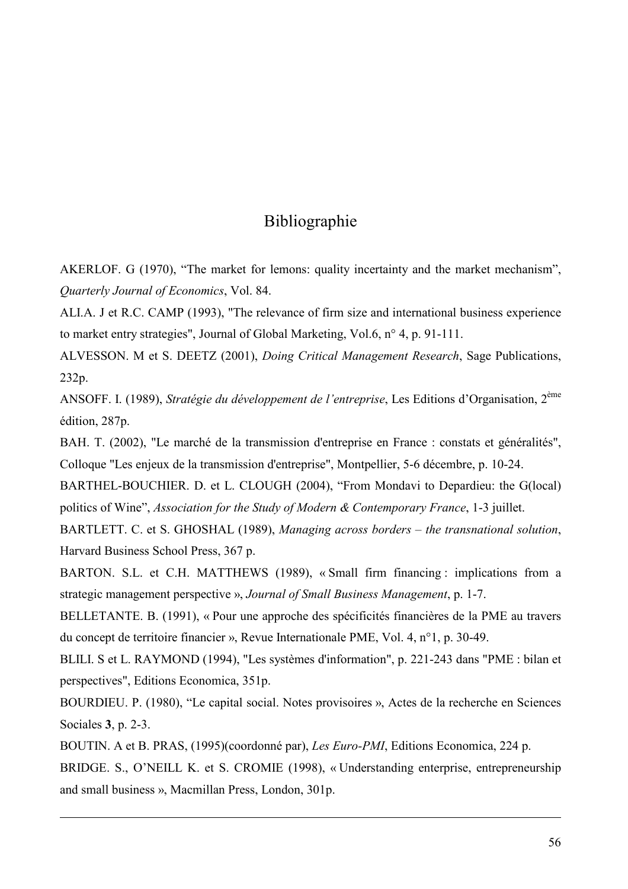# Bibliographie

AKERLOF. G (1970), "The market for lemons: quality incertainty and the market mechanism", Quarterly Journal of Economics, Vol. 84.

ALI.A. J et R.C. CAMP (1993), "The relevance of firm size and international business experience to market entry strategies", Journal of Global Marketing, Vol.6, n° 4, p. 91-111.

ALVESSON. M et S. DEETZ (2001), *Doing Critical Management Research*, Sage Publications, 232p.

ANSOFF. I. (1989), Stratégie du développement de l'entreprise, Les Editions d'Organisation, 2<sup>ème</sup> édition, 287p.

BAH. T. (2002), "Le marché de la transmission d'entreprise en France : constats et généralités", Colloque "Les enjeux de la transmission d'entreprise", Montpellier, 5-6 décembre, p. 10-24.

BARTHEL-BOUCHIER. D. et L. CLOUGH (2004), "From Mondavi to Depardieu: the G(local) politics of Wine", Association for the Study of Modern & Contemporary France, 1-3 juillet.

BARTLETT, C. et S. GHOSHAL (1989), Managing across borders – the transnational solution, Harvard Business School Press, 367 p.

BARTON. S.L. et C.H. MATTHEWS (1989), «Small firm financing: implications from a strategic management perspective », Journal of Small Business Management, p. 1-7.

BELLETANTE. B. (1991), « Pour une approche des spécificités financières de la PME au travers du concept de territoire financier », Revue Internationale PME, Vol. 4, n°1, p. 30-49.

BLILI. S et L. RAYMOND (1994), "Les systèmes d'information", p. 221-243 dans "PME : bilan et perspectives", Editions Economica, 351p.

BOURDIEU. P. (1980), "Le capital social. Notes provisoires », Actes de la recherche en Sciences Sociales 3, p. 2-3.

BOUTIN. A et B. PRAS. (1995)(coordonné par), Les Euro-PMI, Editions Economica, 224 p. BRIDGE. S., O'NEILL K. et S. CROMIE (1998), «Understanding enterprise, entrepreneurship and small business », Macmillan Press, London, 301p.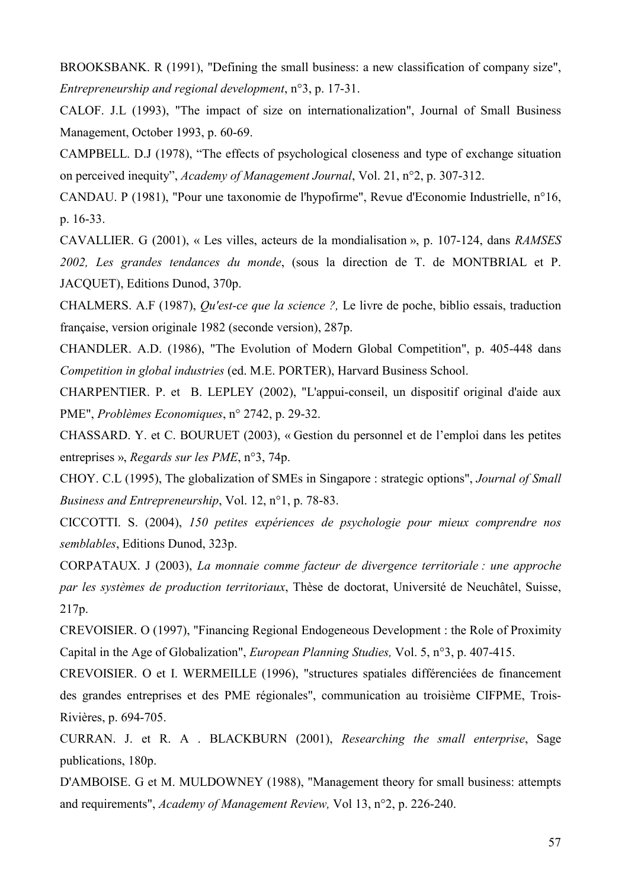BROOKSBANK, R (1991), "Defining the small business: a new classification of company size", Entrepreneurship and regional development,  $n^{\circ}3$ , p. 17-31.

CALOF. J.L (1993). "The impact of size on internationalization", Journal of Small Business Management, October 1993, p. 60-69.

CAMPBELL, D.J (1978), "The effects of psychological closeness and type of exchange situation on perceived inequity", Academy of Management Journal, Vol. 21, n°2, p. 307-312.

CANDAU. P (1981), "Pour une taxonomie de l'hypofirme", Revue d'Economie Industrielle, n°16, p. 16-33.

CAVALLIER. G (2001), « Les villes, acteurs de la mondialisation », p. 107-124, dans RAMSES 2002, Les grandes tendances du monde, (sous la direction de T. de MONTBRIAL et P. JACQUET), Editions Dunod, 370p.

CHALMERS. A.F (1987), *Ou'est-ce que la science* ?, Le livre de poche, biblio essais, traduction française, version originale 1982 (seconde version), 287p.

CHANDLER. A.D. (1986), "The Evolution of Modern Global Competition", p. 405-448 dans Competition in global industries (ed. M.E. PORTER), Harvard Business School.

CHARPENTIER. P. et B. LEPLEY (2002), "L'appui-conseil, un dispositif original d'aide aux PME", Problèmes Economiques, n° 2742, p. 29-32.

CHASSARD, Y, et C. BOURUET (2003), « Gestion du personnel et de l'emploi dans les petites entreprises », Regards sur les PME, n°3, 74p.

CHOY. C.L (1995), The globalization of SMEs in Singapore : strategic options", *Journal of Small* Business and Entrepreneurship, Vol. 12, n°1, p. 78-83.

CICCOTTI. S. (2004), 150 petites expériences de psychologie pour mieux comprendre nos semblables, Editions Dunod, 323p.

CORPATAUX. J (2003), La monnaie comme facteur de divergence territoriale : une approche par les systèmes de production territoriaux, Thèse de doctorat, Université de Neuchâtel, Suisse,  $217p.$ 

CREVOISIER. O (1997), "Financing Regional Endogeneous Development : the Role of Proximity Capital in the Age of Globalization", *European Planning Studies*, Vol. 5, n°3, p. 407-415.

CREVOISIER. O et I. WERMEILLE (1996), "structures spatiales différenciées de financement des grandes entreprises et des PME régionales", communication au troisième CIFPME, Trois-Rivières, p. 694-705.

CURRAN. J. et R. A. BLACKBURN (2001), Researching the small enterprise, Sage publications, 180p.

D'AMBOISE. G et M. MULDOWNEY (1988), "Management theory for small business: attempts and requirements", Academy of Management Review, Vol 13, n°2, p. 226-240.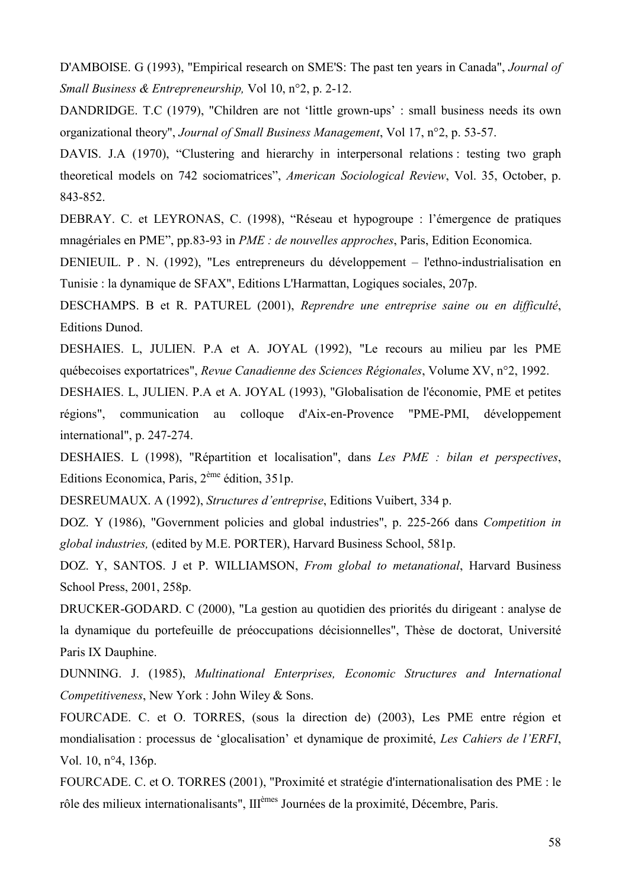D'AMBOISE. G (1993), "Empirical research on SME'S: The past ten years in Canada", *Journal of Small Business & Entrepreneurship.* Vol 10,  $n^{\circ}2$ , p. 2-12.

DANDRIDGE, T.C (1979), "Children are not 'little grown-ups': small business needs its own organizational theory", Journal of Small Business Management, Vol 17, n°2, p. 53-57.

DAVIS. J.A (1970), "Clustering and hierarchy in interpersonal relations: testing two graph theoretical models on 742 sociomatrices", American Sociological Review, Vol. 35, October, p. 843-852.

DEBRAY. C. et LEYRONAS, C. (1998), "Réseau et hypogroupe : l'émergence de pratiques mnagériales en PME", pp.83-93 in *PME : de nouvelles approches*, Paris, Edition Economica.

DENIEUIL. P. N. (1992), "Les entrepreneurs du développement – l'ethno-industrialisation en Tunisie: la dynamique de SFAX", Editions L'Harmattan, Logiques sociales, 207p.

DESCHAMPS. B et R. PATUREL (2001), Reprendre une entreprise saine ou en difficulté, **Editions Dunod.** 

DESHAIES. L, JULIEN. P.A et A. JOYAL (1992), "Le recours au milieu par les PME québecoises exportatrices". Revue Canadienne des Sciences Régionales. Volume XV, n°2, 1992.

DESHAIES. L, JULIEN. P.A et A. JOYAL (1993), "Globalisation de l'économie, PME et petites régions", communication au colloque d'Aix-en-Provence "PME-PMI, développement international", p. 247-274.

DESHAIES. L (1998), "Répartition et localisation", dans Les PME : bilan et perspectives, Editions Economica, Paris,  $2^{\text{eme}}$  édition, 351p.

DESREUMAUX. A (1992), Structures d'entreprise, Editions Vuibert, 334 p.

DOZ. Y (1986), "Government policies and global industries", p. 225-266 dans Competition in global industries, (edited by M.E. PORTER), Harvard Business School, 581p.

DOZ. Y, SANTOS. J et P. WILLIAMSON, From global to metanational, Harvard Business School Press, 2001, 258p.

DRUCKER-GODARD. C (2000), "La gestion au quotidien des priorités du dirigeant : analyse de la dynamique du portefeuille de préoccupations décisionnelles". Thèse de doctorat, Université Paris IX Dauphine.

DUNNING. J. (1985), Multinational Enterprises, Economic Structures and International Competitiveness, New York : John Wiley & Sons.

FOURCADE. C. et O. TORRES, (sous la direction de) (2003), Les PME entre région et mondialisation : processus de 'glocalisation' et dynamique de proximité, Les Cahiers de l'ERFI, Vol. 10, n°4, 136p.

FOURCADE. C. et O. TORRES (2001), "Proximité et stratégie d'internationalisation des PME : le rôle des milieux internationalisants", III<sup>èmes</sup> Journées de la proximité, Décembre, Paris.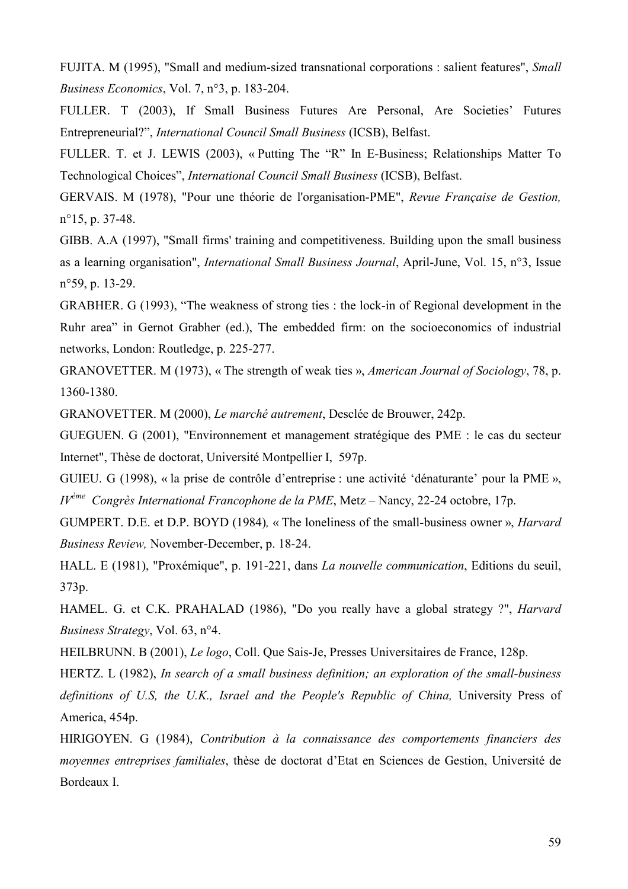FUJITA, M (1995), "Small and medium-sized transnational corporations : salient features", Small Business Economics, Vol. 7, n°3, p. 183-204.

FULLER. T (2003), If Small Business Futures Are Personal, Are Societies' Futures Entrepreneurial?", International Council Small Business (ICSB), Belfast.

FULLER. T. et J. LEWIS (2003), « Putting The "R" In E-Business; Relationships Matter To Technological Choices", *International Council Small Business* (ICSB), Belfast.

GERVAIS. M (1978), "Pour une théorie de l'organisation-PME", Revue Française de Gestion,  $n^{\circ}15$ , p. 37-48.

GIBB. A.A (1997), "Small firms' training and competitiveness. Building upon the small business as a learning organisation", *International Small Business Journal*, April-June, Vol. 15, n°3, Issue  $n^{\circ}59$ , p. 13-29.

GRABHER. G (1993), "The weakness of strong ties: the lock-in of Regional development in the Ruhr area" in Gernot Grabher (ed.), The embedded firm: on the socioeconomics of industrial networks, London: Routledge, p. 225-277.

GRANOVETTER. M (1973), « The strength of weak ties », *American Journal of Sociology*, 78, p. 1360-1380.

GRANOVETTER. M (2000), Le marché autrement, Desclée de Brouwer, 242p.

GUEGUEN. G (2001). "Environnement et management stratégique des PME : le cas du secteur Internet", Thèse de doctorat, Université Montpellier I, 597p.

GUIEU. G (1998), « la prise de contrôle d'entreprise : une activité 'dénaturante' pour la PME »,  $IV^{\text{ème}}$  Congrès International Francophone de la PME, Metz – Nancy, 22-24 octobre, 17p.

GUMPERT. D.E. et D.P. BOYD (1984), « The loneliness of the small-business owner », *Harvard* Business Review, November-December, p. 18-24.

HALL. E (1981), "Proxémique", p. 191-221, dans La nouvelle communication, Editions du seuil, 373p.

HAMEL. G. et C.K. PRAHALAD (1986), "Do you really have a global strategy ?", *Harvard Business Strategy*, Vol. 63, n°4.

HEILBRUNN. B (2001), Le logo, Coll. Que Sais-Je, Presses Universitaires de France, 128p.

HERTZ. L (1982), In search of a small business definition; an exploration of the small-business definitions of U.S. the U.K., Israel and the People's Republic of China, University Press of America, 454p.

HIRIGOYEN. G (1984), Contribution à la connaissance des comportements financiers des movennes entreprises familiales, thèse de doctorat d'Etat en Sciences de Gestion, Université de Bordeaux I.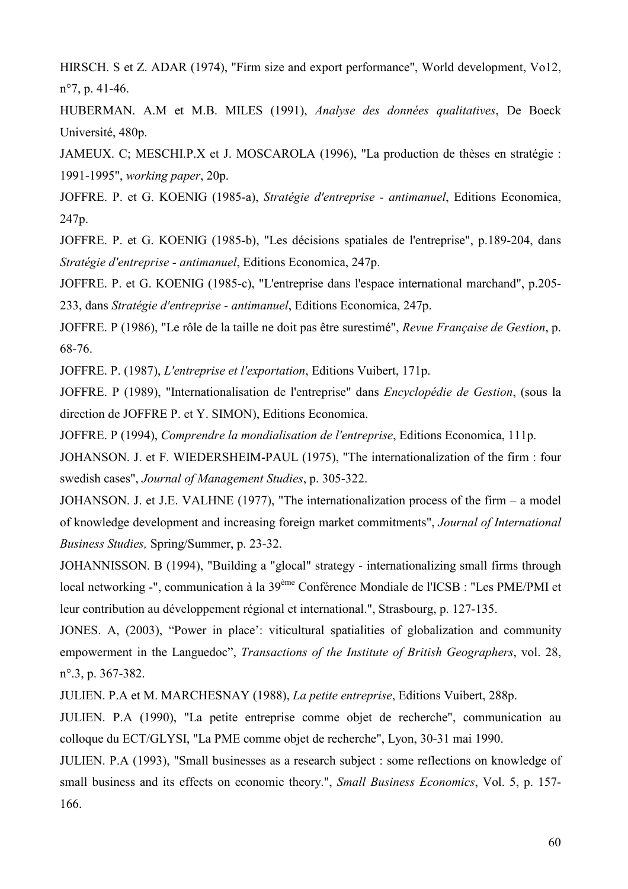HIRSCH. S et Z. ADAR (1974), "Firm size and export performance", World development, Vo12,  $n^{\circ}$ 7, p. 41-46.

HUBERMAN. A.M et M.B. MILES (1991), Analyse des données qualitatives, De Boeck Université, 480p.

JAMEUX. C; MESCHI.P.X et J. MOSCAROLA (1996), "La production de thèses en stratégie : 1991-1995", working paper, 20p.

JOFFRE. P. et G. KOENIG (1985-a), Stratégie d'entreprise - antimanuel, Editions Economica, 247p.

JOFFRE. P. et G. KOENIG (1985-b), "Les décisions spatiales de l'entreprise", p.189-204, dans Stratégie d'entreprise - antimanuel, Editions Economica, 247p.

JOFFRE. P. et G. KOENIG (1985-c), "L'entreprise dans l'espace international marchand", p.205-233, dans Stratégie d'entreprise - antimanuel, Editions Economica, 247p.

JOFFRE. P (1986), "Le rôle de la taille ne doit pas être surestimé", Revue Française de Gestion, p. 68-76.

JOFFRE, P. (1987). *L'entreprise et l'exportation*. Editions Vuibert, 171p.

JOFFRE. P (1989), "Internationalisation de l'entreprise" dans *Encyclopédie de Gestion*, (sous la direction de JOFFRE P. et Y. SIMON), Editions Economica.

JOFFRE, P (1994). Comprendre la mondialisation de l'entreprise, Editions Economica, 111p.

JOHANSON. J. et F. WIEDERSHEIM-PAUL (1975), "The internationalization of the firm : four swedish cases", Journal of Management Studies, p. 305-322.

JOHANSON. J. et J.E. VALHNE (1977), "The internationalization process of the firm  $-$  a model of knowledge development and increasing foreign market commitments", Journal of International Business Studies, Spring/Summer, p. 23-32.

JOHANNISSON. B (1994), "Building a "glocal" strategy - internationalizing small firms through local networking -", communication à la 39<sup>ème</sup> Conférence Mondiale de l'ICSB : "Les PME/PMI et leur contribution au développement régional et international.", Strasbourg, p. 127-135.

JONES. A, (2003), "Power in place": viticultural spatialities of globalization and community empowerment in the Languedoc", Transactions of the Institute of British Geographers, vol. 28,  $n^{\circ}.3$ , p. 367-382.

JULIEN. P.A et M. MARCHESNAY (1988), La petite entreprise, Editions Vuibert, 288p.

JULIEN. P.A (1990). "La petite entreprise comme objet de recherche", communication au colloque du ECT/GLYSI, "La PME comme objet de recherche", Lyon, 30-31 mai 1990.

JULIEN, P.A (1993), "Small businesses as a research subject : some reflections on knowledge of small business and its effects on economic theory.", Small Business Economics, Vol. 5, p. 157-166.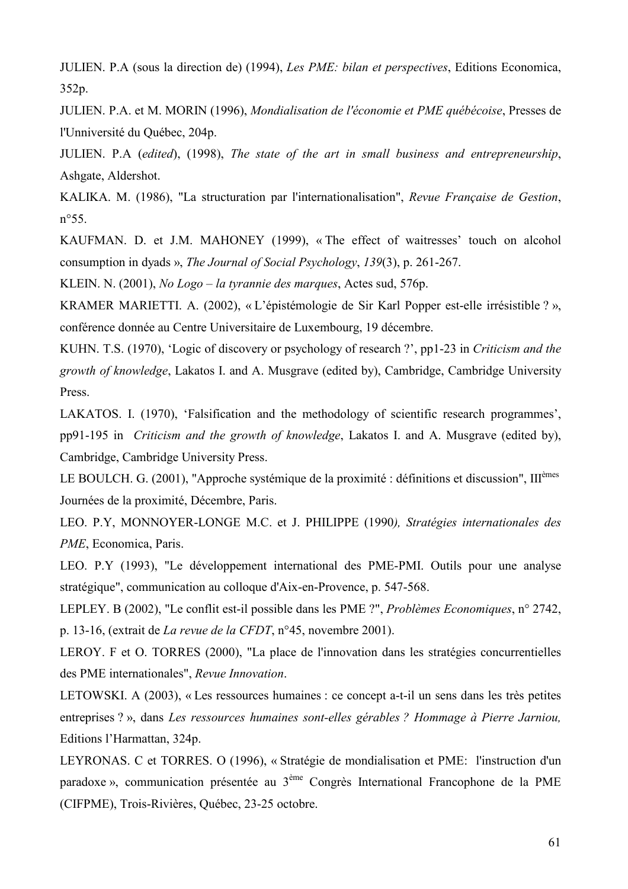JULIEN. P.A (sous la direction de) (1994), Les PME: bilan et perspectives, Editions Economica, 352p.

JULIEN, P.A. et M. MORIN (1996), Mondialisation de l'économie et PME québécoise, Presses de l'Unniversité du Québec, 204p.

JULIEN. P.A (edited), (1998), The state of the art in small business and entrepreneurship, Ashgate, Aldershot.

KALIKA. M. (1986), "La structuration par l'internationalisation", Revue Française de Gestion,  $n^{\circ}55$ .

KAUFMAN. D. et J.M. MAHONEY (1999), «The effect of waitresses' touch on alcohol consumption in dyads », The Journal of Social Psychology, 139(3), p. 261-267.

KLEIN. N. (2001), No Logo – la tyrannie des marques, Actes sud, 576p.

KRAMER MARIETTI. A. (2002), « L'épistémologie de Sir Karl Popper est-elle irrésistible ? », conférence donnée au Centre Universitaire de Luxembourg, 19 décembre.

KUHN. T.S. (1970), 'Logic of discovery or psychology of research ?', pp1-23 in Criticism and the growth of knowledge, Lakatos I. and A. Musgrave (edited by), Cambridge, Cambridge University Press.

LAKATOS. I. (1970). 'Falsification and the methodology of scientific research programmes'. pp91-195 in *Criticism and the growth of knowledge*. Lakatos I, and A. Musgrave (edited by). Cambridge, Cambridge University Press.

LE BOULCH. G. (2001), "Approche systémique de la proximité : définitions et discussion", III<sup>èmes</sup> Journées de la proximité, Décembre, Paris.

LEO. P.Y. MONNOYER-LONGE M.C. et J. PHILIPPE (1990), Stratégies internationales des PME, Economica, Paris.

LEO. P.Y (1993), "Le développement international des PME-PMI. Outils pour une analyse stratégique", communication au colloque d'Aix-en-Provence, p. 547-568.

LEPLEY. B (2002), "Le conflit est-il possible dans les PME ?", Problèmes Economiques, n° 2742, p. 13-16, (extrait de La revue de la CFDT,  $n^{\circ}45$ , novembre 2001).

LEROY. F et O. TORRES (2000), "La place de l'innovation dans les stratégies concurrentielles des PME internationales", Revue Innovation.

LETOWSKI. A (2003), « Les ressources humaines : ce concept a-t-il un sens dans les très petites entreprises ?», dans Les ressources humaines sont-elles gérables ? Hommage à Pierre Jarniou, Editions l'Harmattan, 324p.

LEYRONAS. C et TORRES. O (1996), « Stratégie de mondialisation et PME: l'instruction d'un paradoxe», communication présentée au 3<sup>ème</sup> Congrès International Francophone de la PME (CIFPME), Trois-Rivières, Québec, 23-25 octobre.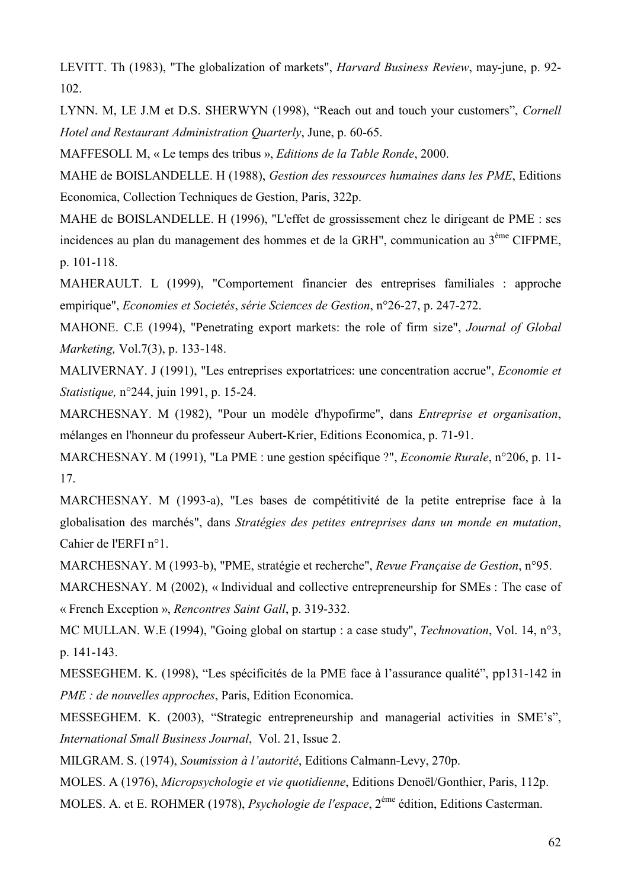LEVITT. Th (1983), "The globalization of markets", *Harvard Business Review*, may-june, p. 92- $102$ 

LYNN, M, LE J.M et D.S. SHERWYN (1998), "Reach out and touch your customers", Cornell Hotel and Restaurant Administration Quarterly, June, p. 60-65.

MAFFESOLI. M, « Le temps des tribus », Editions de la Table Ronde, 2000.

MAHE de BOISLANDELLE. H (1988), Gestion des ressources humaines dans les PME, Editions Economica, Collection Techniques de Gestion, Paris, 322p.

MAHE de BOISLANDELLE. H (1996), "L'effet de grossissement chez le dirigeant de PME : ses incidences au plan du management des hommes et de la GRH", communication au 3<sup>ème</sup> CIFPME, p. 101-118.

MAHERAULT. L (1999), "Comportement financier des entreprises familiales : approche empirique", Economies et Societés, série Sciences de Gestion, n°26-27, p. 247-272.

MAHONE. C.E (1994), "Penetrating export markets: the role of firm size", Journal of Global Marketing, Vol.7(3), p. 133-148.

MALIVERNAY. J (1991), "Les entreprises exportatrices: une concentration accrue", Economie et *Statistique*, n°244, juin 1991, p. 15-24.

MARCHESNAY. M (1982), "Pour un modèle d'hypofirme", dans Entreprise et organisation, mélanges en l'honneur du professeur Aubert-Krier. Editions Economica. p. 71-91.

MARCHESNAY. M (1991), "La PME : une gestion spécifique ?", Economie Rurale, n°206, p. 11-17.

MARCHESNAY. M (1993-a), "Les bases de compétitivité de la petite entreprise face à la globalisation des marchés", dans Stratégies des petites entreprises dans un monde en mutation, Cahier de l'ERFI n°1.

MARCHESNAY. M (1993-b), "PME, stratégie et recherche", Revue Française de Gestion, n°95.

MARCHESNAY. M (2002), «Individual and collective entrepreneurship for SMEs : The case of « French Exception », Rencontres Saint Gall, p. 319-332.

MC MULLAN. W.E (1994), "Going global on startup : a case study", *Technovation*, Vol. 14, n°3, p. 141-143.

MESSEGHEM. K. (1998), "Les spécificités de la PME face à l'assurance qualité", pp131-142 in PME : de nouvelles approches, Paris, Edition Economica.

MESSEGHEM. K. (2003), "Strategic entrepreneurship and managerial activities in SME's", International Small Business Journal, Vol. 21, Issue 2.

MILGRAM, S. (1974), Soumission à l'autorité, Editions Calmann-Levy, 270p.

MOLES, A (1976), Micropsychologie et vie auotidienne, Editions Denoël/Gonthier, Paris, 112p.

MOLES. A. et E. ROHMER (1978), *Psychologie de l'espace*, 2<sup>ème</sup> édition, Editions Casterman.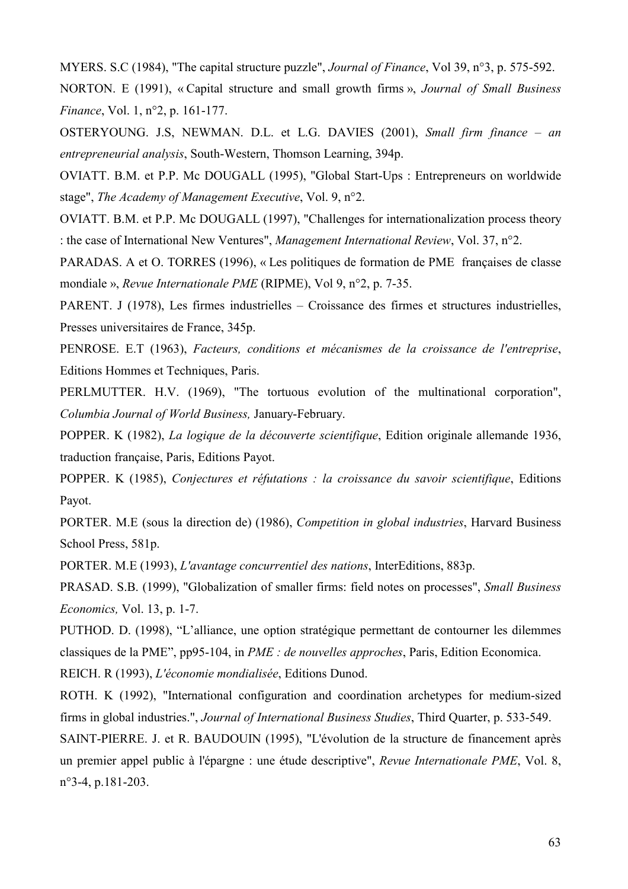MYERS. S.C (1984), "The capital structure puzzle", *Journal of Finance*, Vol 39, n°3, p. 575-592. NORTON, E (1991), «Capital structure and small growth firms». Journal of Small Business *Finance*, Vol. 1, n°2, p. 161-177.

OSTERYOUNG. J.S., NEWMAN. D.L. et L.G. DAVIES (2001), Small firm finance - an entrepreneurial analysis, South-Western, Thomson Learning, 394p.

OVIATT. B.M. et P.P. Mc DOUGALL (1995), "Global Start-Ups : Entrepreneurs on worldwide stage", The Academy of Management Executive, Vol. 9, n°2.

OVIATT. B.M. et P.P. Mc DOUGALL (1997), "Challenges for internationalization process theory : the case of International New Ventures", *Management International Review*, Vol. 37,  $n^{\circ}2$ .

PARADAS. A et O. TORRES (1996), « Les politiques de formation de PME françaises de classe mondiale », Revue Internationale PME (RIPME), Vol 9, n°2, p. 7-35.

PARENT. J (1978), Les firmes industrielles – Croissance des firmes et structures industrielles, Presses universitaires de France, 345p.

PENROSE. E.T (1963), Facteurs, conditions et mécanismes de la croissance de l'entreprise, Editions Hommes et Techniques, Paris.

PERLMUTTER. H.V. (1969), "The tortuous evolution of the multinational corporation", Columbia Journal of World Business, January-February.

POPPER. K (1982). La logique de la découverte scientifique. Edition originale allemande 1936. traduction française, Paris, Editions Payot.

POPPER. K (1985), Conjectures et réfutations : la croissance du savoir scientifique, Editions Payot.

PORTER. M.E (sous la direction de) (1986), Competition in global industries, Harvard Business School Press, 581p.

PORTER. M.E (1993), L'avantage concurrentiel des nations, InterEditions, 883p.

PRASAD, S.B. (1999), "Globalization of smaller firms: field notes on processes", *Small Business Economics*, Vol. 13, p. 1-7.

PUTHOD. D. (1998), "L'alliance, une option stratégique permettant de contourner les dilemmes classiques de la PME", pp95-104, in *PME : de nouvelles approches*, Paris, Edition Economica. REICH. R (1993), L'économie mondialisée, Editions Dunod.

ROTH. K (1992), "International configuration and coordination archetypes for medium-sized firms in global industries.", *Journal of International Business Studies*, Third Quarter, p. 533-549.

SAINT-PIERRE. J. et R. BAUDOUIN (1995), "L'évolution de la structure de financement après un premier appel public à l'épargne : une étude descriptive", Revue Internationale PME, Vol. 8,  $n^{\circ}$ 3-4, p.181-203.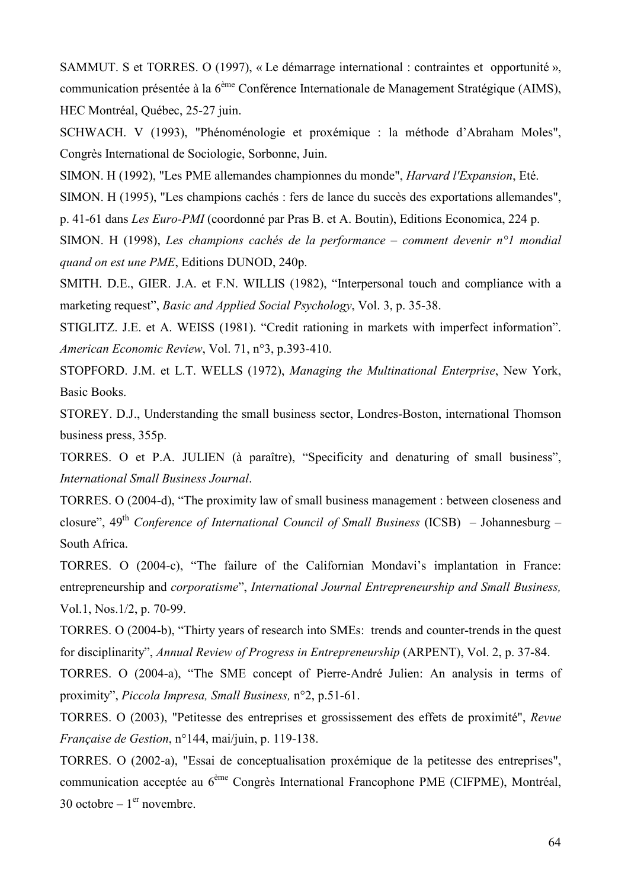SAMMUT. S et TORRES. O (1997), « Le démarrage international : contraintes et opportunité ». communication présentée à la 6<sup>ème</sup> Conférence Internationale de Management Stratégique (AIMS). HEC Montréal, Québec, 25-27 juin.

SCHWACH. V (1993), "Phénoménologie et proxémique : la méthode d'Abraham Moles", Congrès International de Sociologie, Sorbonne, Juin.

SIMON. H (1992), "Les PME allemandes championnes du monde", *Harvard l'Expansion*, Eté.

SIMON. H (1995), "Les champions cachés : fers de lance du succès des exportations allemandes", p. 41-61 dans Les Euro-PMI (coordonné par Pras B. et A. Boutin), Editions Economica, 224 p.

SIMON. H (1998), Les champions cachés de la performance – comment devenir  $n^{\circ}$ l mondial quand on est une PME, Editions DUNOD, 240p.

SMITH. D.E., GIER. J.A. et F.N. WILLIS (1982), "Interpersonal touch and compliance with a marketing request", *Basic and Applied Social Psychology*, Vol. 3, p. 35-38.

STIGLITZ. J.E. et A. WEISS (1981). "Credit rationing in markets with imperfect information". American Economic Review, Vol. 71, n°3, p.393-410.

STOPFORD. J.M. et L.T. WELLS (1972), Managing the Multinational Enterprise, New York, Basic Books.

STOREY, D.J., Understanding the small business sector, Londres-Boston, international Thomson business press, 355p.

TORRES. O et P.A. JULIEN (à paraître), "Specificity and denaturing of small business", **International Small Business Journal.** 

TORRES. O (2004-d), "The proximity law of small business management : between closeness and closure",  $49<sup>th</sup>$  Conference of International Council of Small Business (ICSB) – Johannesburg – South Africa.

TORRES. O (2004-c), "The failure of the Californian Mondavi's implantation in France: entrepreneurship and *corporatisme*", International Journal Entrepreneurship and Small Business, Vol.1, Nos.1/2, p. 70-99.

TORRES. O (2004-b), "Thirty years of research into SMEs: trends and counter-trends in the quest for disciplinarity", Annual Review of Progress in Entrepreneurship (ARPENT), Vol. 2, p. 37-84.

TORRES. O (2004-a), "The SME concept of Pierre-André Julien: An analysis in terms of proximity", Piccola Impresa, Small Business, n°2, p.51-61.

TORRES. O (2003). "Petitesse des entreprises et grossissement des effets de proximité", Revue *Française de Gestion*, n°144, mai/juin, p. 119-138.

TORRES. O (2002-a), "Essai de conceptualisation proxémique de la petitesse des entreprises", communication acceptée au 6<sup>ème</sup> Congrès International Francophone PME (CIFPME), Montréal, 30 octobre –  $1<sup>er</sup>$  novembre.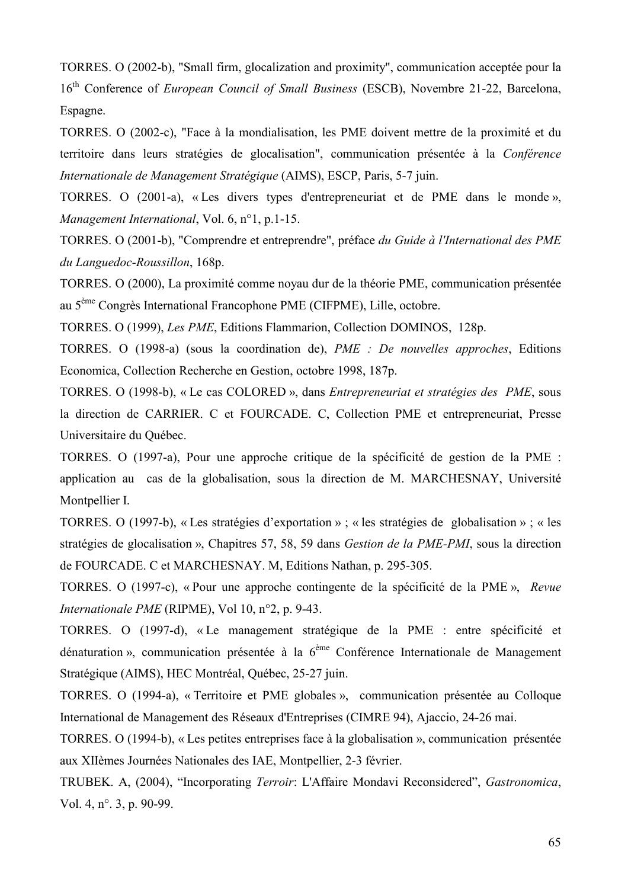TORRES, O (2002-b), "Small firm, glocalization and proximity", communication acceptée pour la 16<sup>th</sup> Conference of *European Council of Small Business* (ESCB). Novembre 21-22, Barcelona, Espagne.

TORRES. O (2002-c), "Face à la mondialisation, les PME doivent mettre de la proximité et du territoire dans leurs stratégies de glocalisation", communication présentée à la Conférence Internationale de Management Stratégique (AIMS), ESCP, Paris, 5-7 juin.

TORRES. O (2001-a), «Les divers types d'entrepreneuriat et de PME dans le monde», Management International, Vol. 6, n°1, p.1-15.

TORRES. O (2001-b), "Comprendre et entreprendre", préface du Guide à l'International des PME du Languedoc-Roussillon, 168p.

TORRES. O (2000), La proximité comme noyau dur de la théorie PME, communication présentée au 5<sup>ème</sup> Congrès International Francophone PME (CIFPME), Lille, octobre.

TORRES. O (1999), Les PME, Editions Flammarion, Collection DOMINOS, 128p.

TORRES. O (1998-a) (sous la coordination de), PME : De nouvelles approches, Editions Economica, Collection Recherche en Gestion, octobre 1998, 187p.

TORRES. O (1998-b), « Le cas COLORED », dans *Entrepreneuriat et stratégies des PME*, sous la direction de CARRIER. C et FOURCADE. C, Collection PME et entrepreneuriat, Presse Universitaire du Ouébec.

TORRES. O (1997-a), Pour une approche critique de la spécificité de gestion de la PME : application au cas de la globalisation, sous la direction de M. MARCHESNAY, Université Montpellier I.

TORRES. O (1997-b), « Les stratégies d'exportation » ; « les stratégies de globalisation » ; « les stratégies de glocalisation », Chapitres 57, 58, 59 dans Gestion de la PME-PMI, sous la direction de FOURCADE. C et MARCHESNAY. M, Editions Nathan, p. 295-305.

TORRES. O (1997-c), « Pour une approche contingente de la spécificité de la PME », Revue Internationale PME (RIPME), Vol 10, n°2, p. 9-43.

TORRES. O (1997-d), «Le management stratégique de la PME : entre spécificité et dénaturation », communication présentée à la  $6^{eme}$  Conférence Internationale de Management Stratégique (AIMS), HEC Montréal, Québec, 25-27 juin.

TORRES. O (1994-a), « Territoire et PME globales », communication présentée au Colloque International de Management des Réseaux d'Entreprises (CIMRE 94), Ajaccio, 24-26 mai.

TORRES. O (1994-b), « Les petites entreprises face à la globalisation », communication présentée aux XIIèmes Journées Nationales des IAE, Montpellier, 2-3 février.

TRUBEK, A. (2004). "Incorporating *Terroir*: L'Affaire Mondavi Reconsidered". Gastronomica. Vol. 4, n°. 3, p. 90-99.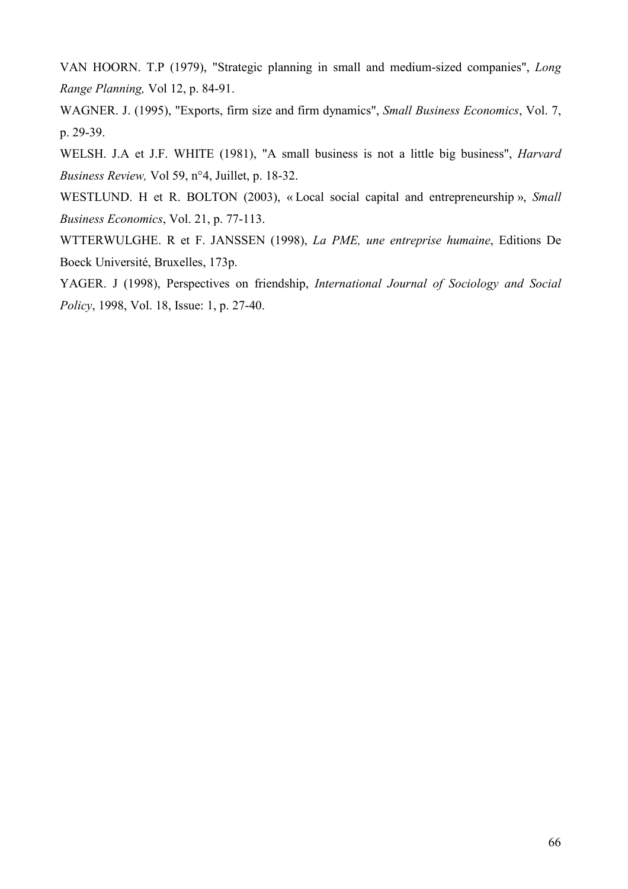VAN HOORN. T.P (1979), "Strategic planning in small and medium-sized companies", Long Range Planning, Vol 12, p. 84-91.

WAGNER. J. (1995), "Exports, firm size and firm dynamics", Small Business Economics, Vol. 7, p. 29-39.

WELSH. J.A et J.F. WHITE (1981), "A small business is not a little big business", *Harvard* Business Review, Vol 59, n°4, Juillet, p. 18-32.

WESTLUND. H et R. BOLTON (2003), «Local social capital and entrepreneurship », Small Business Economics, Vol. 21, p. 77-113.

WTTERWULGHE. R et F. JANSSEN (1998), La PME, une entreprise humaine, Editions De Boeck Université, Bruxelles, 173p.

YAGER. J (1998), Perspectives on friendship, International Journal of Sociology and Social Policy, 1998, Vol. 18, Issue: 1, p. 27-40.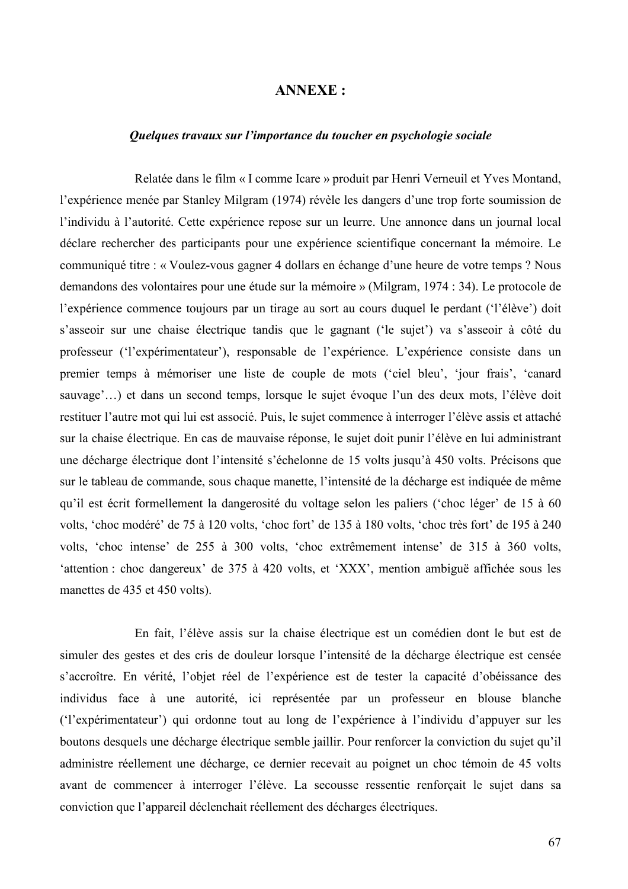## **ANNEXE:**

### Quelques travaux sur l'importance du toucher en psychologie sociale

Relatée dans le film « I comme Icare » produit par Henri Verneuil et Yves Montand, l'expérience menée par Stanley Milgram (1974) révèle les dangers d'une trop forte soumission de l'individu à l'autorité. Cette expérience repose sur un leurre. Une annonce dans un journal local déclare rechercher des participants pour une expérience scientifique concernant la mémoire. Le communiqué titre : « Voulez-vous gagner 4 dollars en échange d'une heure de votre temps ? Nous demandons des volontaires pour une étude sur la mémoire » (Milgram, 1974 : 34). Le protocole de l'expérience commence toujours par un tirage au sort au cours duquel le perdant ('l'élève') doit s'asseoir sur une chaise électrique tandis que le gagnant ('le sujet') va s'asseoir à côté du professeur ('l'expérimentateur'), responsable de l'expérience. L'expérience consiste dans un premier temps à mémoriser une liste de couple de mots ('ciel bleu', 'jour frais', 'canard sauvage'...) et dans un second temps, lorsque le sujet évoque l'un des deux mots, l'élève doit restituer l'autre mot qui lui est associé. Puis, le sujet commence à interroger l'élève assis et attaché sur la chaise électrique. En cas de mauvaise réponse, le sujet doit punir l'élève en lui administrant une décharge électrique dont l'intensité s'échelonne de 15 volts jusqu'à 450 volts. Précisons que sur le tableau de commande, sous chaque manette, l'intensité de la décharge est indiquée de même qu'il est écrit formellement la dangerosité du voltage selon les paliers ('choc léger' de 15 à 60 volts, 'choc modéré' de 75 à 120 volts, 'choc fort' de 135 à 180 volts, 'choc très fort' de 195 à 240 volts, 'choc intense' de 255 à 300 volts, 'choc extrêmement intense' de 315 à 360 volts, 'attention : choc dangereux' de 375 à 420 volts, et 'XXX', mention ambiguë affichée sous les manettes de 435 et 450 volts).

En fait, l'élève assis sur la chaise électrique est un comédien dont le but est de simuler des gestes et des cris de douleur lorsque l'intensité de la décharge électrique est censée s'accroître. En vérité, l'objet réel de l'expérience est de tester la capacité d'obéissance des individus face à une autorité, ici représentée par un professeur en blouse blanche ('l'expérimentateur') qui ordonne tout au long de l'expérience à l'individu d'appuyer sur les boutons desquels une décharge électrique semble jaillir. Pour renforcer la conviction du sujet qu'il administre réellement une décharge, ce dernier recevait au poignet un choc témoin de 45 volts avant de commencer à interroger l'élève. La secousse ressentie renforçait le sujet dans sa conviction que l'appareil déclenchait réellement des décharges électriques.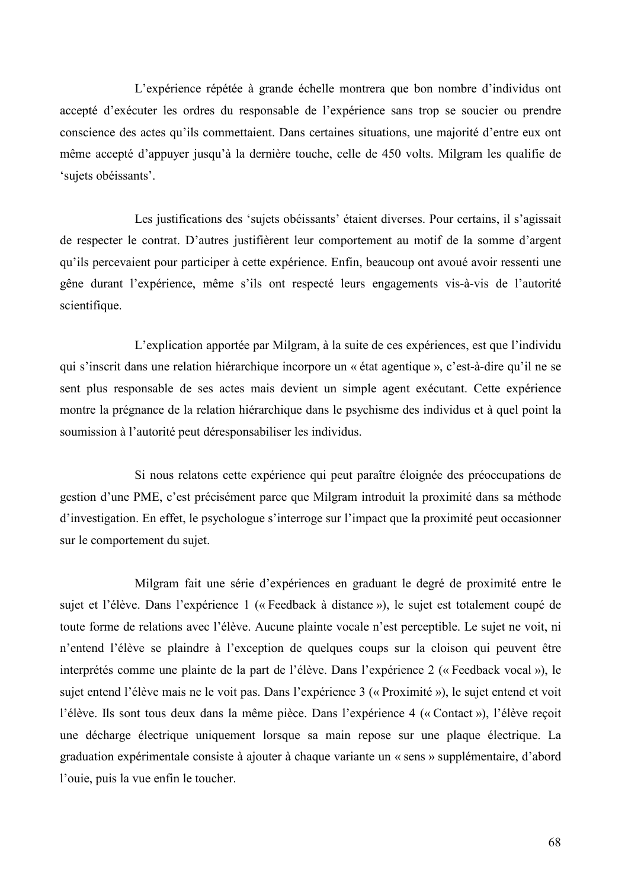L'expérience répétée à grande échelle montrera que bon nombre d'individus ont accepté d'exécuter les ordres du responsable de l'expérience sans trop se soucier ou prendre conscience des actes qu'ils commettaient. Dans certaines situations, une majorité d'entre eux ont même accepté d'appuyer jusqu'à la dernière touche, celle de 450 volts. Milgram les qualifie de 'sujets obéissants'.

Les justifications des 'sujets obéissants' étaient diverses. Pour certains, il s'agissait de respecter le contrat. D'autres justifièrent leur comportement au motif de la somme d'argent qu'ils percevaient pour participer à cette expérience. Enfin, beaucoup ont avoué avoir ressenti une gêne durant l'expérience, même s'ils ont respecté leurs engagements vis-à-vis de l'autorité scientifique.

L'explication apportée par Milgram, à la suite de ces expériences, est que l'individu qui s'inscrit dans une relation hiérarchique incorpore un « état agentique », c'est-à-dire qu'il ne se sent plus responsable de ses actes mais devient un simple agent exécutant. Cette expérience montre la prégnance de la relation hiérarchique dans le psychisme des individus et à quel point la soumission à l'autorité peut déresponsabiliser les individus.

Si nous relatons cette expérience qui peut paraître éloignée des préoccupations de gestion d'une PME, c'est précisément parce que Milgram introduit la proximité dans sa méthode d'investigation. En effet, le psychologue s'interroge sur l'impact que la proximité peut occasionner sur le comportement du sujet.

Milgram fait une série d'expériences en graduant le degré de proximité entre le sujet et l'élève. Dans l'expérience 1 (« Feedback à distance »), le sujet est totalement coupé de toute forme de relations avec l'élève. Aucune plainte vocale n'est perceptible. Le sujet ne voit, ni n'entend l'élève se plaindre à l'exception de quelques coups sur la cloison qui peuvent être interprétés comme une plainte de la part de l'élève. Dans l'expérience 2 (« Feedback vocal »), le sujet entend l'élève mais ne le voit pas. Dans l'expérience 3 (« Proximité »), le sujet entend et voit l'élève. Ils sont tous deux dans la même pièce. Dans l'expérience 4 (« Contact »), l'élève reçoit une décharge électrique uniquement lorsque sa main repose sur une plaque électrique. La graduation expérimentale consiste à ajouter à chaque variante un « sens » supplémentaire, d'abord l'ouie, puis la vue enfin le toucher.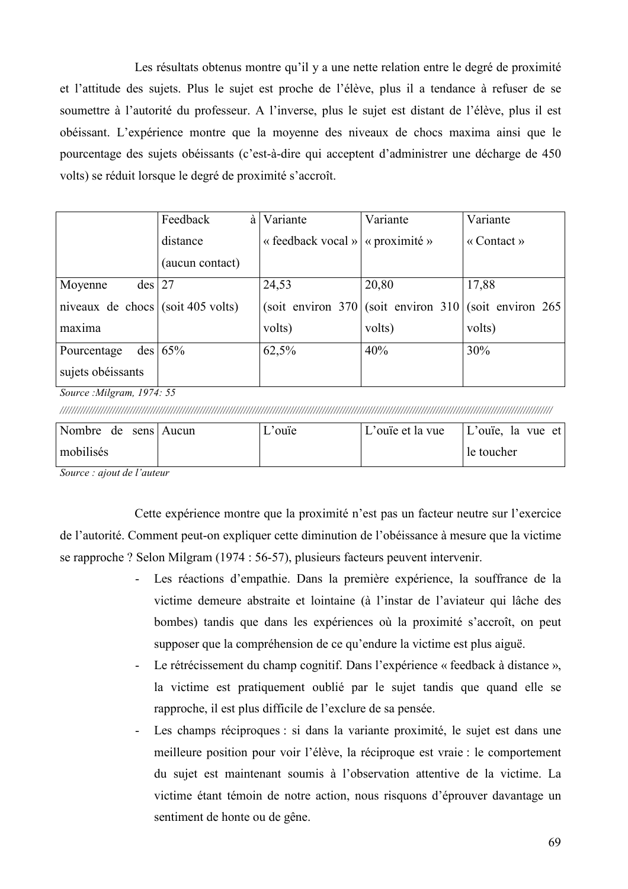Les résultats obtenus montre qu'il y a une nette relation entre le degré de proximité et l'attitude des sujets. Plus le sujet est proche de l'élève, plus il a tendance à refuser de se soumettre à l'autorité du professeur. A l'inverse, plus le sujet est distant de l'élève, plus il est obéissant. L'expérience montre que la moyenne des niveaux de chocs maxima ainsi que le pourcentage des sujets obéissants (c'est-à-dire qui acceptent d'administrer une décharge de 450 volts) se réduit lorsque le degré de proximité s'accroît.

|                                       | Feedback<br>à    | Variante                           | Variante | Variante                                      |
|---------------------------------------|------------------|------------------------------------|----------|-----------------------------------------------|
|                                       | distance         | « feedback vocal »   « proximité » |          | $\langle$ Contact $\rangle$                   |
|                                       | (aucun contact)  |                                    |          |                                               |
| $des$ 27<br>Moyenne                   |                  | 24,53                              | 20,80    | 17,88                                         |
| niveaux de chocs $ $ (soit 405 volts) |                  | $(soit$ environ 370                |          | $\vert$ (soit environ 310) (soit environ 265) |
| maxima                                |                  | volts)                             | volts)   | volts)                                        |
| Pourcentage                           | $\text{des}$ 65% | 62,5%                              | 40%      | 30%                                           |
| sujets obéissants                     |                  |                                    |          |                                               |

Source: Milgram, 1974: 55

| Nombre de sens Aucun | $\mathcal{L}$ 'ouïe | L'ouïe et la vue | $ $ L'ouïe, la vue et |
|----------------------|---------------------|------------------|-----------------------|
| mobilisés            |                     |                  | l le toucher          |

Source : ajout de l'auteur

Cette expérience montre que la proximité n'est pas un facteur neutre sur l'exercice de l'autorité. Comment peut-on expliquer cette diminution de l'obéissance à mesure que la victime se rapproche ? Selon Milgram (1974 : 56-57), plusieurs facteurs peuvent intervenir.

- Les réactions d'empathie. Dans la première expérience, la souffrance de la victime demeure abstraite et lointaine (à l'instar de l'aviateur qui lâche des bombes) tandis que dans les expériences où la proximité s'accroît, on peut supposer que la compréhension de ce qu'endure la victime est plus aiguë.
- Le rétrécissement du champ cognitif. Dans l'expérience « feedback à distance », la victime est pratiquement oublié par le sujet tandis que quand elle se rapproche, il est plus difficile de l'exclure de sa pensée.
- Les champs réciproques : si dans la variante proximité, le sujet est dans une  $\sim$ meilleure position pour voir l'élève, la réciproque est vraie : le comportement du sujet est maintenant soumis à l'observation attentive de la victime. La victime étant témoin de notre action, nous risquons d'éprouver davantage un sentiment de honte ou de gêne.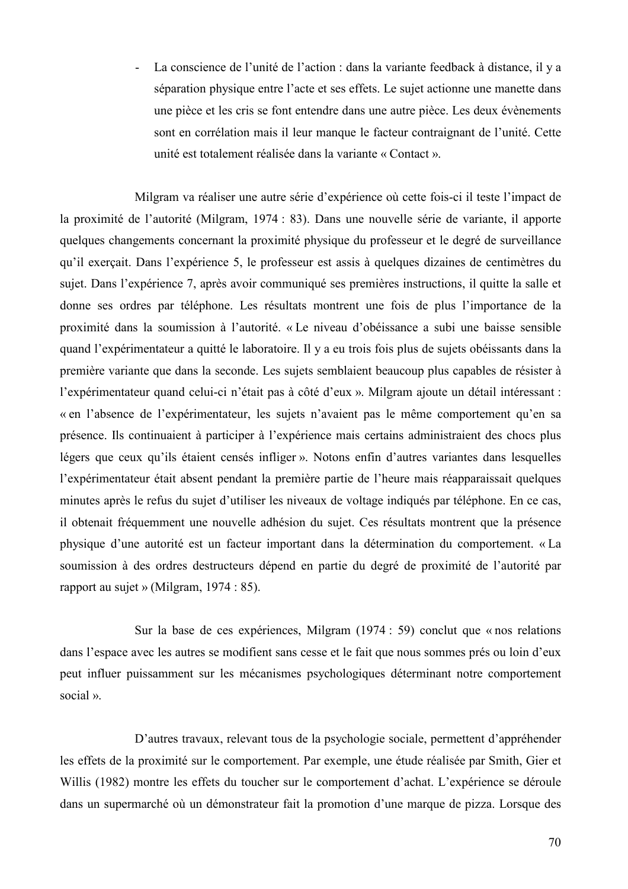La conscience de l'unité de l'action : dans la variante feedback à distance, il y a  $\mathbf{L}$ séparation physique entre l'acte et ses effets. Le suiet actionne une manette dans une pièce et les cris se font entendre dans une autre pièce. Les deux évènements sont en corrélation mais il leur manque le facteur contraignant de l'unité. Cette unité est totalement réalisée dans la variante « Contact ».

Milgram va réaliser une autre série d'expérience où cette fois-ci il teste l'impact de la proximité de l'autorité (Milgram, 1974 : 83). Dans une nouvelle série de variante, il apporte quelques changements concernant la proximité physique du professeur et le degré de surveillance qu'il exerçait. Dans l'expérience 5, le professeur est assis à quelques dizaines de centimètres du sujet. Dans l'expérience 7, après avoir communiqué ses premières instructions, il quitte la salle et donne ses ordres par téléphone. Les résultats montrent une fois de plus l'importance de la proximité dans la soumission à l'autorité. « Le niveau d'obéissance a subi une baisse sensible quand l'expérimentateur a quitté le laboratoire. Il y a eu trois fois plus de sujets obéissants dans la première variante que dans la seconde. Les sujets semblaient beaucoup plus capables de résister à l'expérimentateur quand celui-ci n'était pas à côté d'eux ». Milgram ajoute un détail intéressant : « en l'absence de l'expérimentateur, les sujets n'avaient pas le même comportement qu'en sa présence. Ils continuaient à participer à l'expérience mais certains administraient des chocs plus légers que ceux qu'ils étaient censés infliger ». Notons enfin d'autres variantes dans lesquelles l'expérimentateur était absent pendant la première partie de l'heure mais réapparaissait quelques minutes après le refus du sujet d'utiliser les niveaux de voltage indiqués par téléphone. En ce cas, il obtenait fréquemment une nouvelle adhésion du sujet. Ces résultats montrent que la présence physique d'une autorité est un facteur important dans la détermination du comportement. « La soumission à des ordres destructeurs dépend en partie du degré de proximité de l'autorité par rapport au sujet » (Milgram,  $1974 : 85$ ).

Sur la base de ces expériences, Milgram (1974 : 59) conclut que « nos relations dans l'espace avec les autres se modifient sans cesse et le fait que nous sommes prés ou loin d'eux peut influer puissamment sur les mécanismes psychologiques déterminant notre comportement social ».

D'autres travaux, relevant tous de la psychologie sociale, permettent d'appréhender les effets de la proximité sur le comportement. Par exemple, une étude réalisée par Smith, Gier et Willis (1982) montre les effets du toucher sur le comportement d'achat. L'expérience se déroule dans un supermarché où un démonstrateur fait la promotion d'une marque de pizza. Lorsque des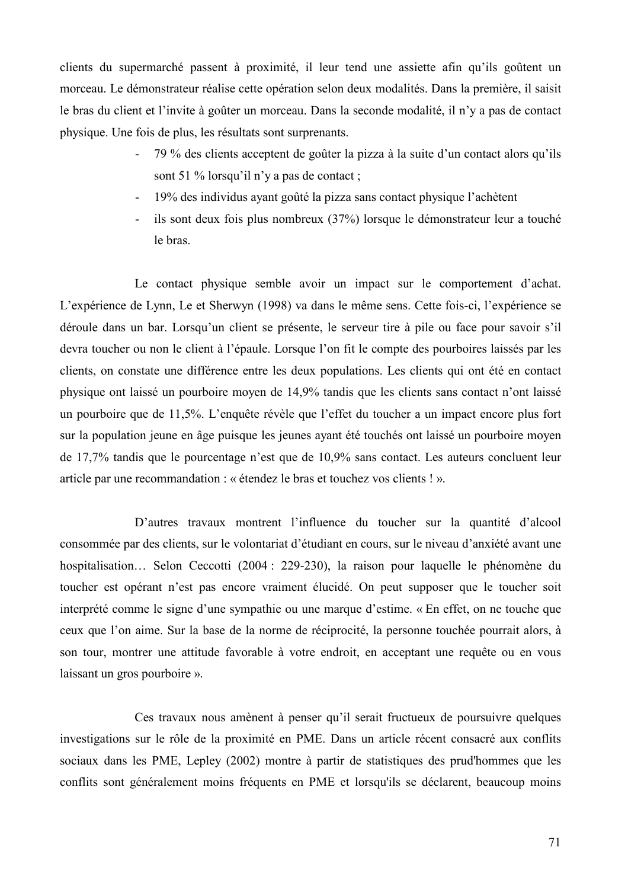clients du supermarché passent à proximité, il leur tend une assiette afin qu'ils goûtent un morceau. Le démonstrateur réalise cette opération selon deux modalités. Dans la première, il saisit le bras du client et l'invite à goûter un morceau. Dans la seconde modalité, il n'y a pas de contact physique. Une fois de plus, les résultats sont surprenants.

- 79 % des clients acceptent de goûter la pizza à la suite d'un contact alors qu'ils sont 51 % lorsqu'il n'y a pas de contact :
- 19% des individus ayant goûté la pizza sans contact physique l'achètent  $\sim$
- ils sont deux fois plus nombreux (37%) lorsque le démonstrateur leur a touché le bras.

Le contact physique semble avoir un impact sur le comportement d'achat. L'expérience de Lynn, Le et Sherwyn (1998) va dans le même sens. Cette fois-ci, l'expérience se déroule dans un bar. Lorsqu'un client se présente, le serveur tire à pile ou face pour savoir s'il devra toucher ou non le client à l'épaule. Lorsque l'on fit le compte des pourboires laissés par les clients, on constate une différence entre les deux populations. Les clients qui ont été en contact physique ont laissé un pourboire moyen de 14,9% tandis que les clients sans contact n'ont laissé un pourboire que de 11,5%. L'enquête révèle que l'effet du toucher a un impact encore plus fort sur la population jeune en âge puisque les jeunes avant été touchés ont laissé un pourboire moven de 17,7% tandis que le pourcentage n'est que de 10,9% sans contact. Les auteurs concluent leur article par une recommandation : « étendez le bras et touchez vos clients ! ».

D'autres travaux montrent l'influence du toucher sur la quantité d'alcool consommée par des clients, sur le volontariat d'étudiant en cours, sur le niveau d'anxiété avant une hospitalisation... Selon Ceccotti (2004 : 229-230), la raison pour laquelle le phénomène du toucher est opérant n'est pas encore vraiment élucidé. On peut supposer que le toucher soit interprété comme le signe d'une sympathie ou une marque d'estime. « En effet, on ne touche que ceux que l'on aime. Sur la base de la norme de réciprocité, la personne touchée pourrait alors, à son tour, montrer une attitude favorable à votre endroit, en acceptant une requête ou en vous laissant un gros pourboire ».

Ces travaux nous amènent à penser qu'il serait fructueux de poursuivre quelques investigations sur le rôle de la proximité en PME. Dans un article récent consacré aux conflits sociaux dans les PME, Lepley (2002) montre à partir de statistiques des prud'hommes que les conflits sont généralement moins fréquents en PME et lorsqu'ils se déclarent, beaucoup moins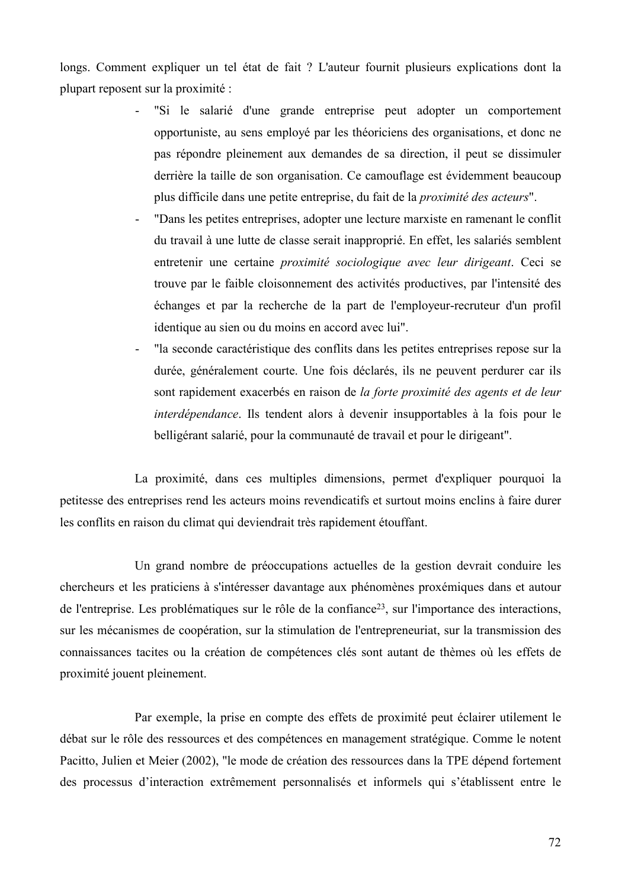longs. Comment expliquer un tel état de fait ? L'auteur fournit plusieurs explications dont la plupart reposent sur la proximité :

- "Si le salarié d'une grande entreprise peut adopter un comportement opportuniste, au sens employé par les théoriciens des organisations, et donc ne pas répondre pleinement aux demandes de sa direction, il peut se dissimuler derrière la taille de son organisation. Ce camouflage est évidemment beaucoup plus difficile dans une petite entreprise, du fait de la *proximité des acteurs*".
- "Dans les petites entreprises, adopter une lecture marxiste en ramenant le conflit du travail à une lutte de classe serait inapproprié. En effet, les salariés semblent entretenir une certaine *proximité sociologique avec leur dirigeant*. Ceci se trouve par le faible cloisonnement des activités productives, par l'intensité des échanges et par la recherche de la part de l'employeur-recruteur d'un profil identique au sien ou du moins en accord avec lui".
- "la seconde caractéristique des conflits dans les petites entreprises repose sur la durée, généralement courte. Une fois déclarés, ils ne peuvent perdurer car ils sont rapidement exacerbés en raison de la forte proximité des agents et de leur *interdépendance*. Ils tendent alors à devenir insupportables à la fois pour le belligérant salarié, pour la communauté de travail et pour le dirigeant".

La proximité, dans ces multiples dimensions, permet d'expliquer pourquoi la petitesse des entreprises rend les acteurs moins revendicatifs et surtout moins enclins à faire durer les conflits en raison du climat qui deviendrait très rapidement étouffant.

Un grand nombre de préoccupations actuelles de la gestion devrait conduire les chercheurs et les praticiens à s'intéresser davantage aux phénomènes proxémiques dans et autour de l'entreprise. Les problématiques sur le rôle de la confiance<sup>23</sup>, sur l'importance des interactions, sur les mécanismes de coopération, sur la stimulation de l'entrepreneuriat, sur la transmission des connaissances tacites ou la création de compétences clés sont autant de thèmes où les effets de proximité jouent pleinement.

Par exemple, la prise en compte des effets de proximité peut éclairer utilement le débat sur le rôle des ressources et des compétences en management stratégique. Comme le notent Pacitto, Julien et Meier (2002), "le mode de création des ressources dans la TPE dépend fortement des processus d'interaction extrêmement personnalisés et informels qui s'établissent entre le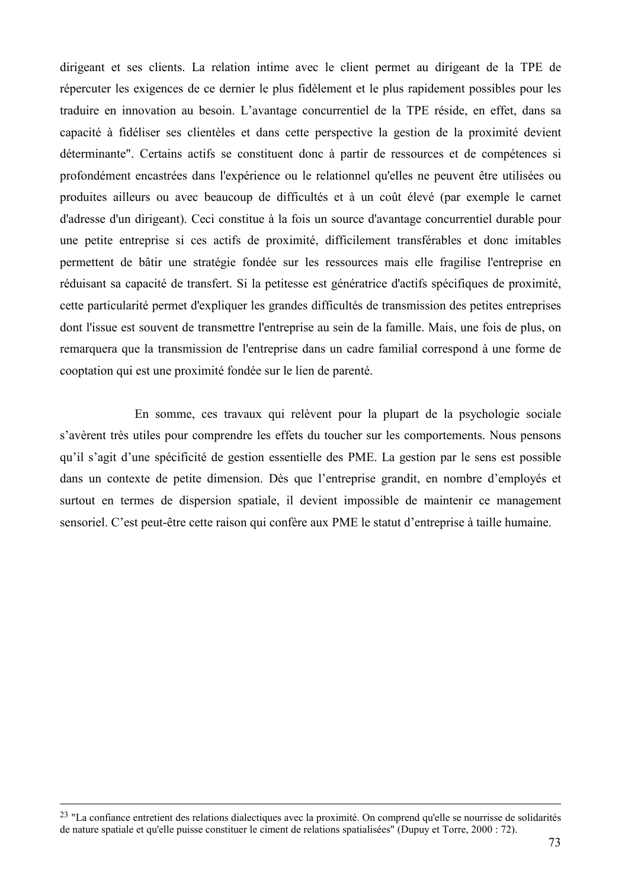dirigeant et ses clients. La relation intime avec le client permet au dirigeant de la TPE de répercuter les exigences de ce dernier le plus fidèlement et le plus rapidement possibles pour les traduire en innovation au besoin. L'avantage concurrentiel de la TPE réside, en effet, dans sa capacité à fidéliser ses clientèles et dans cette perspective la gestion de la proximité devient déterminante". Certains actifs se constituent donc à partir de ressources et de compétences si profondément encastrées dans l'expérience ou le relationnel qu'elles ne peuvent être utilisées ou produites ailleurs ou avec beaucoup de difficultés et à un coût élevé (par exemple le carnet d'adresse d'un dirigeant). Ceci constitue à la fois un source d'avantage concurrentiel durable pour une petite entreprise si ces actifs de proximité, difficilement transférables et donc imitables permettent de bâtir une stratégie fondée sur les ressources mais elle fragilise l'entreprise en réduisant sa capacité de transfert. Si la petitesse est génératrice d'actifs spécifiques de proximité, cette particularité permet d'expliquer les grandes difficultés de transmission des petites entreprises dont l'issue est souvent de transmettre l'entreprise au sein de la famille. Mais, une fois de plus, on remarquera que la transmission de l'entreprise dans un cadre familial correspond à une forme de cooptation qui est une proximité fondée sur le lien de parenté.

En somme, ces travaux qui relèvent pour la plupart de la psychologie sociale s'avèrent très utiles pour comprendre les effets du toucher sur les comportements. Nous pensons qu'il s'agit d'une spécificité de gestion essentielle des PME. La gestion par le sens est possible dans un contexte de petite dimension. Dès que l'entreprise grandit, en nombre d'employés et surtout en termes de dispersion spatiale, il devient impossible de maintenir ce management sensoriel. C'est peut-être cette raison qui confère aux PME le statut d'entreprise à taille humaine.

<sup>&</sup>lt;sup>23</sup> "La confiance entretient des relations dialectiques avec la proximité. On comprend qu'elle se nourrisse de solidarités de nature spatiale et qu'elle puisse constituer le ciment de relations spatialisées" (Dupuy et Torre, 2000 : 72).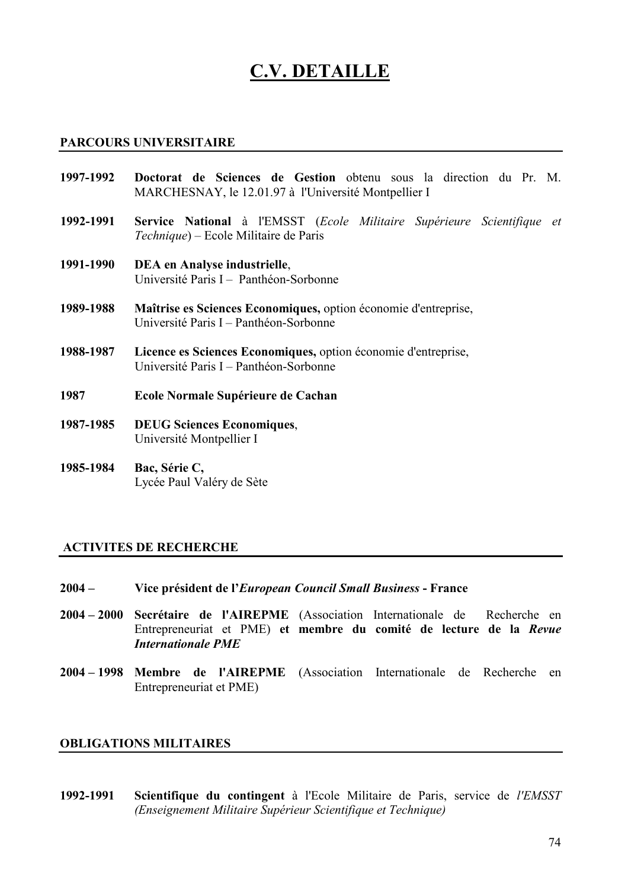## **C.V. DETAILLE**

#### **PARCOURS UNIVERSITAIRE**

- Doctorat de Sciences de Gestion obtenu sous la direction du Pr. M. 1997-1992 MARCHESNAY, le 12.01.97 à l'Université Montpellier I
- Service National à l'EMSST (Ecole Militaire Supérieure Scientifique et 1992-1991 Technique) – Ecole Militaire de Paris
- 1991-1990 DEA en Analyse industrielle, Université Paris I - Panthéon-Sorbonne
- Maîtrise es Sciences Economiques, option économie d'entreprise, 1989-1988 Université Paris I – Panthéon-Sorbonne
- Licence es Sciences Economiques, option économie d'entreprise, 1988-1987 Université Paris I – Panthéon-Sorbonne
- 1987 Ecole Normale Supérieure de Cachan
- 1987-1985 **DEUG Sciences Economiques,** Université Montpellier I
- 1985-1984 Bac, Série C, Lycée Paul Valéry de Sète

#### **ACTIVITES DE RECHERCHE**

- $2004 -$ Vice président de l'European Council Small Business - France
- $2004 2000$ Secrétaire de l'AIREPME (Association Internationale de Recherche en Entrepreneuriat et PME) et membre du comité de lecture de la Revue **Internationale PMF**
- 2004–1998 Membre de l'AIREPME (Association Internationale de Recherche en Entrepreneuriat et PME)

#### **OBLIGATIONS MILITAIRES**

1992-1991 Scientifique du contingent à l'Ecole Militaire de Paris, service de *l'EMSST* (Enseignement Militaire Supérieur Scientifique et Technique)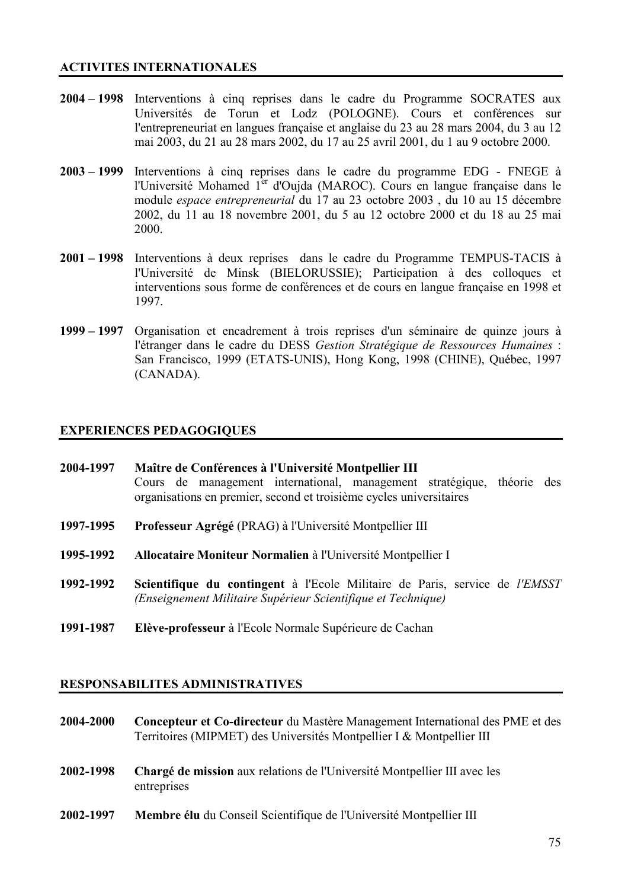#### **ACTIVITES INTERNATIONALES**

- 2004 1998 Interventions à cinq reprises dans le cadre du Programme SOCRATES aux Universités de Torun et Lodz (POLOGNE). Cours et conférences sur l'entrepreneuriat en langues française et anglaise du 23 au 28 mars 2004, du 3 au 12 mai 2003, du 21 au 28 mars 2002, du 17 au 25 avril 2001, du 1 au 9 octobre 2000.
- $2003 1999$ Interventions à cinq reprises dans le cadre du programme EDG - FNEGE à l'Université Mohamed 1<sup>er</sup> d'Oujda (MAROC). Cours en langue française dans le module espace entrepreneurial du 17 au 23 octobre 2003, du 10 au 15 décembre 2002, du 11 au 18 novembre 2001, du 5 au 12 octobre 2000 et du 18 au 25 mai 2000
- 2001 1998 Interventions à deux reprises dans le cadre du Programme TEMPUS-TACIS à l'Université de Minsk (BIELORUSSIE); Participation à des colloques et interventions sous forme de conférences et de cours en langue française en 1998 et 1997.
- Organisation et encadrement à trois reprises d'un séminaire de quinze jours à  $1999 - 1997$ l'étranger dans le cadre du DESS Gestion Stratégique de Ressources Humaines : San Francisco, 1999 (ETATS-UNIS), Hong Kong, 1998 (CHINE), Québec, 1997 (CANADA).

#### **EXPERIENCES PEDAGOGIQUES**

| 2004-1997 | Maître de Conférences à l'Université Montpellier III                                                                                          |  |  |  |
|-----------|-----------------------------------------------------------------------------------------------------------------------------------------------|--|--|--|
|           | Cours de management international, management stratégique, théorie des<br>organisations en premier, second et troisième cycles universitaires |  |  |  |
| 1997-1995 | Professeur Agrégé (PRAG) à l'Université Montpellier III                                                                                       |  |  |  |

- 1995-1992 Allocataire Moniteur Normalien à l'Université Montpellier I
- 1992-1992 Scientifique du contingent à l'Ecole Militaire de Paris, service de l'EMSST (Enseignement Militaire Supérieur Scientifique et Technique)
- Elève-professeur à l'Ecole Normale Supérieure de Cachan 1991-1987

#### **RESPONSABILITES ADMINISTRATIVES**

- Concepteur et Co-directeur du Mastère Management International des PME et des 2004-2000 Territoires (MIPMET) des Universités Montpellier I & Montpellier III
- Chargé de mission aux relations de l'Université Montpellier III avec les 2002-1998 entreprises
- Membre élu du Conseil Scientifique de l'Université Montpellier III 2002-1997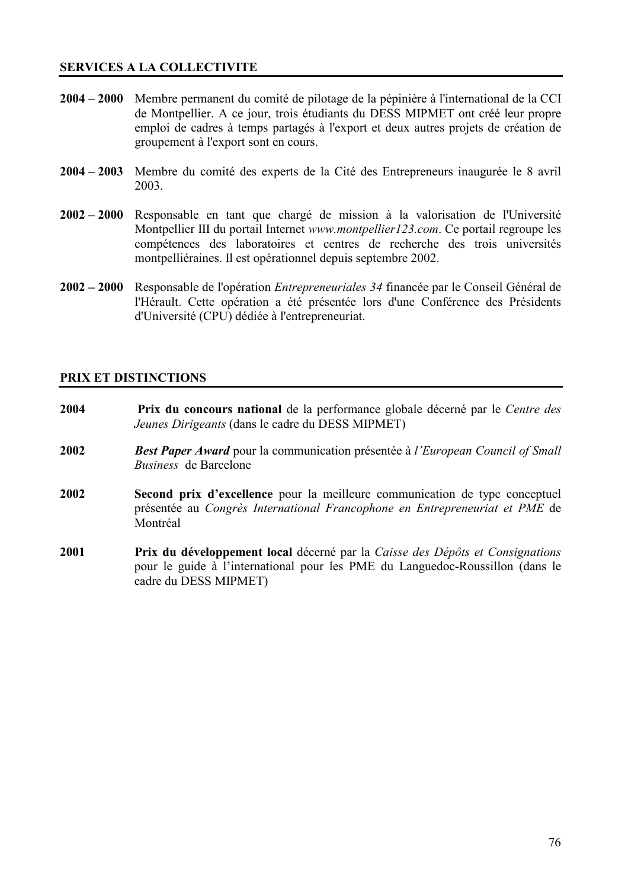#### **SERVICES A LA COLLECTIVITE**

- $2004 2000$ Membre permanent du comité de pilotage de la pépinière à l'international de la CCI de Montpellier. A ce jour, trois étudiants du DESS MIPMET ont créé leur propre emploi de cadres à temps partagés à l'export et deux autres projets de création de groupement à l'export sont en cours.
- $2004 2003$ Membre du comité des experts de la Cité des Entrepreneurs inaugurée le 8 avril 2003.
- $2002 2000$ Responsable en tant que chargé de mission à la valorisation de l'Université Montpellier III du portail Internet www.montpellier123.com. Ce portail regroupe les compétences des laboratoires et centres de recherche des trois universités montpelliéraines. Il est opérationnel depuis septembre 2002.
- $2002 2000$ Responsable de l'opération *Entrepreneuriales 34* financée par le Conseil Général de l'Hérault. Cette opération a été présentée lors d'une Conférence des Présidents d'Université (CPU) dédiée à l'entrepreneuriat.

#### PRIX ET DISTINCTIONS

- 2004 Prix du concours national de la performance globale décerné par le Centre des Jeunes Dirigeants (dans le cadre du DESS MIPMET)
- 2002 **Best Paper Award** pour la communication présentée à l'European Council of Small Business de Barcelone
- 2002 Second prix d'excellence pour la meilleure communication de type conceptuel présentée au Congrès International Francophone en Entrepreneuriat et PME de Montréal
- 2001 Prix du développement local décerné par la Caisse des Dépôts et Consignations pour le guide à l'international pour les PME du Languedoc-Roussillon (dans le cadre du DESS MIPMET)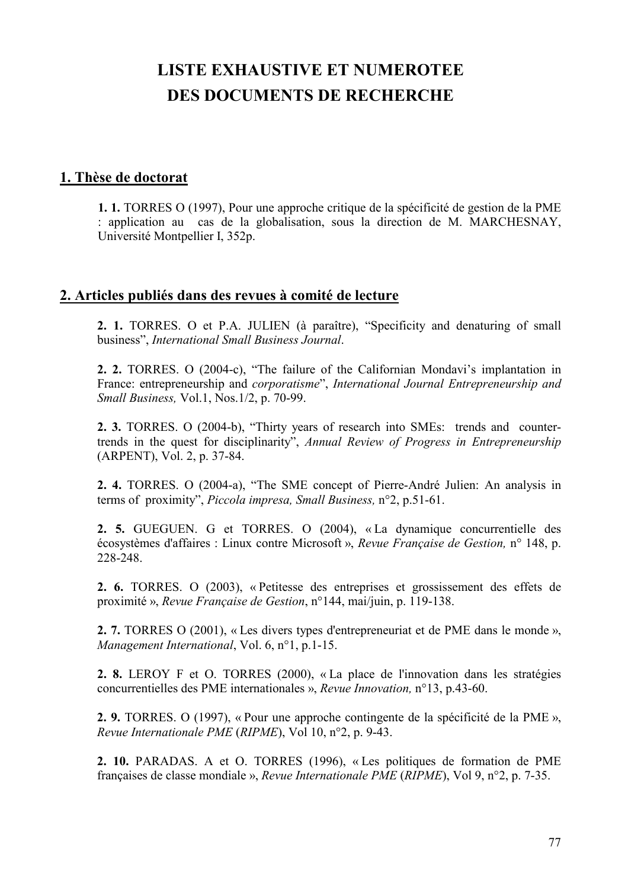# **LISTE EXHAUSTIVE ET NUMEROTEE DES DOCUMENTS DE RECHERCHE**

#### 1. Thèse de doctorat

1. 1. TORRES O (1997), Pour une approche critique de la spécificité de gestion de la PME : application au cas de la globalisation, sous la direction de M. MARCHESNAY, Université Montpellier I, 352p.

## 2. Articles publiés dans des revues à comité de lecture

2. 1. TORRES. O et P.A. JULIEN (à paraître), "Specificity and denaturing of small business", International Small Business Journal.

2. 2. TORRES. O (2004-c), "The failure of the Californian Mondavi's implantation in France: entrepreneurship and *corporatisme*", *International Journal Entrepreneurship and* Small Business, Vol.1, Nos.1/2, p. 70-99.

2. 3. TORRES. O (2004-b), "Thirty years of research into SMEs: trends and countertrends in the quest for disciplinarity", Annual Review of Progress in Entrepreneurship (ARPENT), Vol. 2, p. 37-84.

2. 4. TORRES. O (2004-a), "The SME concept of Pierre-André Julien: An analysis in terms of proximity", Piccola impresa, Small Business, n°2, p.51-61.

2. 5. GUEGUEN. G et TORRES. O (2004), «La dynamique concurrentielle des écosystèmes d'affaires : Linux contre Microsoft », Revue Française de Gestion, n° 148, p. 228-248.

2. 6. TORRES. O (2003), « Petitesse des entreprises et grossissement des effets de proximité », Revue Française de Gestion, n°144, mai/juin, p. 119-138.

2. 7. TORRES O (2001), « Les divers types d'entrepreneuriat et de PME dans le monde », Management International, Vol. 6, n°1, p.1-15.

2. 8. LEROY F et O. TORRES (2000), « La place de l'innovation dans les stratégies concurrentielles des PME internationales », Revue Innovation, n°13, p.43-60.

2. 9. TORRES. O (1997), « Pour une approche contingente de la spécificité de la PME », Revue Internationale PME (RIPME), Vol 10, n°2, p. 9-43.

2. 10. PARADAS. A et O. TORRES (1996), «Les politiques de formation de PME françaises de classe mondiale », Revue Internationale PME (RIPME), Vol 9, n°2, p. 7-35.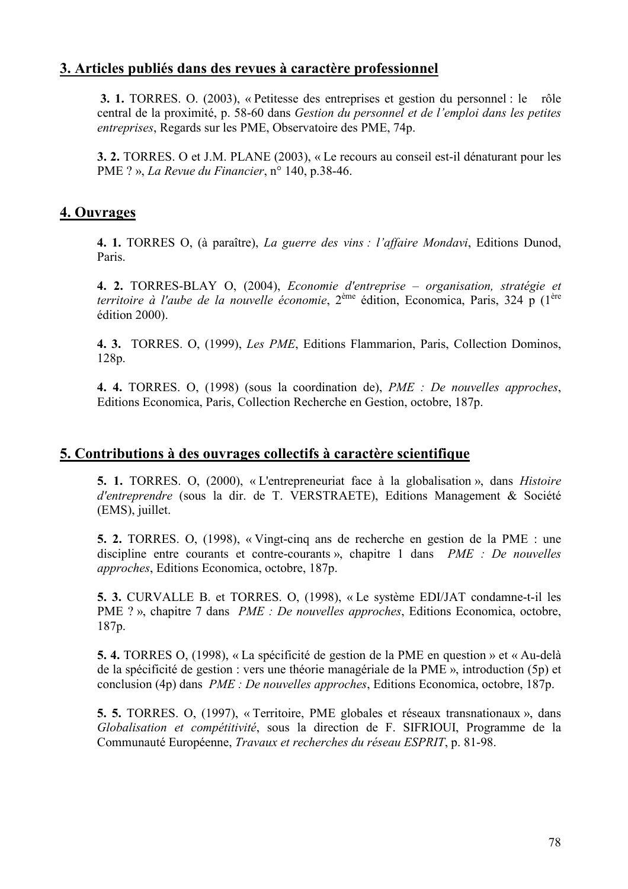## 3. Articles publiés dans des revues à caractère professionnel

3. 1. TORRES. O. (2003), « Petitesse des entreprises et gestion du personnel : le rôle central de la proximité, p. 58-60 dans Gestion du personnel et de l'emploi dans les petites entreprises, Regards sur les PME, Observatoire des PME, 74p.

3. 2. TORRES. O et J.M. PLANE (2003), « Le recours au conseil est-il dénaturant pour les PME ? ». La Revue du Financier,  $n^{\circ}$  140, p.38-46.

## 4. Ouvrages

4. 1. TORRES O, (à paraître), La guerre des vins : l'affaire Mondavi, Editions Dunod, Paris.

4. 2. TORRES-BLAY O, (2004), Economie d'entreprise – organisation, stratégie et territoire à l'aube de la nouvelle économie, 2<sup>ème</sup> édition, Economica, Paris, 324 p (1<sup>ère</sup> édition 2000).

4. 3. TORRES. O. (1999). Les PME, Editions Flammarion, Paris, Collection Dominos,  $128p.$ 

4. 4. TORRES. O. (1998) (sous la coordination de), PME : De nouvelles approches, Editions Economica, Paris, Collection Recherche en Gestion, octobre, 187p.

## 5. Contributions à des ouvrages collectifs à caractère scientifique

5. 1. TORRES, O. (2000), «L'entrepreneuriat face à la globalisation», dans *Histoire* d'entreprendre (sous la dir. de T. VERSTRAETE), Editions Management & Société (EMS), juillet.

5. 2. TORRES, O. (1998), «Vingt-cing ans de recherche en gestion de la PME : une discipline entre courants et contre-courants », chapitre 1 dans *PME : De nouvelles approches*, Editions Economica, octobre, 187p.

5. 3. CURVALLE B. et TORRES. O. (1998), «Le système EDI/JAT condamne-t-il les PME ?», chapitre 7 dans *PME : De nouvelles approches*, Editions Economica, octobre,  $187p.$ 

5.4. TORRES O, (1998), « La spécificité de gestion de la PME en question » et « Au-delà de la spécificité de gestion : vers une théorie managériale de la PME », introduction (5p) et conclusion (4p) dans *PME : De nouvelles approches*, Editions Economica, octobre, 187p.

5. 5. TORRES, O. (1997), « Territoire, PME globales et réseaux transnationaux », dans Globalisation et compétitivité, sous la direction de F. SIFRIOUI, Programme de la Communauté Européenne, Travaux et recherches du réseau ESPRIT, p. 81-98.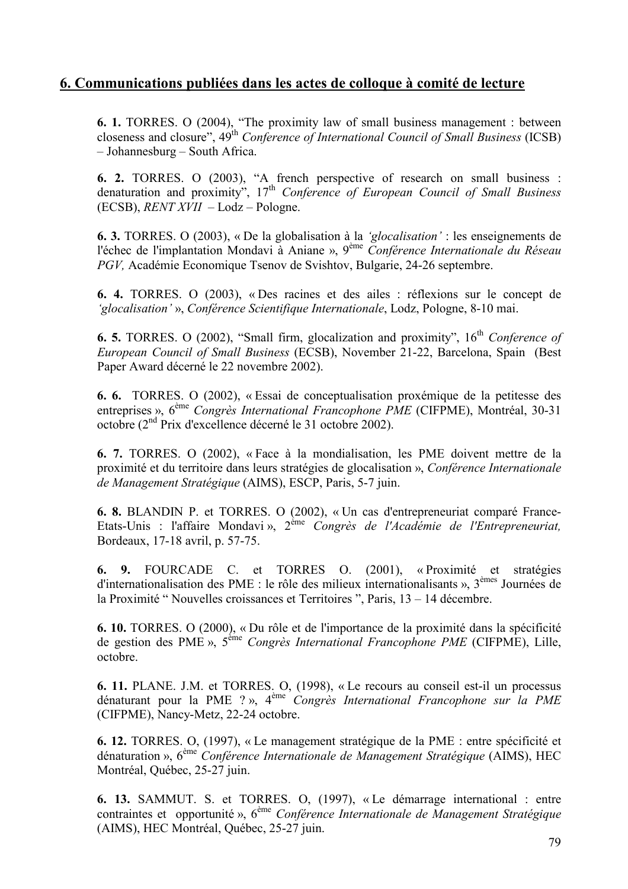## 6. Communications publiées dans les actes de colloque à comité de lecture

**6. 1.** TORRES, O (2004), "The proximity law of small business management : between closeness and closure",  $49^{\text{th}}$  Conference of International Council of Small Business (ICSB) - Johannesburg - South Africa.

**6. 2.** TORRES. O (2003), "A french perspective of research on small business : denaturation and proximity",  $17<sup>th</sup>$  Conference of European Council of Small Business  $(ECSB)$ , *RENT XVII* - Lodz - Pologne.

**6. 3.** TORRES. O (2003), « De la globalisation à la 'glocalisation': les enseignements de l'échec de l'implantation Mondavi à Aniane », 9<sup>ème</sup> Conférence Internationale du Réseau PGV, Académie Economique Tsenov de Svishtov, Bulgarie, 24-26 septembre.

6. 4. TORRES. O (2003), « Des racines et des ailes : réflexions sur le concept de 'glocalisation' ». Conférence Scientifique Internationale, Lodz. Pologne, 8-10 mai.

**6. 5.** TORRES. O (2002), "Small firm, glocalization and proximity",  $16<sup>th</sup>$  Conference of European Council of Small Business (ECSB), November 21-22, Barcelona, Spain (Best Paper Award décerné le 22 novembre 2002).

6. 6. TORRES. O (2002), « Essai de conceptualisation proxémique de la petitesse des entreprises »,  $6^{em}$  Congrès International Francophone PME (CIFPME), Montréal, 30-31 octobre (2<sup>nd</sup> Prix d'excellence décerné le 31 octobre 2002).

6. 7. TORRES. O (2002), «Face à la mondialisation, les PME doivent mettre de la proximité et du territoire dans leurs stratégies de glocalisation », Conférence Internationale de Management Stratégique (AIMS), ESCP, Paris, 5-7 juin.

6. 8. BLANDIN P. et TORRES. O (2002), « Un cas d'entrepreneuriat comparé France-Etats-Unis : l'affaire Mondavi», 2<sup>ème</sup> Congrès de l'Académie de l'Entrepreneuriat, Bordeaux, 17-18 avril, p. 57-75.

9. FOURCADE C. et TORRES O. (2001), «Proximité et stratégies 6. d'internationalisation des PME : le rôle des milieux internationalisants ».  $3^{e$ <sup>hnes</sup> Journées de la Proximité "Nouvelles croissances et Territoires ", Paris, 13 – 14 décembre.

6. 10. TORRES. O (2000), « Du rôle et de l'importance de la proximité dans la spécificité de gestion des PME », 5<sup>ème</sup> Congrès International Francophone PME (CIFPME), Lille, octobre.

6. 11. PLANE. J.M. et TORRES. O, (1998), «Le recours au conseil est-il un processus dénaturant pour la PME ?», 4<sup>ème</sup> Congrès International Francophone sur la PME (CIFPME), Nancy-Metz, 22-24 octobre.

6. 12. TORRES. O, (1997), « Le management stratégique de la PME : entre spécificité et dénaturation »,  $6^{em}$  Conférence Internationale de Management Stratégique (AIMS), HEC Montréal, Québec, 25-27 juin.

6. 13. SAMMUT. S. et TORRES. O. (1997), «Le démarrage international : entre contraintes et opportunité»,  $6^{em}$  Conférence Internationale de Management Stratégique (AIMS), HEC Montréal, Québec, 25-27 juin.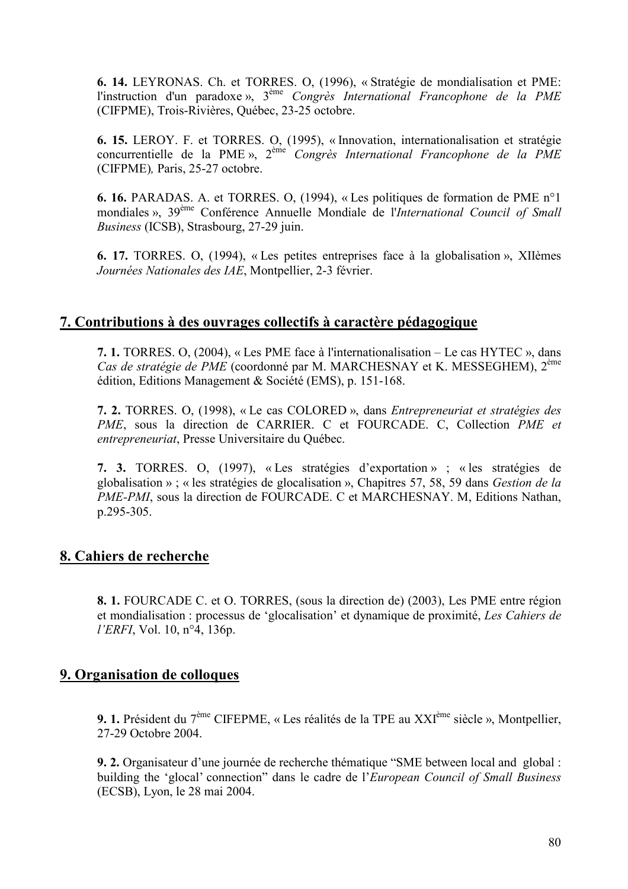6. 14. LEYRONAS. Ch. et TORRES. O, (1996), « Stratégie de mondialisation et PME: l'instruction d'un paradoxe»,  $3^{<sup>ème</sup> Congrès International Francophone de la PME$ (CIFPME), Trois-Rivières, Ouébec, 23-25 octobre.

6. 15. LEROY. F. et TORRES. O, (1995), « Innovation, internationalisation et stratégie concurrentielle de la PME»,  $2^{\text{eme}}$  Congrès International Francophone de la PME (CIFPME), Paris, 25-27 octobre.

6. 16. PARADAS. A. et TORRES. O. (1994), « Les politiques de formation de PME n°1 mondiales », 39<sup>ème</sup> Conférence Annuelle Mondiale de l'International Council of Small Business (ICSB), Strasbourg, 27-29 juin.

6. 17. TORRES. O, (1994), « Les petites entreprises face à la globalisation », XIIèmes Journées Nationales des IAE, Montpellier, 2-3 février.

## 7. Contributions à des ouvrages collectifs à caractère pédagogique

7. 1. TORRES. O, (2004), « Les PME face à l'internationalisation – Le cas HYTEC », dans Cas de stratégie de PME (coordonné par M. MARCHESNAY et K. MESSEGHEM), 2<sup>ème</sup> édition, Editions Management & Société (EMS), p. 151-168.

7. 2. TORRES. O. (1998), « Le cas COLORED », dans Entrepreneuriat et stratégies des PME, sous la direction de CARRIER. C et FOURCADE. C, Collection PME et entrepreneuriat, Presse Universitaire du Québec.

7. 3. TORRES. O, (1997), «Les stratégies d'exportation» ; « les stratégies de globalisation »; « les stratégies de glocalisation ». Chapitres 57, 58, 59 dans Gestion de la PME-PMI, sous la direction de FOURCADE. C et MARCHESNAY. M, Editions Nathan, p.295-305.

## 8. Cahiers de recherche

8. 1. FOURCADE C. et O. TORRES, (sous la direction de) (2003), Les PME entre région et mondialisation : processus de 'glocalisation' et dynamique de proximité, Les Cahiers de *l'ERFI*, Vol. 10, n°4, 136p.

## 9. Organisation de colloques

9. 1. Président du 7<sup>ème</sup> CIFEPME, « Les réalités de la TPE au XXI<sup>ème</sup> siècle », Montpellier, 27-29 Octobre 2004.

9. 2. Organisateur d'une journée de recherche thématique "SME between local and global : building the 'glocal' connection" dans le cadre de l'European Council of Small Business (ECSB), Lyon, le 28 mai 2004.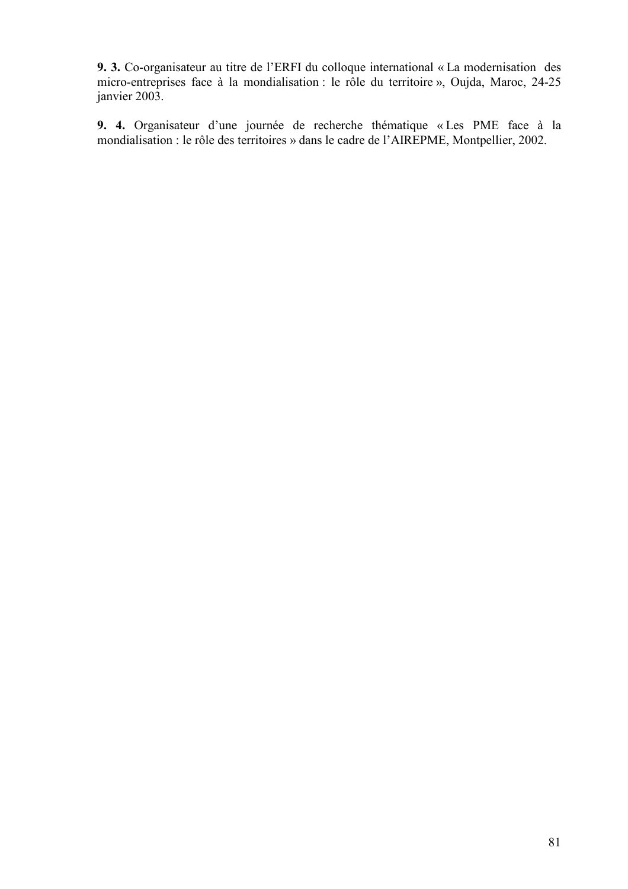9. 3. Co-organisateur au titre de l'ERFI du colloque international « La modernisation des micro-entreprises face à la mondialisation : le rôle du territoire », Oujda, Maroc, 24-25 janvier 2003.

9. 4. Organisateur d'une journée de recherche thématique « Les PME face à la mondialisation : le rôle des territoires » dans le cadre de l'AIREPME, Montpellier, 2002.